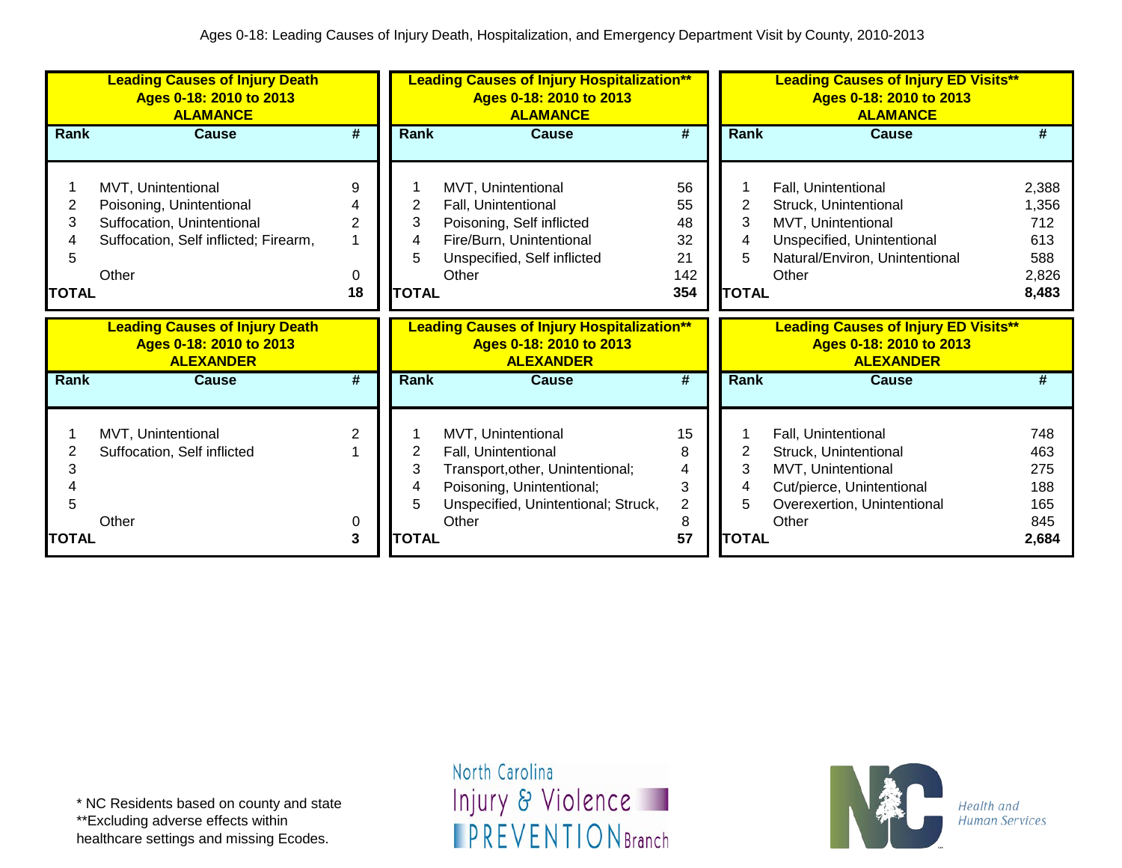|                             | <b>Leading Causes of Injury Death</b><br>Ages 0-18: 2010 to 2013<br><b>ALAMANCE</b>                                            |                                | <b>Leading Causes of Injury Hospitalization**</b><br><b>Leading Causes of Injury ED Visits**</b><br>Ages 0-18: 2010 to 2013<br>Ages 0-18: 2010 to 2013<br><b>ALAMANCE</b><br><b>ALAMANCE</b> |                                                                                                                                                            |                                                |                                  |                                                                                                                                             |                                                       |
|-----------------------------|--------------------------------------------------------------------------------------------------------------------------------|--------------------------------|----------------------------------------------------------------------------------------------------------------------------------------------------------------------------------------------|------------------------------------------------------------------------------------------------------------------------------------------------------------|------------------------------------------------|----------------------------------|---------------------------------------------------------------------------------------------------------------------------------------------|-------------------------------------------------------|
| Rank                        | <b>Cause</b>                                                                                                                   | #                              | Rank                                                                                                                                                                                         | <b>Cause</b>                                                                                                                                               | #                                              | <b>Rank</b>                      | <b>Cause</b>                                                                                                                                | #                                                     |
| 2<br>3<br>5<br><b>TOTAL</b> | MVT, Unintentional<br>Poisoning, Unintentional<br>Suffocation, Unintentional<br>Suffocation, Self inflicted; Firearm,<br>Other | 9<br>$\overline{2}$<br>0<br>18 | 2<br>3<br>4<br>5<br><b>TOTAL</b>                                                                                                                                                             | MVT, Unintentional<br>Fall, Unintentional<br>Poisoning, Self inflicted<br>Fire/Burn, Unintentional<br>Unspecified, Self inflicted<br>Other                 | 56<br>55<br>48<br>32<br>21<br>142<br>354       | 2<br>3<br>4<br>5<br><b>TOTAL</b> | Fall, Unintentional<br>Struck, Unintentional<br>MVT, Unintentional<br>Unspecified, Unintentional<br>Natural/Environ, Unintentional<br>Other | 2,388<br>1,356<br>712<br>613<br>588<br>2,826<br>8,483 |
|                             |                                                                                                                                |                                |                                                                                                                                                                                              |                                                                                                                                                            |                                                |                                  |                                                                                                                                             |                                                       |
|                             | <b>Leading Causes of Injury Death</b><br>Ages 0-18: 2010 to 2013<br><b>ALEXANDER</b>                                           |                                |                                                                                                                                                                                              | <b>Leading Causes of Injury Hospitalization**</b><br>Ages 0-18: 2010 to 2013<br><b>ALEXANDER</b>                                                           |                                                |                                  | <b>Leading Causes of Injury ED Visits**</b><br>Ages 0-18: 2010 to 2013<br><b>ALEXANDER</b>                                                  |                                                       |
| Rank                        | <b>Cause</b>                                                                                                                   | #                              | Rank                                                                                                                                                                                         | <b>Cause</b>                                                                                                                                               | #                                              | <b>Rank</b>                      | Cause                                                                                                                                       | #                                                     |
| 3<br>5<br><b>TOTAL</b>      | MVT, Unintentional<br>Suffocation, Self inflicted<br>Other                                                                     | 2<br>0<br>3                    | 2<br>3<br>4<br>5<br><b>TOTAL</b>                                                                                                                                                             | MVT, Unintentional<br>Fall, Unintentional<br>Transport, other, Unintentional;<br>Poisoning, Unintentional;<br>Unspecified, Unintentional; Struck,<br>Other | 15<br>8<br>4<br>3<br>$\overline{2}$<br>8<br>57 | 2<br>3<br>4<br>5<br><b>TOTAL</b> | Fall, Unintentional<br>Struck, Unintentional<br>MVT, Unintentional<br>Cut/pierce, Unintentional<br>Overexertion, Unintentional<br>Other     | 748<br>463<br>275<br>188<br>165<br>845<br>2,684       |

healthcare settings and missing Ecodes.

North Carolina Injury & Violence **IPREVENTIONBranch** 

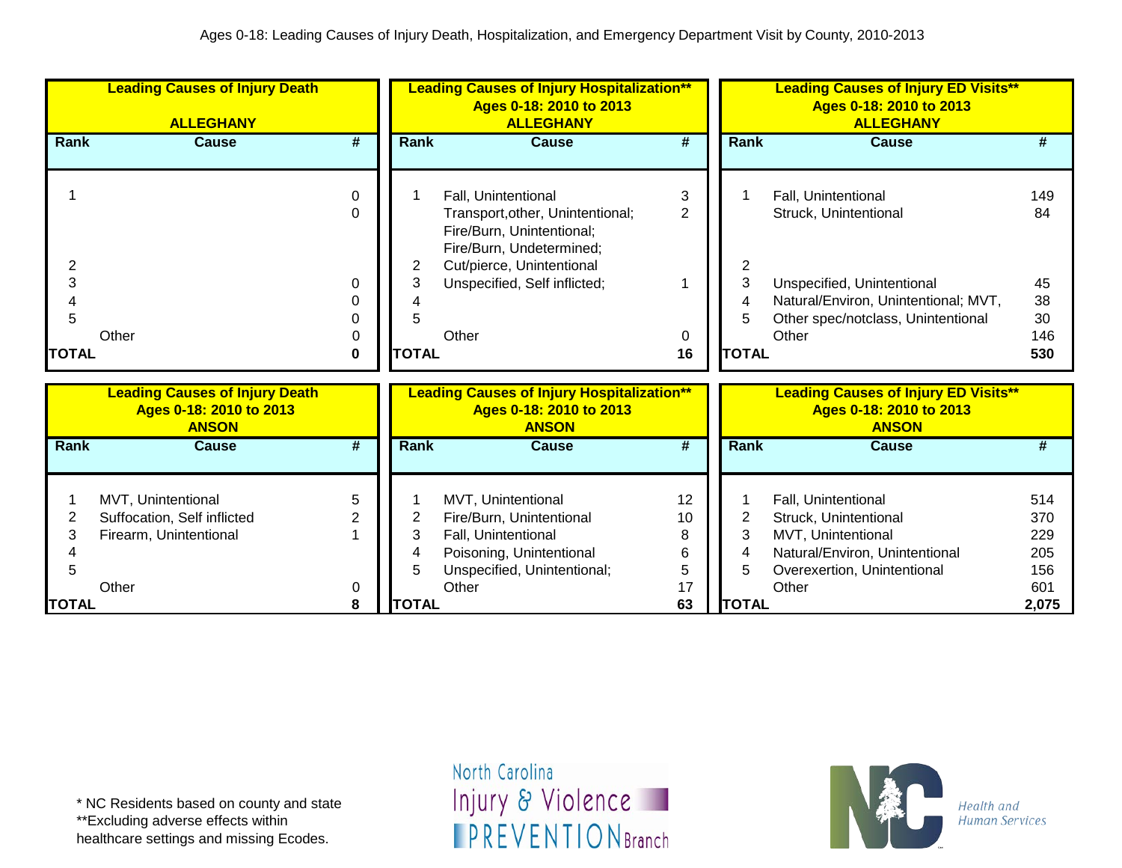|                   | <b>Leading Causes of Injury Death</b><br><b>ALLEGHANY</b>                        |                           | <b>Leading Causes of Injury Hospitalization**</b><br>Ages 0-18: 2010 to 2013<br><b>ALLEGHANY</b> |                                                                                                                                                                               |                             |                   | <b>Leading Causes of Injury ED Visits**</b><br>Ages 0-18: 2010 to 2013<br><b>ALLEGHANY</b>                                          |                                 |
|-------------------|----------------------------------------------------------------------------------|---------------------------|--------------------------------------------------------------------------------------------------|-------------------------------------------------------------------------------------------------------------------------------------------------------------------------------|-----------------------------|-------------------|-------------------------------------------------------------------------------------------------------------------------------------|---------------------------------|
| <b>Rank</b>       | <b>Cause</b>                                                                     | #                         | Rank                                                                                             | <b>Cause</b>                                                                                                                                                                  | $\overline{\boldsymbol{t}}$ | Rank              | <b>Cause</b>                                                                                                                        | #                               |
| 2<br>3<br>Δ       |                                                                                  | 0<br>$\Omega$<br>$\Omega$ | 2<br>3                                                                                           | Fall, Unintentional<br>Transport, other, Unintentional;<br>Fire/Burn, Unintentional;<br>Fire/Burn, Undetermined;<br>Cut/pierce, Unintentional<br>Unspecified, Self inflicted; | 3<br>$\overline{2}$         | 2<br>3<br>4       | Fall, Unintentional<br>Struck, Unintentional<br>Unspecified, Unintentional<br>Natural/Environ, Unintentional; MVT,                  | 149<br>84<br>45<br>38           |
| 5<br><b>TOTAL</b> | Other                                                                            | 0<br>0<br>0               | <b>TOTAL</b>                                                                                     | Other                                                                                                                                                                         | 0<br>16                     | 5<br><b>TOTAL</b> | Other spec/notclass, Unintentional<br>Other                                                                                         | 30<br>146<br>530                |
|                   | <b>Leading Causes of Injury Death</b><br>Ages 0-18: 2010 to 2013<br><b>ANSON</b> |                           |                                                                                                  | <b>Leading Causes of Injury Hospitalization**</b><br>Ages 0-18: 2010 to 2013<br><b>ANSON</b>                                                                                  |                             |                   | <b>Leading Causes of Injury ED Visits**</b><br>Ages 0-18: 2010 to 2013<br><b>ANSON</b>                                              |                                 |
| <b>Rank</b>       | <b>Cause</b>                                                                     | #                         | Rank                                                                                             | <b>Cause</b>                                                                                                                                                                  | $\overline{\boldsymbol{t}}$ | Rank              | <b>Cause</b>                                                                                                                        | #                               |
| 2<br>3<br>5       | MVT, Unintentional<br>Suffocation, Self inflicted<br>Firearm, Unintentional      | 5<br>2                    | 2<br>3<br>4<br>5                                                                                 | MVT, Unintentional<br>Fire/Burn, Unintentional<br>Fall, Unintentional<br>Poisoning, Unintentional<br>Unspecified, Unintentional;                                              | 12<br>10<br>8<br>6<br>5     | 2<br>3<br>4<br>5  | Fall, Unintentional<br>Struck, Unintentional<br>MVT, Unintentional<br>Natural/Environ, Unintentional<br>Overexertion, Unintentional | 514<br>370<br>229<br>205<br>156 |
| <b>TOTAL</b>      | Other                                                                            | 0<br>8                    | <b>TOTAL</b>                                                                                     | Other                                                                                                                                                                         | 17<br>63                    | <b>TOTAL</b>      | Other                                                                                                                               | 601<br>2,075                    |

\*\*Excluding adverse effects within

healthcare settings and missing Ecodes.

North Carolina Injury & Violence **IPREVENTIONBranch** 

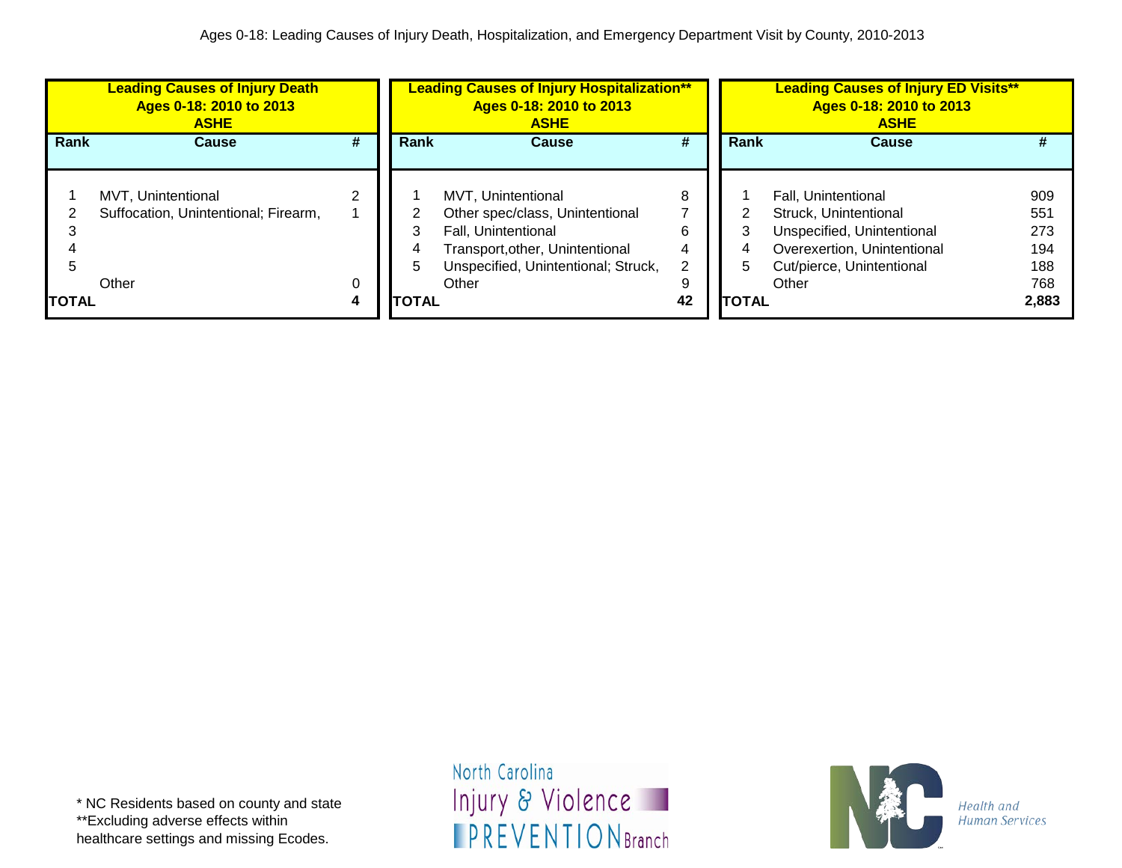|              | <b>Leading Causes of Injury Death</b><br>Ages 0-18: 2010 to 2013<br><b>ASHE</b> |        |              | <b>Leading Causes of Injury Hospitalization**</b><br>Ages 0-18: 2010 to 2013<br><b>ASHE</b>                                                            | <b>Leading Causes of Injury ED Visits**</b><br>Ages 0-18: 2010 to 2013<br><b>ASHE</b> |  |                                                                                                                                             |                                 |
|--------------|---------------------------------------------------------------------------------|--------|--------------|--------------------------------------------------------------------------------------------------------------------------------------------------------|---------------------------------------------------------------------------------------|--|---------------------------------------------------------------------------------------------------------------------------------------------|---------------------------------|
| Rank         | <b>Cause</b>                                                                    | #      | Rank         | <b>Cause</b>                                                                                                                                           | #                                                                                     |  | Rank<br><b>Cause</b>                                                                                                                        | #                               |
|              | MVT, Unintentional<br>Suffocation, Unintentional; Firearm,                      |        |              | MVT. Unintentional<br>Other spec/class, Unintentional<br>Fall, Unintentional<br>Transport, other, Unintentional<br>Unspecified, Unintentional; Struck, | 8<br>6<br>2                                                                           |  | Fall, Unintentional<br>Struck, Unintentional<br>Unspecified, Unintentional<br>Overexertion, Unintentional<br>4<br>Cut/pierce, Unintentional | 909<br>551<br>273<br>194<br>188 |
| <b>TOTAL</b> | Other                                                                           | 0<br>4 | <b>TOTAL</b> | Other                                                                                                                                                  | 9<br>42                                                                               |  | Other<br><b>TOTAL</b>                                                                                                                       | 768<br>2,883                    |

\* NC Residents based on county and state \*\*Excluding adverse effects within healthcare settings and missing Ecodes.

North Carolina Injury & Violence **IPREVENTIONBranch** 

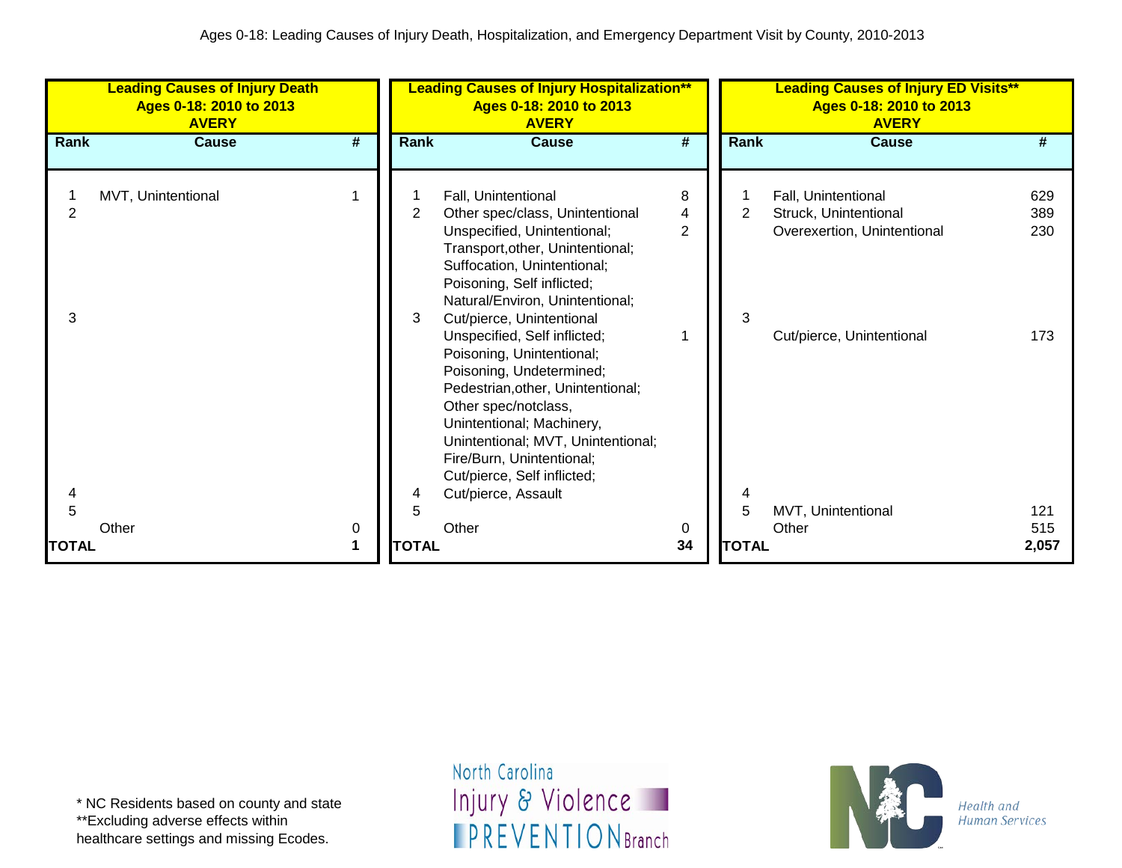|              | <b>Leading Causes of Injury Death</b><br>Ages 0-18: 2010 to 2013<br><b>AVERY</b> |   |                     | <b>Leading Causes of Injury Hospitalization**</b><br>Ages 0-18: 2010 to 2013<br><b>AVERY</b>                                                                                                                                                                                                                                                                                                                                                                                                                                                                       |                          |              | <b>Leading Causes of Injury ED Visits**</b><br>Ages 0-18: 2010 to 2013<br><b>AVERY</b>                   |                          |  |
|--------------|----------------------------------------------------------------------------------|---|---------------------|--------------------------------------------------------------------------------------------------------------------------------------------------------------------------------------------------------------------------------------------------------------------------------------------------------------------------------------------------------------------------------------------------------------------------------------------------------------------------------------------------------------------------------------------------------------------|--------------------------|--------------|----------------------------------------------------------------------------------------------------------|--------------------------|--|
| Rank         | <b>Cause</b>                                                                     | # | Rank                | <b>Cause</b>                                                                                                                                                                                                                                                                                                                                                                                                                                                                                                                                                       | #                        | Rank         | <b>Cause</b>                                                                                             | #                        |  |
| 2<br>3<br>4  | MVT, Unintentional                                                               |   | $\overline{2}$<br>3 | Fall, Unintentional<br>Other spec/class, Unintentional<br>Unspecified, Unintentional;<br>Transport, other, Unintentional;<br>Suffocation, Unintentional;<br>Poisoning, Self inflicted;<br>Natural/Environ, Unintentional;<br>Cut/pierce, Unintentional<br>Unspecified, Self inflicted;<br>Poisoning, Unintentional;<br>Poisoning, Undetermined;<br>Pedestrian, other, Unintentional;<br>Other spec/notclass,<br>Unintentional; Machinery,<br>Unintentional; MVT, Unintentional;<br>Fire/Burn, Unintentional;<br>Cut/pierce, Self inflicted;<br>Cut/pierce, Assault | 8<br>4<br>$\overline{2}$ | 3            | Fall, Unintentional<br>Struck, Unintentional<br>Overexertion, Unintentional<br>Cut/pierce, Unintentional | 629<br>389<br>230<br>173 |  |
| 5            |                                                                                  |   | 5                   |                                                                                                                                                                                                                                                                                                                                                                                                                                                                                                                                                                    |                          | 5            | MVT, Unintentional                                                                                       | 121                      |  |
| <b>TOTAL</b> | Other                                                                            | 0 | <b>TOTAL</b>        | Other                                                                                                                                                                                                                                                                                                                                                                                                                                                                                                                                                              | 0<br>34                  | <b>TOTAL</b> | Other                                                                                                    | 515<br>2,057             |  |

healthcare settings and missing Ecodes.

North Carolina Injury & Violence **IPREVENTIONBranch** 

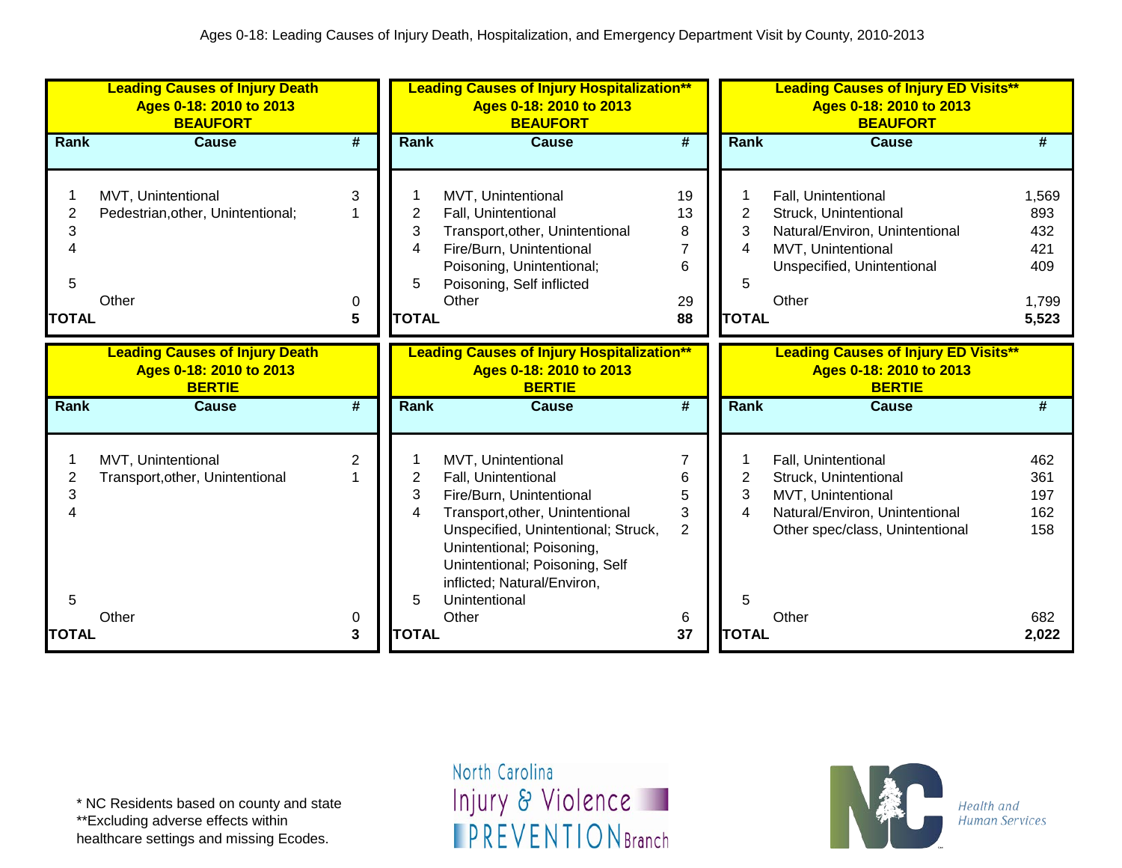|                                          | <b>Leading Causes of Injury Death</b><br>Ages 0-18: 2010 to 2013<br><b>BEAUFORT</b> |                     | <b>Leading Causes of Injury Hospitalization**</b><br>Ages 0-18: 2010 to 2013<br><b>BEAUFORT</b> |                                                                                                                                                                                                                                                                         |                                     | <b>Leading Causes of Injury ED Visits**</b><br>Ages 0-18: 2010 to 2013<br><b>BEAUFORT</b> |                                                                                                                                                  |                                                     |  |
|------------------------------------------|-------------------------------------------------------------------------------------|---------------------|-------------------------------------------------------------------------------------------------|-------------------------------------------------------------------------------------------------------------------------------------------------------------------------------------------------------------------------------------------------------------------------|-------------------------------------|-------------------------------------------------------------------------------------------|--------------------------------------------------------------------------------------------------------------------------------------------------|-----------------------------------------------------|--|
| <b>Rank</b>                              | <b>Cause</b>                                                                        | #                   | <b>Rank</b>                                                                                     | <b>Cause</b>                                                                                                                                                                                                                                                            | #                                   | Rank                                                                                      | <b>Cause</b>                                                                                                                                     | #                                                   |  |
| $\overline{2}$<br>3<br>5<br><b>TOTAL</b> | MVT, Unintentional<br>Pedestrian, other, Unintentional;<br>Other                    | 3<br>0<br>5         | 2<br>3<br>4<br>5<br><b>TOTAL</b>                                                                | MVT, Unintentional<br>Fall, Unintentional<br>Transport, other, Unintentional<br>Fire/Burn, Unintentional<br>Poisoning, Unintentional;<br>Poisoning, Self inflicted<br>Other                                                                                             | 19<br>13<br>8<br>7<br>6<br>29<br>88 | 2<br>3<br>4<br>5<br><b>TOTAL</b>                                                          | Fall, Unintentional<br>Struck, Unintentional<br>Natural/Environ, Unintentional<br>MVT, Unintentional<br>Unspecified, Unintentional<br>Other      | 1,569<br>893<br>432<br>421<br>409<br>1,799<br>5,523 |  |
|                                          | <b>Leading Causes of Injury Death</b><br>Ages 0-18: 2010 to 2013<br><b>BERTIE</b>   |                     |                                                                                                 | <b>Leading Causes of Injury Hospitalization**</b><br>Ages 0-18: 2010 to 2013<br><b>BERTIE</b>                                                                                                                                                                           |                                     |                                                                                           | <b>Leading Causes of Injury ED Visits**</b><br>Ages 0-18: 2010 to 2013<br><b>BERTIE</b>                                                          |                                                     |  |
| <b>Rank</b>                              | <b>Cause</b>                                                                        | #                   | <b>Rank</b>                                                                                     | <b>Cause</b>                                                                                                                                                                                                                                                            | $\overline{\#}$                     | Rank                                                                                      | <b>Cause</b>                                                                                                                                     | #                                                   |  |
| $\overline{2}$<br>3<br>5                 | MVT, Unintentional<br>Transport, other, Unintentional<br>Other                      | 2                   | 2<br>3<br>4<br>5                                                                                | MVT, Unintentional<br>Fall, Unintentional<br>Fire/Burn, Unintentional<br>Transport, other, Unintentional<br>Unspecified, Unintentional; Struck,<br>Unintentional; Poisoning,<br>Unintentional; Poisoning, Self<br>inflicted; Natural/Environ,<br>Unintentional<br>Other | 7<br>6<br>5<br>3<br>$\overline{2}$  | 2<br>3<br>4<br>5                                                                          | Fall, Unintentional<br>Struck, Unintentional<br>MVT, Unintentional<br>Natural/Environ, Unintentional<br>Other spec/class, Unintentional<br>Other | 462<br>361<br>197<br>162<br>158<br>682              |  |
| <b>TOTAL</b>                             |                                                                                     | 0<br>$\overline{3}$ | <b>TOTAL</b>                                                                                    |                                                                                                                                                                                                                                                                         | 6<br>37                             | <b>TOTAL</b>                                                                              |                                                                                                                                                  | 2,022                                               |  |

\*\*Excluding adverse effects within

healthcare settings and missing Ecodes.

North Carolina Injury & Violence **IPREVENTIONBranch** 

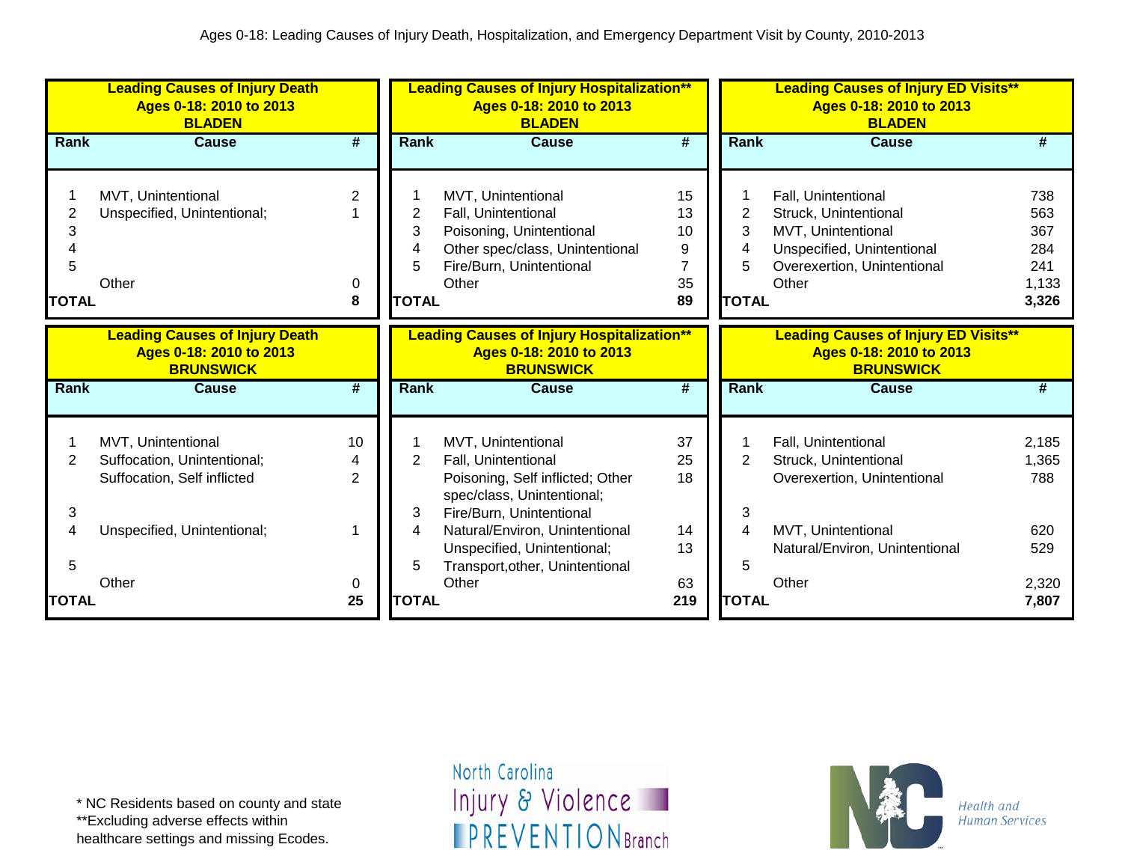|              | <b>Leading Causes of Injury Death</b><br>Ages 0-18: 2010 to 2013<br><b>BLADEN</b>    |                |                | <b>Leading Causes of Injury Hospitalization**</b><br>Ages 0-18: 2010 to 2013<br><b>BLADEN</b>    |                             |                | <b>Leading Causes of Injury ED Visits**</b><br>Ages 0-18: 2010 to 2013<br><b>BLADEN</b>    |       |  |
|--------------|--------------------------------------------------------------------------------------|----------------|----------------|--------------------------------------------------------------------------------------------------|-----------------------------|----------------|--------------------------------------------------------------------------------------------|-------|--|
| Rank         | Cause                                                                                | #              | Rank           | Cause                                                                                            | $\overline{\boldsymbol{H}}$ | <b>Rank</b>    | Cause                                                                                      | #     |  |
|              |                                                                                      |                |                |                                                                                                  |                             |                |                                                                                            |       |  |
|              | MVT, Unintentional                                                                   | 2              |                | MVT, Unintentional                                                                               | 15                          |                | Fall, Unintentional                                                                        | 738   |  |
|              | Unspecified, Unintentional;                                                          |                | 2              | Fall, Unintentional                                                                              | 13                          | $\overline{2}$ | Struck, Unintentional                                                                      | 563   |  |
| 3            |                                                                                      |                | 3              | Poisoning, Unintentional                                                                         | 10                          | 3              | MVT, Unintentional                                                                         | 367   |  |
|              |                                                                                      |                |                | Other spec/class, Unintentional                                                                  | 9                           | 4              | Unspecified, Unintentional                                                                 | 284   |  |
| 5            |                                                                                      |                | 5              | Fire/Burn, Unintentional                                                                         | 7                           | 5              | Overexertion, Unintentional                                                                | 241   |  |
|              | Other                                                                                | 0              |                | Other                                                                                            | 35                          |                | Other                                                                                      | 1,133 |  |
| <b>TOTAL</b> |                                                                                      | 8              | <b>TOTAL</b>   |                                                                                                  | 89                          | <b>TOTAL</b>   |                                                                                            | 3,326 |  |
|              | <b>Leading Causes of Injury Death</b><br>Ages 0-18: 2010 to 2013<br><b>BRUNSWICK</b> |                |                | <b>Leading Causes of Injury Hospitalization**</b><br>Ages 0-18: 2010 to 2013<br><b>BRUNSWICK</b> |                             |                | <b>Leading Causes of Injury ED Visits**</b><br>Ages 0-18: 2010 to 2013<br><b>BRUNSWICK</b> |       |  |
| <b>Rank</b>  | <b>Cause</b>                                                                         | #              | <b>Rank</b>    | <b>Cause</b>                                                                                     | #                           | <b>Rank</b>    | <b>Cause</b>                                                                               | #     |  |
|              | MVT, Unintentional                                                                   | 10             |                | MVT, Unintentional                                                                               | 37                          |                | Fall, Unintentional                                                                        | 2,185 |  |
| 2            | Suffocation, Unintentional;                                                          | 4              | $\overline{2}$ | Fall, Unintentional                                                                              | 25                          | $\overline{2}$ | Struck, Unintentional                                                                      | 1,365 |  |
|              | Suffocation, Self inflicted                                                          | $\overline{2}$ |                | Poisoning, Self inflicted; Other<br>spec/class, Unintentional;                                   | 18                          |                | Overexertion, Unintentional                                                                | 788   |  |
| 3            |                                                                                      |                | 3              | Fire/Burn, Unintentional                                                                         |                             | 3              |                                                                                            |       |  |
| 4            | Unspecified, Unintentional;                                                          |                | 4              | Natural/Environ, Unintentional                                                                   | 14                          | 4              | MVT, Unintentional                                                                         | 620   |  |
|              |                                                                                      |                |                | Unspecified, Unintentional;                                                                      | 13                          |                | Natural/Environ, Unintentional                                                             | 529   |  |
| 5            |                                                                                      |                | 5              | Transport, other, Unintentional                                                                  |                             | 5              |                                                                                            |       |  |
|              | Other                                                                                | 0              |                | Other                                                                                            | 63                          |                | Other                                                                                      | 2,320 |  |
| <b>TOTAL</b> |                                                                                      | 25             | <b>TOTAL</b>   |                                                                                                  | 219                         | <b>TOTAL</b>   |                                                                                            | 7,807 |  |

\*\*Excluding adverse effects within

healthcare settings and missing Ecodes.

North Carolina Injury & Violence **IPREVENTIONBranch** 

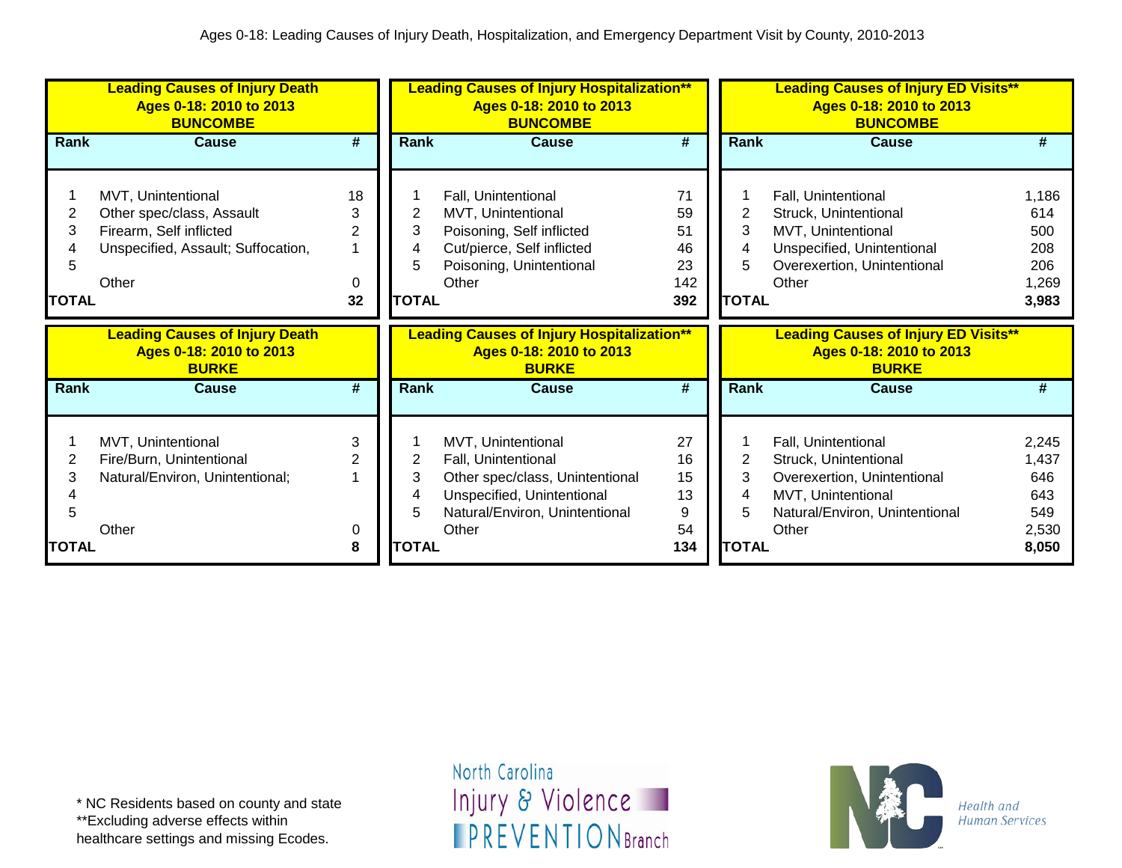|                | <b>Leading Causes of Injury Death</b><br>Ages 0-18: 2010 to 2013<br><b>BUNCOMBE</b> |                             |              | <b>Leading Causes of Injury Hospitalization**</b><br>Ages 0-18: 2010 to 2013<br><b>BUNCOMBE</b> |                             |                | <b>Leading Causes of Injury ED Visits**</b><br>Ages 0-18: 2010 to 2013<br><b>BUNCOMBE</b> |                |  |
|----------------|-------------------------------------------------------------------------------------|-----------------------------|--------------|-------------------------------------------------------------------------------------------------|-----------------------------|----------------|-------------------------------------------------------------------------------------------|----------------|--|
| Rank           | <b>Cause</b>                                                                        | #                           | Rank         | Cause                                                                                           | #                           | Rank           | <b>Cause</b>                                                                              | #              |  |
|                |                                                                                     |                             |              |                                                                                                 |                             |                |                                                                                           |                |  |
|                | MVT, Unintentional                                                                  | 18                          |              | Fall, Unintentional                                                                             | 71                          |                | Fall, Unintentional                                                                       | 1,186          |  |
| $\overline{2}$ | Other spec/class, Assault                                                           | 3                           | 2            | MVT, Unintentional                                                                              | 59                          | $\overline{c}$ | Struck, Unintentional                                                                     | 614            |  |
| 3              | Firearm, Self inflicted                                                             | 2                           | 3            | Poisoning, Self inflicted                                                                       | 51                          | 3              | MVT, Unintentional                                                                        | 500            |  |
|                | Unspecified, Assault; Suffocation,                                                  |                             |              | Cut/pierce, Self inflicted                                                                      | 46                          | 4              | Unspecified, Unintentional                                                                | 208            |  |
| 5              |                                                                                     |                             |              | Poisoning, Unintentional                                                                        | 23                          | 5              | Overexertion, Unintentional                                                               | 206            |  |
|                | Other                                                                               | 0                           |              | Other                                                                                           | 142                         |                | Other                                                                                     | 1,269          |  |
| <b>TOTAL</b>   |                                                                                     | 32                          | <b>TOTAL</b> |                                                                                                 | 392                         | <b>TOTAL</b>   |                                                                                           | 3,983          |  |
|                |                                                                                     |                             |              |                                                                                                 |                             |                |                                                                                           |                |  |
|                | <b>Leading Causes of Injury Death</b><br>Ages 0-18: 2010 to 2013<br><b>BURKE</b>    |                             |              | <b>Leading Causes of Injury Hospitalization**</b><br>Ages 0-18: 2010 to 2013<br><b>BURKE</b>    |                             |                | <b>Leading Causes of Injury ED Visits**</b><br>Ages 0-18: 2010 to 2013<br><b>BURKE</b>    |                |  |
| Rank           | <b>Cause</b>                                                                        | $\overline{\boldsymbol{H}}$ | <b>Rank</b>  | Cause                                                                                           | $\overline{\boldsymbol{t}}$ | <b>Rank</b>    | <b>Cause</b>                                                                              | #              |  |
|                |                                                                                     |                             |              |                                                                                                 |                             |                |                                                                                           |                |  |
|                | MVT, Unintentional                                                                  | 3                           |              | MVT, Unintentional                                                                              | 27                          |                | Fall, Unintentional                                                                       | 2,245          |  |
| 2              | Fire/Burn, Unintentional                                                            | 2                           | 2            | Fall, Unintentional                                                                             | 16                          | 2              | Struck, Unintentional                                                                     | 1,437          |  |
| 3              | Natural/Environ, Unintentional;                                                     |                             | 3            | Other spec/class, Unintentional                                                                 | 15                          | 3              | Overexertion, Unintentional                                                               | 646            |  |
|                |                                                                                     |                             |              | Unspecified, Unintentional                                                                      | 13                          | 4              | MVT, Unintentional                                                                        | 643            |  |
| 5              |                                                                                     |                             |              | Natural/Environ, Unintentional                                                                  | 9                           | 5              | Natural/Environ, Unintentional                                                            | 549            |  |
| <b>TOTAL</b>   | Other                                                                               | 0<br>8                      | <b>TOTAL</b> | Other                                                                                           | 54<br>134                   | <b>TOTAL</b>   | Other                                                                                     | 2,530<br>8,050 |  |

healthcare settings and missing Ecodes.

North Carolina Injury & Violence **IPREVENTIONBranch** 

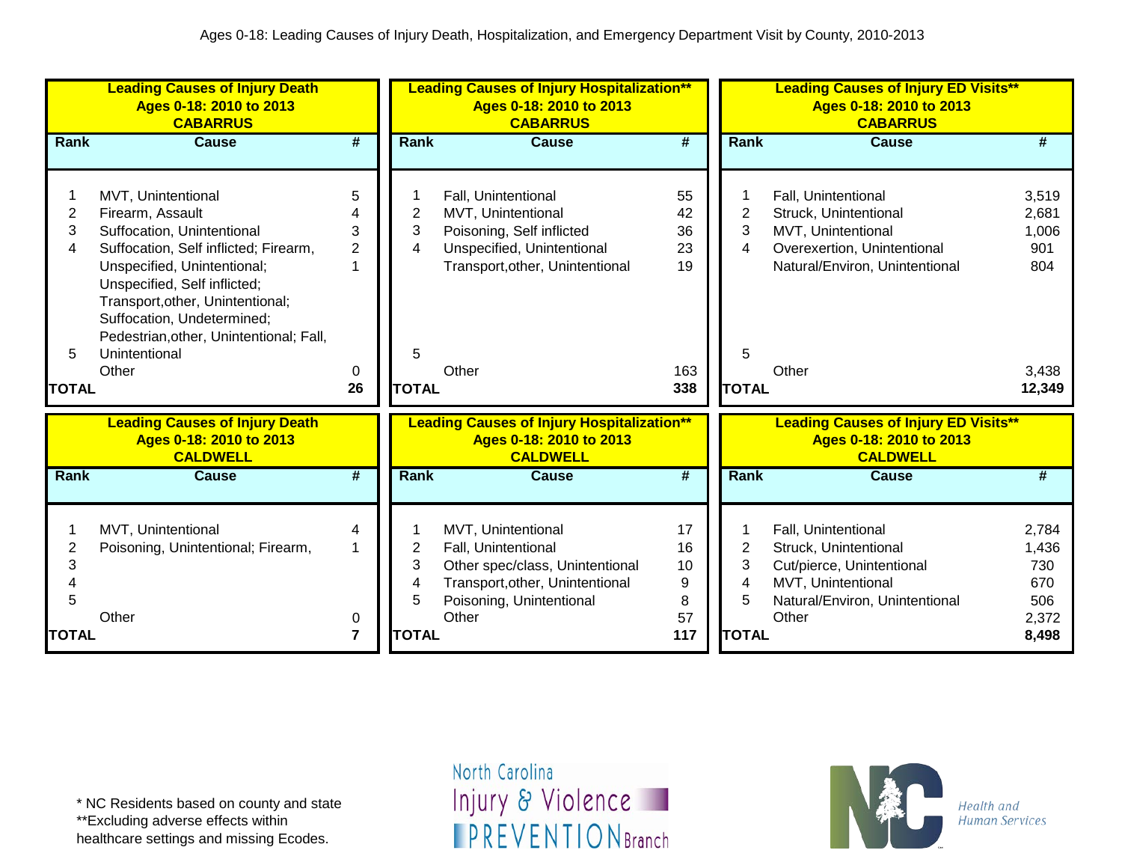|                                        | <b>Leading Causes of Injury Death</b><br>Ages 0-18: 2010 to 2013<br><b>CABARRUS</b>                                                                                                                                                                                                                                 |                                          | <b>Leading Causes of Injury Hospitalization**</b><br>Ages 0-18: 2010 to 2013<br><b>CABARRUS</b> |                                                                                                                                                      |                                          | <b>Leading Causes of Injury ED Visits**</b><br>Ages 0-18: 2010 to 2013<br><b>CABARRUS</b> |                                                                                                                                              |                                                          |  |
|----------------------------------------|---------------------------------------------------------------------------------------------------------------------------------------------------------------------------------------------------------------------------------------------------------------------------------------------------------------------|------------------------------------------|-------------------------------------------------------------------------------------------------|------------------------------------------------------------------------------------------------------------------------------------------------------|------------------------------------------|-------------------------------------------------------------------------------------------|----------------------------------------------------------------------------------------------------------------------------------------------|----------------------------------------------------------|--|
| <b>Rank</b>                            | <b>Cause</b>                                                                                                                                                                                                                                                                                                        | #                                        | <b>Rank</b>                                                                                     | <b>Cause</b>                                                                                                                                         | $\overline{\boldsymbol{t}}$              | <b>Rank</b>                                                                               | <b>Cause</b>                                                                                                                                 | #                                                        |  |
| $\overline{2}$<br>3<br>4<br>5<br>TOTAL | MVT, Unintentional<br>Firearm, Assault<br>Suffocation, Unintentional<br>Suffocation, Self inflicted; Firearm,<br>Unspecified, Unintentional;<br>Unspecified, Self inflicted;<br>Transport, other, Unintentional;<br>Suffocation, Undetermined;<br>Pedestrian, other, Unintentional; Fall,<br>Unintentional<br>Other | 5<br>3<br>$\overline{2}$<br>1<br>0<br>26 | 2<br>3<br>4<br>5<br><b>TOTAL</b>                                                                | Fall, Unintentional<br>MVT, Unintentional<br>Poisoning, Self inflicted<br>Unspecified, Unintentional<br>Transport, other, Unintentional<br>Other     | 55<br>42<br>36<br>23<br>19<br>163<br>338 | 2<br>3<br>4<br>5<br><b>TOTAL</b>                                                          | Fall, Unintentional<br>Struck, Unintentional<br>MVT, Unintentional<br>Overexertion, Unintentional<br>Natural/Environ, Unintentional<br>Other | 3,519<br>2,681<br>1,006<br>901<br>804<br>3,438<br>12,349 |  |
|                                        | <b>Leading Causes of Injury Death</b><br>Ages 0-18: 2010 to 2013<br><b>CALDWELL</b>                                                                                                                                                                                                                                 |                                          |                                                                                                 | <b>Leading Causes of Injury Hospitalization**</b><br>Ages 0-18: 2010 to 2013<br><b>CALDWELL</b>                                                      |                                          |                                                                                           | <b>Leading Causes of Injury ED Visits**</b><br>Ages 0-18: 2010 to 2013<br><b>CALDWELL</b>                                                    |                                                          |  |
| <b>Rank</b>                            | <b>Cause</b>                                                                                                                                                                                                                                                                                                        | $\overline{\boldsymbol{t}}$              | Rank                                                                                            | <b>Cause</b>                                                                                                                                         | $\overline{\boldsymbol{t}}$              | Rank                                                                                      | <b>Cause</b>                                                                                                                                 | #                                                        |  |
| 2<br>3<br>4<br>5<br>TOTAL              | MVT, Unintentional<br>Poisoning, Unintentional; Firearm,<br>Other                                                                                                                                                                                                                                                   | 4<br>1<br>0<br>$\overline{7}$            | 2<br>3<br>4<br>5<br><b>TOTAL</b>                                                                | MVT, Unintentional<br>Fall, Unintentional<br>Other spec/class, Unintentional<br>Transport, other, Unintentional<br>Poisoning, Unintentional<br>Other | 17<br>16<br>10<br>9<br>8<br>57<br>117    | 2<br>3<br>4<br>5<br><b>TOTAL</b>                                                          | Fall, Unintentional<br>Struck, Unintentional<br>Cut/pierce, Unintentional<br>MVT, Unintentional<br>Natural/Environ, Unintentional<br>Other   | 2,784<br>1,436<br>730<br>670<br>506<br>2,372<br>8,498    |  |

\*\*Excluding adverse effects within

healthcare settings and missing Ecodes.

North Carolina Injury & Violence **IPREVENTIONBranch** 

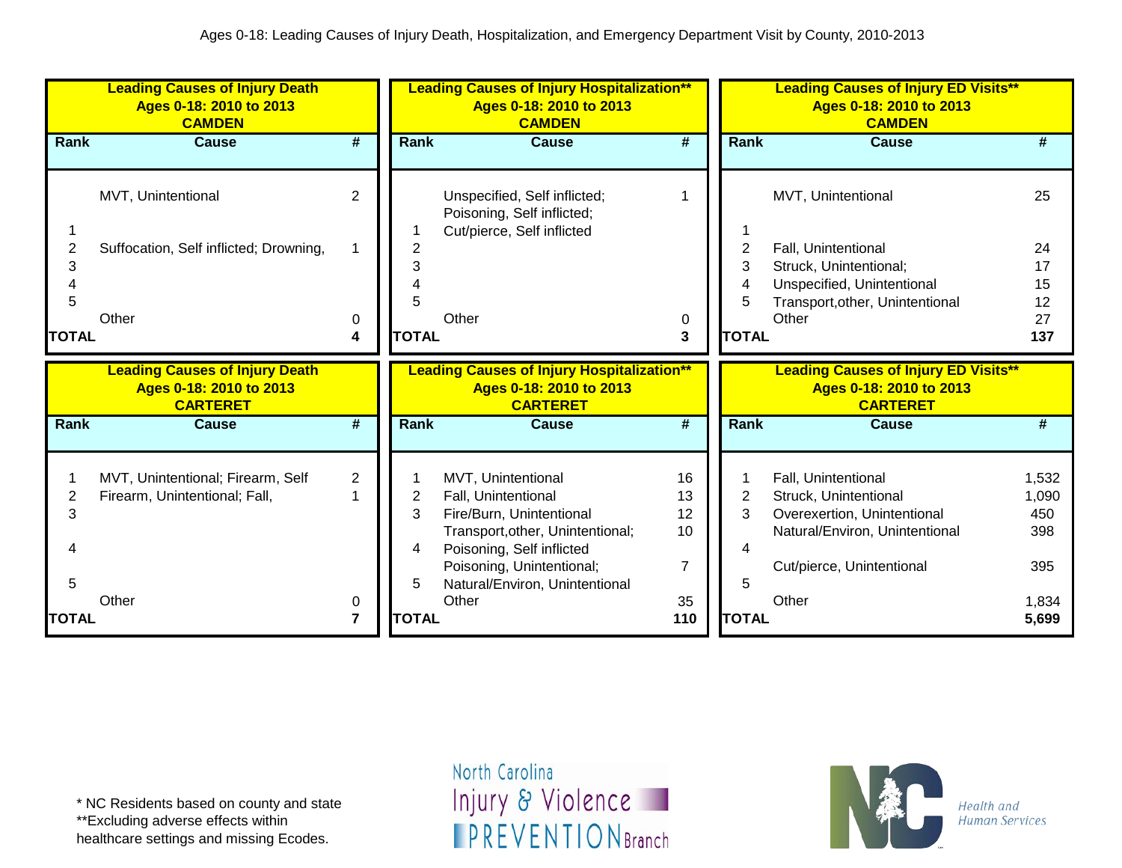|                                          | <b>Leading Causes of Injury Death</b><br>Ages 0-18: 2010 to 2013<br><b>CAMDEN</b>   |                                       | <b>Leading Causes of Injury Hospitalization**</b><br>Ages 0-18: 2010 to 2013<br><b>CAMDEN</b> |                                                                                                                                                                                                                |                                                     |                             | <b>Leading Causes of Injury ED Visits**</b><br>Ages 0-18: 2010 to 2013<br><b>CAMDEN</b>                                                             |                                                       |  |
|------------------------------------------|-------------------------------------------------------------------------------------|---------------------------------------|-----------------------------------------------------------------------------------------------|----------------------------------------------------------------------------------------------------------------------------------------------------------------------------------------------------------------|-----------------------------------------------------|-----------------------------|-----------------------------------------------------------------------------------------------------------------------------------------------------|-------------------------------------------------------|--|
| Rank                                     | <b>Cause</b>                                                                        | #                                     | Rank                                                                                          | <b>Cause</b>                                                                                                                                                                                                   | #                                                   | Rank                        | Cause                                                                                                                                               | #                                                     |  |
| 2<br>3<br>5<br><b>TOTAL</b>              | MVT, Unintentional<br>Suffocation, Self inflicted; Drowning,<br>Other               | 2<br>0<br>4                           | 3<br><b>TOTAL</b>                                                                             | Unspecified, Self inflicted;<br>Poisoning, Self inflicted;<br>Cut/pierce, Self inflicted<br>Other                                                                                                              | 0<br>3                                              | 2<br>3<br>5<br><b>TOTAL</b> | MVT, Unintentional<br>Fall, Unintentional<br>Struck, Unintentional;<br>Unspecified, Unintentional<br>Transport, other, Unintentional<br>Other       | 25<br>24<br>17<br>15<br>12<br>27<br>137               |  |
|                                          |                                                                                     |                                       |                                                                                               |                                                                                                                                                                                                                |                                                     |                             |                                                                                                                                                     |                                                       |  |
|                                          | <b>Leading Causes of Injury Death</b><br>Ages 0-18: 2010 to 2013<br><b>CARTERET</b> |                                       |                                                                                               | <b>Leading Causes of Injury Hospitalization**</b><br>Ages 0-18: 2010 to 2013<br><b>CARTERET</b>                                                                                                                |                                                     |                             | <b>Leading Causes of Injury ED Visits**</b><br>Ages 0-18: 2010 to 2013<br><b>CARTERET</b>                                                           |                                                       |  |
| Rank                                     | <b>Cause</b>                                                                        | #                                     | <b>Rank</b>                                                                                   | <b>Cause</b>                                                                                                                                                                                                   | #                                                   | <b>Rank</b>                 | <b>Cause</b>                                                                                                                                        | #                                                     |  |
| $\overline{2}$<br>3<br>5<br><b>TOTAL</b> | MVT, Unintentional; Firearm, Self<br>Firearm, Unintentional; Fall,<br>Other         | $\overline{2}$<br>0<br>$\overline{7}$ | 2<br>3<br>4<br>5<br><b>TOTAL</b>                                                              | MVT, Unintentional<br>Fall, Unintentional<br>Fire/Burn, Unintentional<br>Transport, other, Unintentional;<br>Poisoning, Self inflicted<br>Poisoning, Unintentional;<br>Natural/Environ, Unintentional<br>Other | 16<br>13<br>12<br>10<br>$\overline{7}$<br>35<br>110 | 2<br>3<br>5<br><b>TOTAL</b> | Fall, Unintentional<br>Struck, Unintentional<br>Overexertion, Unintentional<br>Natural/Environ, Unintentional<br>Cut/pierce, Unintentional<br>Other | 1,532<br>1,090<br>450<br>398<br>395<br>1,834<br>5,699 |  |

\*\*Excluding adverse effects within

healthcare settings and missing Ecodes.

North Carolina Injury & Violence **IPREVENTIONBranch** 

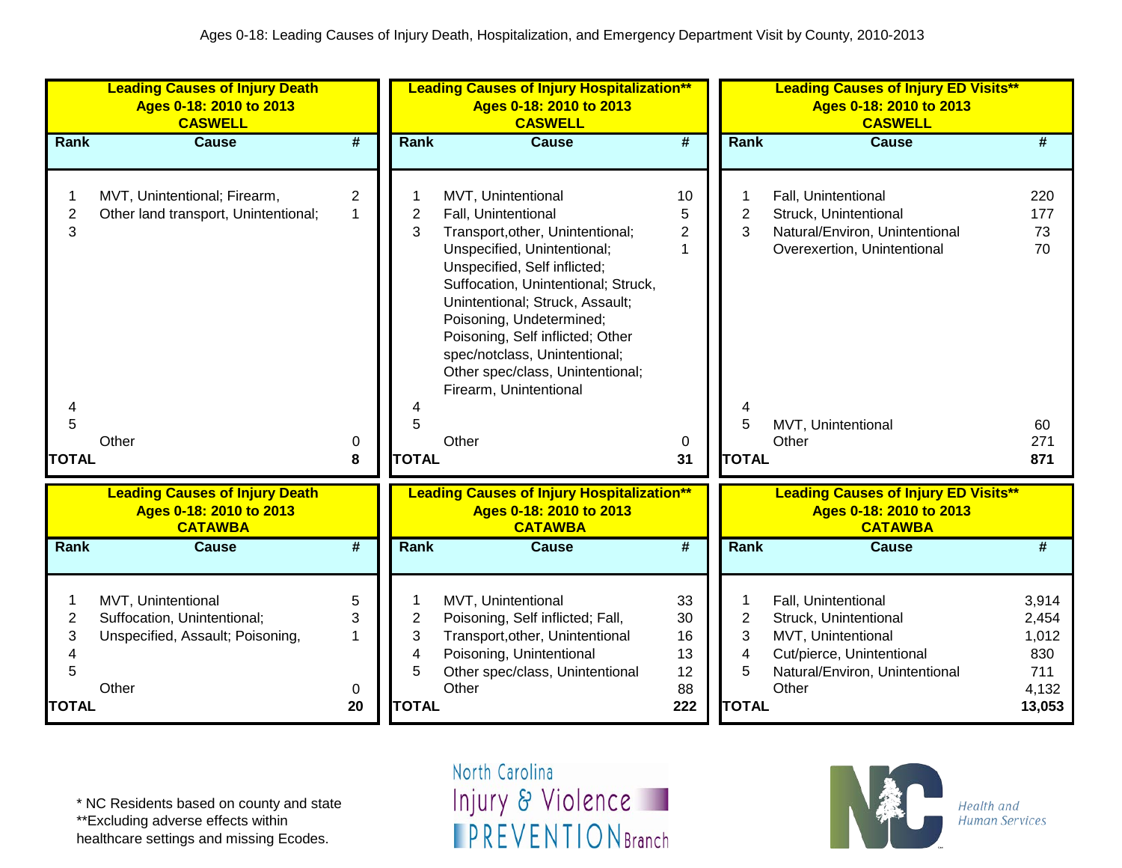|                | <b>Leading Causes of Injury Death</b><br>Ages 0-18: 2010 to 2013<br><b>CASWELL</b> |                             |                | <b>Leading Causes of Injury Hospitalization**</b><br>Ages 0-18: 2010 to 2013<br><b>CASWELL</b>                                                                                                                                                                                                       |                 |                | <b>Leading Causes of Injury ED Visits**</b><br>Ages 0-18: 2010 to 2013<br><b>CASWELL</b> |            |  |
|----------------|------------------------------------------------------------------------------------|-----------------------------|----------------|------------------------------------------------------------------------------------------------------------------------------------------------------------------------------------------------------------------------------------------------------------------------------------------------------|-----------------|----------------|------------------------------------------------------------------------------------------|------------|--|
| Rank           | <b>Cause</b>                                                                       | $\overline{\boldsymbol{t}}$ | <b>Rank</b>    | <b>Cause</b>                                                                                                                                                                                                                                                                                         | $\overline{\#}$ | Rank           | <b>Cause</b>                                                                             | #          |  |
|                | MVT, Unintentional; Firearm,                                                       | $\overline{2}$              |                | MVT, Unintentional                                                                                                                                                                                                                                                                                   | 10              |                | Fall, Unintentional                                                                      | 220        |  |
| $\overline{2}$ | Other land transport, Unintentional;                                               | $\mathbf{1}$                | 2              | Fall, Unintentional                                                                                                                                                                                                                                                                                  | 5               | $\overline{c}$ | Struck, Unintentional                                                                    | 177        |  |
| 3              |                                                                                    |                             | 3              | Transport, other, Unintentional;                                                                                                                                                                                                                                                                     | $\overline{2}$  | 3              | Natural/Environ, Unintentional                                                           | 73         |  |
| 4<br>5         |                                                                                    |                             | 4<br>5         | Unspecified, Unintentional;<br>Unspecified, Self inflicted;<br>Suffocation, Unintentional; Struck,<br>Unintentional; Struck, Assault;<br>Poisoning, Undetermined;<br>Poisoning, Self inflicted; Other<br>spec/notclass, Unintentional;<br>Other spec/class, Unintentional;<br>Firearm, Unintentional | 1               | 5              | Overexertion, Unintentional<br>MVT, Unintentional                                        | 70<br>60   |  |
| <b>TOTAL</b>   | Other                                                                              | 0<br>8                      | <b>TOTAL</b>   | Other                                                                                                                                                                                                                                                                                                | 0<br>31         | <b>TOTAL</b>   | Other                                                                                    | 271<br>871 |  |
|                | <b>Leading Causes of Injury Death</b><br>Ages 0-18: 2010 to 2013<br><b>CATAWBA</b> |                             |                | <b>Leading Causes of Injury Hospitalization**</b><br>Ages 0-18: 2010 to 2013<br><b>CATAWBA</b>                                                                                                                                                                                                       |                 |                | <b>Leading Causes of Injury ED Visits**</b><br>Ages 0-18: 2010 to 2013<br><b>CATAWBA</b> |            |  |
| Rank           | <b>Cause</b>                                                                       | #                           | Rank           | <b>Cause</b>                                                                                                                                                                                                                                                                                         | #               | Rank           | <b>Cause</b>                                                                             | #          |  |
| 1              | MVT, Unintentional                                                                 | 5                           |                | MVT, Unintentional                                                                                                                                                                                                                                                                                   | 33              |                | Fall, Unintentional                                                                      | 3,914      |  |
| 2              | Suffocation, Unintentional;                                                        | 3                           | $\overline{2}$ | Poisoning, Self inflicted; Fall,                                                                                                                                                                                                                                                                     | 30              | $\overline{2}$ | Struck, Unintentional                                                                    | 2,454      |  |
| 3              | Unspecified, Assault; Poisoning,                                                   | 1                           | 3              | Transport, other, Unintentional                                                                                                                                                                                                                                                                      | 16              | 3              | MVT, Unintentional                                                                       | 1,012      |  |
| 4              |                                                                                    |                             | 4              | Poisoning, Unintentional                                                                                                                                                                                                                                                                             | 13              | 4              | Cut/pierce, Unintentional                                                                | 830        |  |
| 5              |                                                                                    |                             | 5              | Other spec/class, Unintentional                                                                                                                                                                                                                                                                      | 12              | 5              | Natural/Environ, Unintentional                                                           | 711        |  |
|                | Other                                                                              | 0                           |                | Other                                                                                                                                                                                                                                                                                                | 88              |                | Other                                                                                    | 4,132      |  |
| <b>TOTAL</b>   |                                                                                    | 20                          | <b>TOTAL</b>   |                                                                                                                                                                                                                                                                                                      | 222             | <b>TOTAL</b>   |                                                                                          | 13,053     |  |

\*\*Excluding adverse effects within

healthcare settings and missing Ecodes.

North Carolina Injury & Violence **IPREVENTIONBranch** 

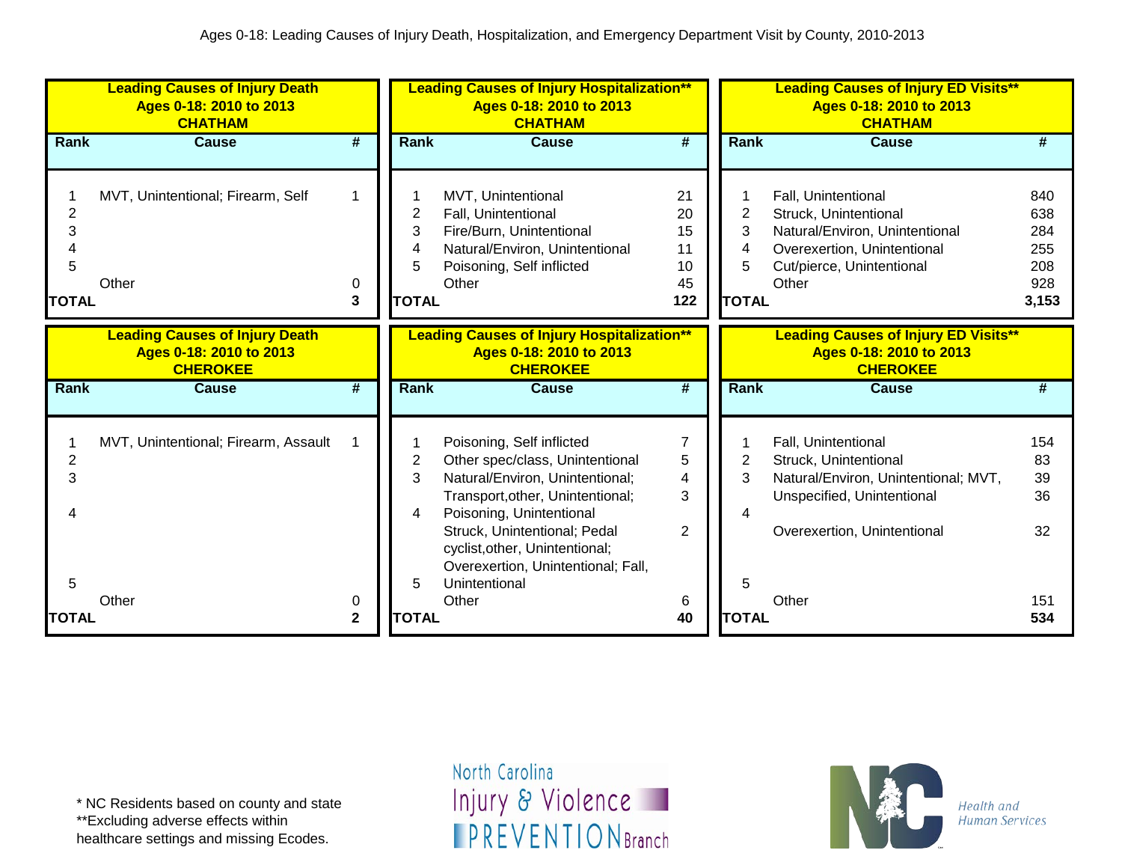|              | <b>Leading Causes of Injury Death</b><br>Ages 0-18: 2010 to 2013<br><b>CHATHAM</b> |                             |              | <b>Leading Causes of Injury Hospitalization**</b><br>Ages 0-18: 2010 to 2013<br><b>CHATHAM</b> |                             | <b>Leading Causes of Injury ED Visits**</b><br>Ages 0-18: 2010 to 2013<br><b>CHATHAM</b> |                                             |       |  |
|--------------|------------------------------------------------------------------------------------|-----------------------------|--------------|------------------------------------------------------------------------------------------------|-----------------------------|------------------------------------------------------------------------------------------|---------------------------------------------|-------|--|
| Rank         | <b>Cause</b>                                                                       | $\overline{\boldsymbol{t}}$ | <b>Rank</b>  | <b>Cause</b>                                                                                   | $\overline{\boldsymbol{t}}$ | Rank                                                                                     | <b>Cause</b>                                | #     |  |
|              |                                                                                    |                             |              |                                                                                                |                             |                                                                                          |                                             |       |  |
|              | MVT, Unintentional; Firearm, Self                                                  | 1                           |              | MVT, Unintentional                                                                             | 21                          |                                                                                          | Fall, Unintentional                         | 840   |  |
| 2            |                                                                                    |                             | 2            | Fall, Unintentional                                                                            | 20                          | $\overline{2}$                                                                           | Struck, Unintentional                       | 638   |  |
| 3            |                                                                                    |                             | 3            | Fire/Burn, Unintentional                                                                       | 15                          | 3                                                                                        | Natural/Environ, Unintentional              | 284   |  |
|              |                                                                                    |                             | 4            | Natural/Environ, Unintentional                                                                 | 11                          | 4                                                                                        | Overexertion, Unintentional                 | 255   |  |
| 5            |                                                                                    |                             | 5            | Poisoning, Self inflicted                                                                      | 10                          | 5.                                                                                       | Cut/pierce, Unintentional                   | 208   |  |
|              | Other                                                                              | 0                           |              | Other                                                                                          | 45                          |                                                                                          | Other                                       | 928   |  |
| <b>TOTAL</b> |                                                                                    | 3                           | <b>TOTAL</b> |                                                                                                | 122                         | <b>TOTAL</b>                                                                             |                                             | 3,153 |  |
|              | <b>Leading Causes of Injury Death</b>                                              |                             |              | <b>Leading Causes of Injury Hospitalization**</b>                                              |                             |                                                                                          | <b>Leading Causes of Injury ED Visits**</b> |       |  |
|              | Ages 0-18: 2010 to 2013                                                            |                             |              | Ages 0-18: 2010 to 2013                                                                        |                             |                                                                                          | Ages 0-18: 2010 to 2013                     |       |  |
|              | <b>CHEROKEE</b>                                                                    |                             |              | <b>CHEROKEE</b>                                                                                |                             |                                                                                          | <b>CHEROKEE</b>                             |       |  |
| <b>Rank</b>  | <b>Cause</b>                                                                       | #                           | <b>Rank</b>  | <b>Cause</b>                                                                                   | #                           | Rank                                                                                     | <b>Cause</b>                                | #     |  |
|              |                                                                                    |                             |              |                                                                                                |                             |                                                                                          |                                             |       |  |
|              |                                                                                    |                             |              |                                                                                                |                             |                                                                                          |                                             |       |  |
|              | MVT, Unintentional; Firearm, Assault                                               |                             |              | Poisoning, Self inflicted                                                                      | 7                           |                                                                                          | Fall, Unintentional                         | 154   |  |
| 2            |                                                                                    |                             | 2            | Other spec/class, Unintentional                                                                | 5                           | 2                                                                                        | Struck, Unintentional                       | 83    |  |
| 3            |                                                                                    |                             | 3            | Natural/Environ, Unintentional;                                                                | 4                           | 3                                                                                        | Natural/Environ, Unintentional; MVT,        | 39    |  |
|              |                                                                                    |                             | 4            | Transport, other, Unintentional;<br>Poisoning, Unintentional                                   | 3                           | Δ                                                                                        | Unspecified, Unintentional                  | 36    |  |
|              |                                                                                    |                             |              | Struck, Unintentional; Pedal                                                                   | $\overline{2}$              |                                                                                          | Overexertion, Unintentional                 | 32    |  |
|              |                                                                                    |                             |              | cyclist, other, Unintentional;                                                                 |                             |                                                                                          |                                             |       |  |
|              |                                                                                    |                             |              | Overexertion, Unintentional; Fall,                                                             |                             |                                                                                          |                                             |       |  |
| 5            |                                                                                    |                             | 5            | Unintentional                                                                                  |                             | 5                                                                                        |                                             |       |  |
|              | Other                                                                              | 0                           |              | Other                                                                                          | 6                           |                                                                                          | Other                                       | 151   |  |
| <b>TOTAL</b> |                                                                                    | $\mathbf{2}$                | <b>TOTAL</b> |                                                                                                | 40                          | <b>TOTAL</b>                                                                             |                                             | 534   |  |

\*\*Excluding adverse effects within

healthcare settings and missing Ecodes.

North Carolina Injury & Violence **IPREVENTIONBranch** 

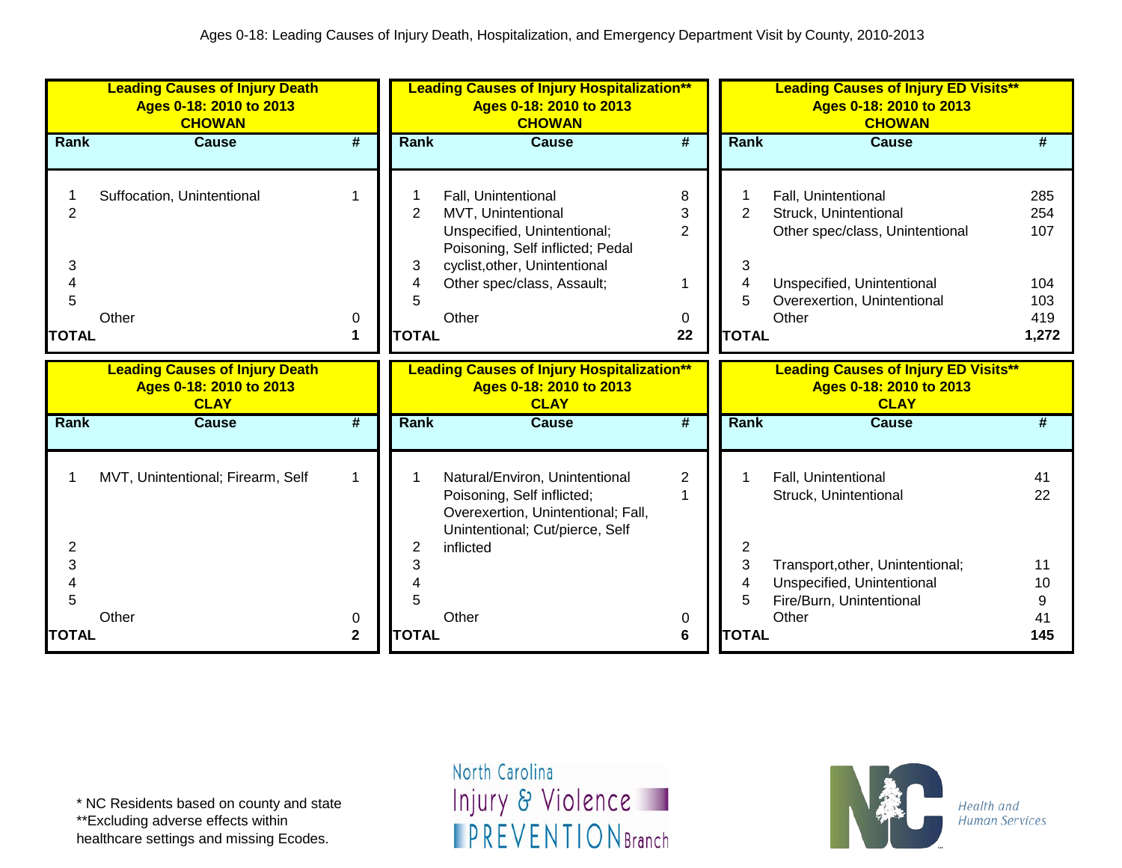|                                               | <b>Leading Causes of Injury Death</b><br>Ages 0-18: 2010 to 2013<br><b>CHOWAN</b> |                   |                                          | <b>Leading Causes of Injury Hospitalization**</b><br>Ages 0-18: 2010 to 2013<br><b>CHOWAN</b>                                                                                        |                                          |                                  | <b>Leading Causes of Injury ED Visits**</b><br>Ages 0-18: 2010 to 2013<br><b>CHOWAN</b>                                                               |                                                 |
|-----------------------------------------------|-----------------------------------------------------------------------------------|-------------------|------------------------------------------|--------------------------------------------------------------------------------------------------------------------------------------------------------------------------------------|------------------------------------------|----------------------------------|-------------------------------------------------------------------------------------------------------------------------------------------------------|-------------------------------------------------|
| <b>Rank</b>                                   | <b>Cause</b>                                                                      | #                 | <b>Rank</b>                              | <b>Cause</b>                                                                                                                                                                         | #                                        | Rank                             | <b>Cause</b>                                                                                                                                          | #                                               |
| $\overline{2}$<br>3<br>Δ<br>5<br><b>TOTAL</b> | Suffocation, Unintentional<br>Other                                               | 0<br>1            | $\overline{2}$<br>3<br>5<br><b>TOTAL</b> | Fall, Unintentional<br>MVT, Unintentional<br>Unspecified, Unintentional;<br>Poisoning, Self inflicted; Pedal<br>cyclist, other, Unintentional<br>Other spec/class, Assault;<br>Other | 8<br>3<br>$\overline{2}$<br>1<br>0<br>22 | 2<br>3<br>4<br>5<br><b>TOTAL</b> | Fall, Unintentional<br>Struck, Unintentional<br>Other spec/class, Unintentional<br>Unspecified, Unintentional<br>Overexertion, Unintentional<br>Other | 285<br>254<br>107<br>104<br>103<br>419<br>1,272 |
|                                               | <b>Leading Causes of Injury Death</b><br>Ages 0-18: 2010 to 2013<br><b>CLAY</b>   |                   |                                          | <b>Leading Causes of Injury Hospitalization**</b><br>Ages 0-18: 2010 to 2013<br><b>CLAY</b>                                                                                          |                                          |                                  | <b>Leading Causes of Injury ED Visits**</b><br>Ages 0-18: 2010 to 2013<br><b>CLAY</b>                                                                 |                                                 |
| <b>Rank</b>                                   | <b>Cause</b>                                                                      | #                 | <b>Rank</b>                              | <b>Cause</b>                                                                                                                                                                         | #                                        | Rank                             | <b>Cause</b>                                                                                                                                          | #                                               |
| $\overline{2}$                                | MVT, Unintentional; Firearm, Self                                                 | $\mathbf 1$       | 2                                        | Natural/Environ, Unintentional<br>Poisoning, Self inflicted;<br>Overexertion, Unintentional; Fall,<br>Unintentional; Cut/pierce, Self<br>inflicted                                   | $\overline{2}$                           | 2                                | Fall, Unintentional<br>Struck, Unintentional                                                                                                          | 41<br>22                                        |
| 3<br>$\boldsymbol{\Lambda}$<br>5              |                                                                                   |                   | 3                                        |                                                                                                                                                                                      |                                          | 3<br>4<br>5                      | Transport, other, Unintentional;<br>Unspecified, Unintentional<br>Fire/Burn, Unintentional                                                            | 11<br>10<br>9                                   |
| <b>TOTAL</b>                                  | Other                                                                             | 0<br>$\mathbf{2}$ | <b>TOTAL</b>                             | Other                                                                                                                                                                                | 0<br>6                                   | <b>TOTAL</b>                     | Other                                                                                                                                                 | 41<br>145                                       |

\*\*Excluding adverse effects within

healthcare settings and missing Ecodes.

North Carolina Injury & Violence **IPREVENTIONBranch** 

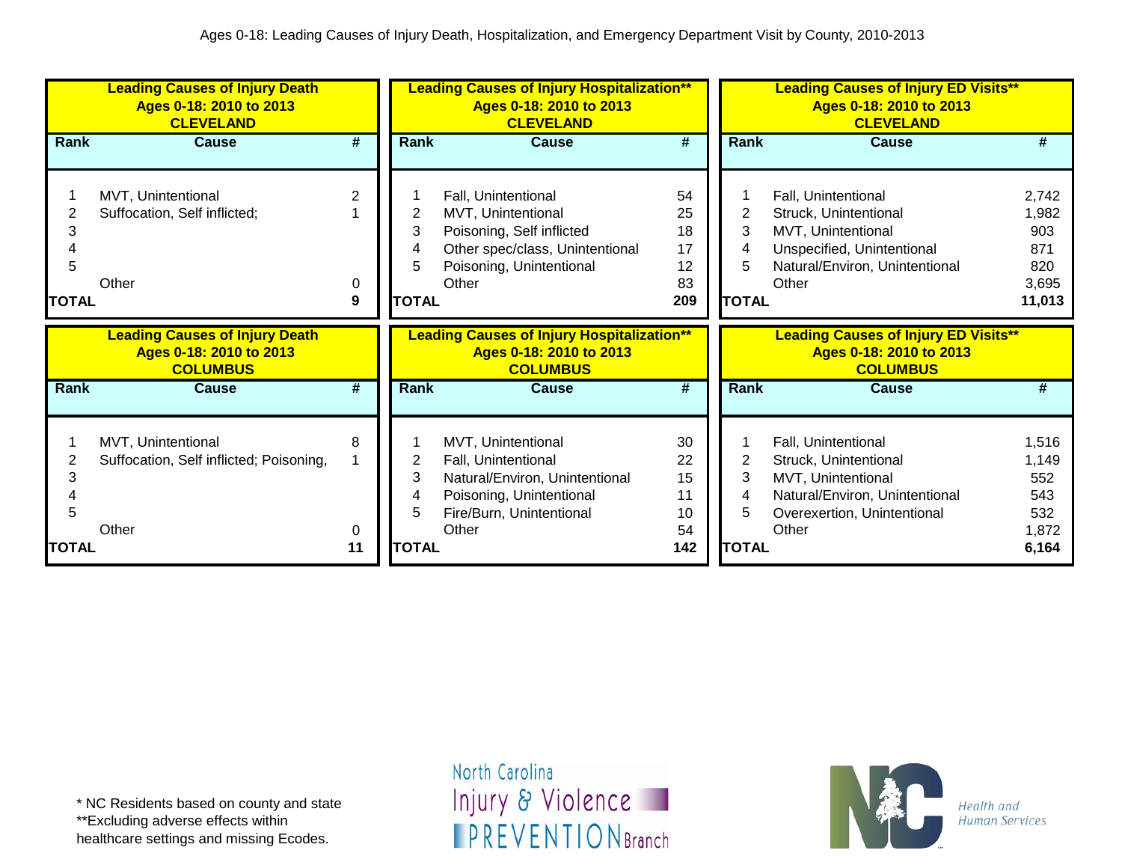|              | <b>Leading Causes of Injury Death</b><br>Ages 0-18: 2010 to 2013<br><b>CLEVELAND</b> |         |              | <b>Leading Causes of Injury Hospitalization**</b><br>Ages 0-18: 2010 to 2013<br><b>CLEVELAND</b> |           |                | <b>Leading Causes of Injury ED Visits**</b><br>Ages 0-18: 2010 to 2013<br><b>CLEVELAND</b> |                |
|--------------|--------------------------------------------------------------------------------------|---------|--------------|--------------------------------------------------------------------------------------------------|-----------|----------------|--------------------------------------------------------------------------------------------|----------------|
| Rank         | <b>Cause</b>                                                                         | #       | Rank         | <b>Cause</b>                                                                                     | #         | Rank           | <b>Cause</b>                                                                               | #              |
|              |                                                                                      |         |              |                                                                                                  |           |                |                                                                                            |                |
|              | MVT, Unintentional                                                                   | 2       |              | Fall, Unintentional                                                                              | 54        |                | Fall, Unintentional                                                                        | 2,742          |
|              | Suffocation, Self inflicted;                                                         |         | 2            | MVT, Unintentional                                                                               | 25        | $\overline{2}$ | Struck, Unintentional                                                                      | 1,982          |
| 3            |                                                                                      |         | 3            | Poisoning, Self inflicted                                                                        | 18        | 3              | MVT, Unintentional                                                                         | 903            |
|              |                                                                                      |         |              | Other spec/class, Unintentional                                                                  | 17        | 4              | Unspecified, Unintentional                                                                 | 871            |
| 5            |                                                                                      |         |              | Poisoning, Unintentional                                                                         | 12        |                | Natural/Environ, Unintentional                                                             | 820            |
|              | Other                                                                                | 0       |              | Other                                                                                            | 83        |                | Other                                                                                      | 3,695          |
| TOTAL        |                                                                                      | 9       | <b>TOTAL</b> |                                                                                                  | 209       | <b>TOTAL</b>   |                                                                                            | 11,013         |
|              |                                                                                      |         |              |                                                                                                  |           |                |                                                                                            |                |
|              | <b>Leading Causes of Injury Death</b><br>Ages 0-18: 2010 to 2013<br><b>COLUMBUS</b>  |         |              | <b>Leading Causes of Injury Hospitalization**</b><br>Ages 0-18: 2010 to 2013<br><b>COLUMBUS</b>  |           |                | <b>Leading Causes of Injury ED Visits**</b><br>Ages 0-18: 2010 to 2013<br><b>COLUMBUS</b>  |                |
| Rank         | <b>Cause</b>                                                                         | #       | <b>Rank</b>  | Cause                                                                                            | #         | <b>Rank</b>    | Cause                                                                                      | #              |
|              |                                                                                      |         |              |                                                                                                  |           |                |                                                                                            |                |
|              | MVT, Unintentional                                                                   | 8       |              | MVT, Unintentional                                                                               | 30        |                | Fall, Unintentional                                                                        | 1,516          |
|              | Suffocation, Self inflicted; Poisoning,                                              |         | 2            | Fall, Unintentional                                                                              | 22        | 2              | Struck, Unintentional                                                                      | 1,149          |
|              |                                                                                      |         | 3            | Natural/Environ, Unintentional                                                                   | 15        | 3              | MVT, Unintentional                                                                         | 552            |
|              |                                                                                      |         |              | Poisoning, Unintentional                                                                         | 11        | 4              | Natural/Environ, Unintentional                                                             | 543            |
| 5            |                                                                                      |         | 5            | Fire/Burn, Unintentional                                                                         | 10        | 5              | Overexertion, Unintentional                                                                | 532            |
| <b>TOTAL</b> | Other                                                                                | 0<br>11 | <b>TOTAL</b> | Other                                                                                            | 54<br>142 | <b>TOTAL</b>   | Other                                                                                      | 1,872<br>6,164 |

healthcare settings and missing Ecodes.

North Carolina Injury & Violence **IPREVENTIONBranch** 

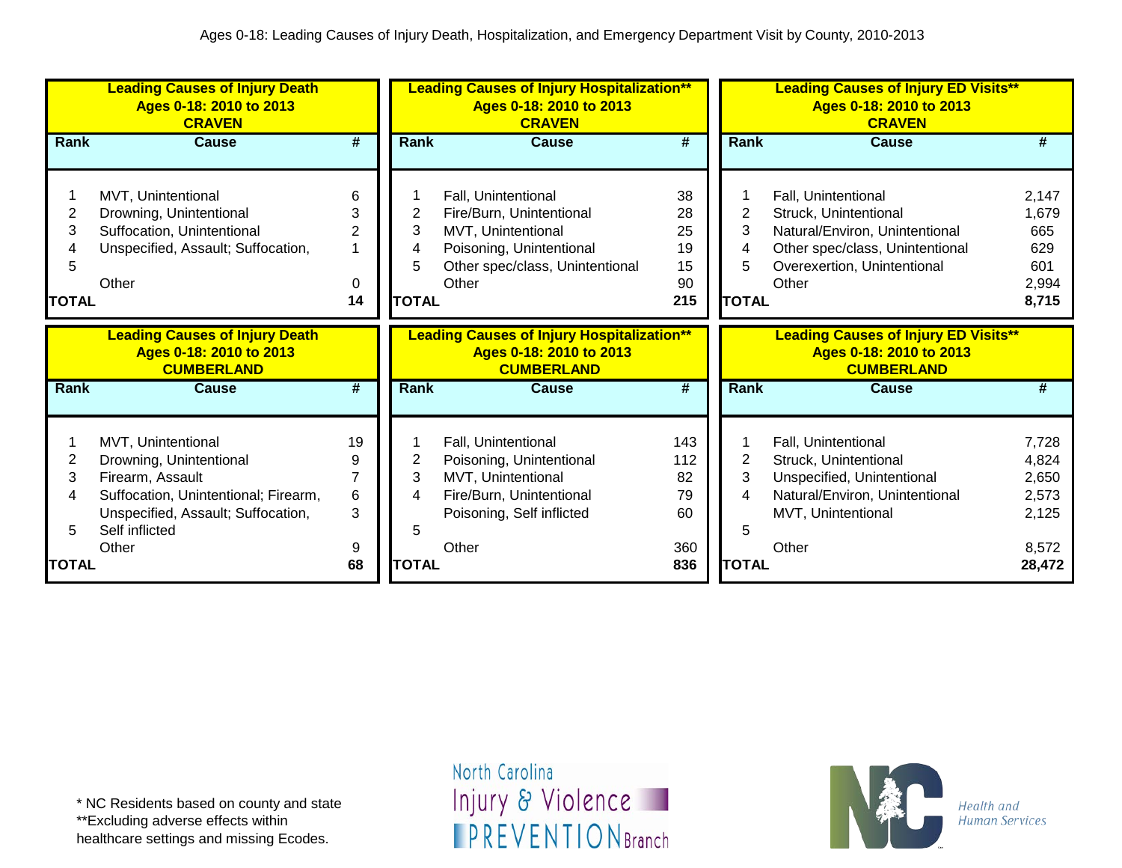|                                  | <b>Leading Causes of Injury Death</b><br>Ages 0-18: 2010 to 2013<br><b>CRAVEN</b>                                                                                 |                            |                                  | <b>Leading Causes of Injury Hospitalization**</b><br>Ages 0-18: 2010 to 2013<br><b>CRAVEN</b>                                                 |                                         |                                  | <b>Leading Causes of Injury ED Visits**</b><br>Ages 0-18: 2010 to 2013<br><b>CRAVEN</b>                                                                   |                                                       |
|----------------------------------|-------------------------------------------------------------------------------------------------------------------------------------------------------------------|----------------------------|----------------------------------|-----------------------------------------------------------------------------------------------------------------------------------------------|-----------------------------------------|----------------------------------|-----------------------------------------------------------------------------------------------------------------------------------------------------------|-------------------------------------------------------|
| Rank                             | <b>Cause</b>                                                                                                                                                      | #                          | <b>Rank</b>                      | <b>Cause</b>                                                                                                                                  | $\overline{\#}$                         | Rank                             | <b>Cause</b>                                                                                                                                              | #                                                     |
| 2<br>3<br>4<br>5<br><b>TOTAL</b> | MVT, Unintentional<br>Drowning, Unintentional<br>Suffocation, Unintentional<br>Unspecified, Assault; Suffocation,<br>Other                                        | 6<br>3<br>2<br>0<br>14     | 2<br>3<br>4<br>5<br><b>TOTAL</b> | Fall, Unintentional<br>Fire/Burn, Unintentional<br>MVT, Unintentional<br>Poisoning, Unintentional<br>Other spec/class, Unintentional<br>Other | 38<br>28<br>25<br>19<br>15<br>90<br>215 | 2<br>3<br>4<br>5<br><b>TOTAL</b> | Fall, Unintentional<br>Struck, Unintentional<br>Natural/Environ, Unintentional<br>Other spec/class, Unintentional<br>Overexertion, Unintentional<br>Other | 2,147<br>1,679<br>665<br>629<br>601<br>2,994<br>8,715 |
|                                  | <b>Leading Causes of Injury Death</b><br>Ages 0-18: 2010 to 2013<br><b>CUMBERLAND</b>                                                                             |                            |                                  | <b>Leading Causes of Injury Hospitalization**</b><br>Ages 0-18: 2010 to 2013<br><b>CUMBERLAND</b>                                             |                                         |                                  | <b>Leading Causes of Injury ED Visits**</b><br>Ages 0-18: 2010 to 2013<br><b>CUMBERLAND</b>                                                               |                                                       |
| Rank                             | <b>Cause</b>                                                                                                                                                      | #                          | <b>Rank</b>                      | <b>Cause</b>                                                                                                                                  | $\overline{\#}$                         | Rank                             | <b>Cause</b>                                                                                                                                              | #                                                     |
| 2<br>3<br>4<br>5                 | MVT, Unintentional<br>Drowning, Unintentional<br>Firearm, Assault<br>Suffocation, Unintentional; Firearm,<br>Unspecified, Assault; Suffocation,<br>Self inflicted | 19<br>9<br>7<br>$\,6$<br>3 | 2<br>3<br>4                      | Fall, Unintentional<br>Poisoning, Unintentional<br>MVT, Unintentional<br>Fire/Burn, Unintentional<br>Poisoning, Self inflicted                | 143<br>112<br>82<br>79<br>60            | $\overline{2}$<br>3<br>4<br>5    | Fall, Unintentional<br>Struck, Unintentional<br>Unspecified, Unintentional<br>Natural/Environ, Unintentional<br>MVT, Unintentional                        | 7,728<br>4,824<br>2,650<br>2,573<br>2,125             |
| <b>TOTAL</b>                     | Other                                                                                                                                                             | 9<br>68                    | <b>TOTAL</b>                     | Other                                                                                                                                         | 360<br>836                              | <b>TOTAL</b>                     | Other                                                                                                                                                     | 8,572<br>28,472                                       |

\*\*Excluding adverse effects within healthcare settings and missing Ecodes.

North Carolina Injury & Violence **IPREVENTIONBranch** 

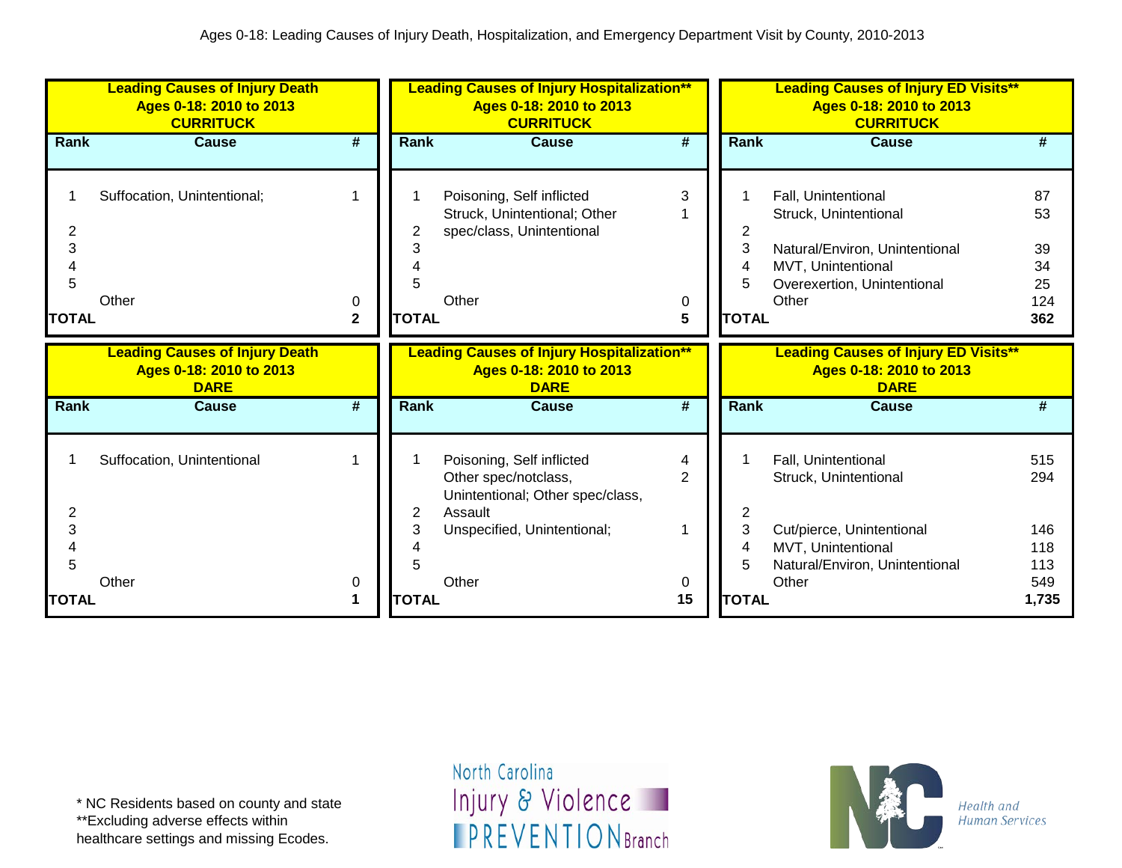|                             | <b>Leading Causes of Injury Death</b><br>Ages 0-18: 2010 to 2013<br><b>CURRITUCK</b> |                        |                   | <b>Leading Causes of Injury Hospitalization**</b><br>Ages 0-18: 2010 to 2013<br><b>CURRITUCK</b> |                             |                             | <b>Leading Causes of Injury ED Visits**</b><br>Ages 0-18: 2010 to 2013<br><b>CURRITUCK</b>                                                   |                                          |
|-----------------------------|--------------------------------------------------------------------------------------|------------------------|-------------------|--------------------------------------------------------------------------------------------------|-----------------------------|-----------------------------|----------------------------------------------------------------------------------------------------------------------------------------------|------------------------------------------|
| <b>Rank</b>                 | <b>Cause</b>                                                                         | #                      | Rank              | <b>Cause</b>                                                                                     | #                           | Rank                        | <b>Cause</b>                                                                                                                                 | #                                        |
| 2<br>3<br>5<br><b>TOTAL</b> | Suffocation, Unintentional;<br>Other                                                 | 1<br>0<br>$\mathbf{2}$ | 5<br><b>TOTAL</b> | Poisoning, Self inflicted<br>Struck, Unintentional; Other<br>spec/class, Unintentional<br>Other  | 3<br>0<br>5                 | 2<br>3<br>4<br><b>TOTAL</b> | Fall, Unintentional<br>Struck, Unintentional<br>Natural/Environ, Unintentional<br>MVT, Unintentional<br>Overexertion, Unintentional<br>Other | 87<br>53<br>39<br>34<br>25<br>124<br>362 |
|                             | <b>Leading Causes of Injury Death</b><br>Ages 0-18: 2010 to 2013<br><b>DARE</b>      |                        |                   | <b>Leading Causes of Injury Hospitalization**</b><br>Ages 0-18: 2010 to 2013<br><b>DARE</b>      |                             |                             | <b>Leading Causes of Injury ED Visits**</b><br>Ages 0-18: 2010 to 2013<br><b>DARE</b>                                                        |                                          |
| Rank                        | <b>Cause</b>                                                                         | #                      | <b>Rank</b>       | <b>Cause</b>                                                                                     | $\overline{\boldsymbol{H}}$ | Rank                        | <b>Cause</b>                                                                                                                                 | #                                        |
| 2                           | Suffocation, Unintentional                                                           | 1                      | 2                 | Poisoning, Self inflicted<br>Other spec/notclass,<br>Unintentional; Other spec/class,<br>Assault | 4<br>$\overline{2}$         | $\mathbf{2}$                | Fall, Unintentional<br>Struck, Unintentional                                                                                                 | 515<br>294                               |
| 3<br>5                      |                                                                                      |                        | 3                 | Unspecified, Unintentional;                                                                      |                             | 3<br>4                      | Cut/pierce, Unintentional<br>MVT, Unintentional<br>Natural/Environ, Unintentional                                                            | 146<br>118<br>113                        |
| <b>TOTAL</b>                | Other                                                                                | 0<br>1                 | <b>TOTAL</b>      | Other                                                                                            | 0<br>15                     | <b>TOTAL</b>                | Other                                                                                                                                        | 549<br>1,735                             |

\*\*Excluding adverse effects within

healthcare settings and missing Ecodes.

North Carolina Injury & Violence **IPREVENTIONBranch** 

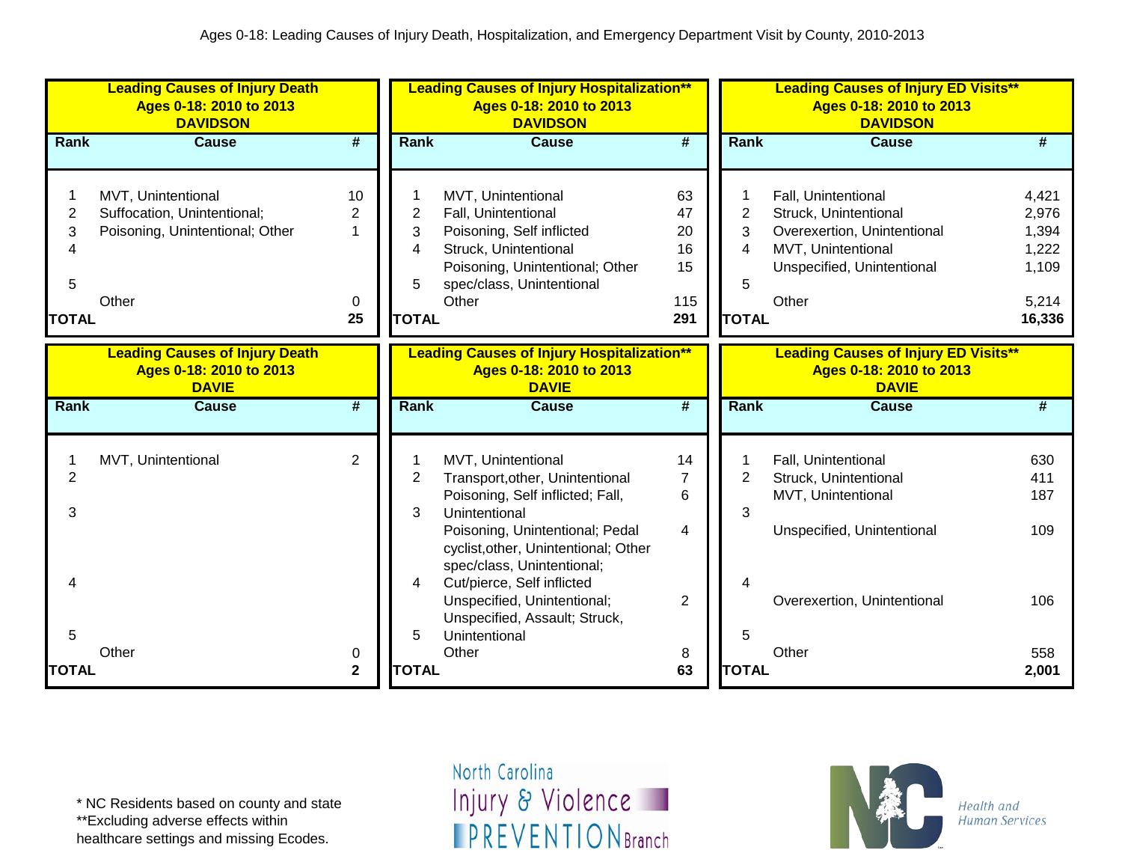|                                       | <b>Leading Causes of Injury Death</b><br>Ages 0-18: 2010 to 2013<br><b>DAVIDSON</b>           |                                                |                                               | <b>Leading Causes of Injury Hospitalization**</b><br>Ages 0-18: 2010 to 2013<br><b>DAVIDSON</b>                                                                                       |                                          |                                               | <b>Leading Causes of Injury ED Visits**</b><br>Ages 0-18: 2010 to 2013<br><b>DAVIDSON</b>                                                |                                                              |
|---------------------------------------|-----------------------------------------------------------------------------------------------|------------------------------------------------|-----------------------------------------------|---------------------------------------------------------------------------------------------------------------------------------------------------------------------------------------|------------------------------------------|-----------------------------------------------|------------------------------------------------------------------------------------------------------------------------------------------|--------------------------------------------------------------|
| Rank                                  | <b>Cause</b>                                                                                  | $\overline{\boldsymbol{t}}$                    | <b>Rank</b>                                   | <b>Cause</b>                                                                                                                                                                          | $\overline{\boldsymbol{t}}$              | Rank                                          | <b>Cause</b>                                                                                                                             | $\overline{\#}$                                              |
| 1<br>2<br>3<br>4<br>5<br><b>TOTAL</b> | MVT, Unintentional<br>Suffocation, Unintentional;<br>Poisoning, Unintentional; Other<br>Other | 10<br>$\overline{2}$<br>$\mathbf 1$<br>0<br>25 | $\overline{2}$<br>3<br>4<br>5<br><b>TOTAL</b> | MVT, Unintentional<br>Fall, Unintentional<br>Poisoning, Self inflicted<br>Struck, Unintentional<br>Poisoning, Unintentional; Other<br>spec/class, Unintentional<br>Other              | 63<br>47<br>20<br>16<br>15<br>115<br>291 | $\overline{2}$<br>3<br>4<br>5<br><b>TOTAL</b> | Fall, Unintentional<br>Struck, Unintentional<br>Overexertion, Unintentional<br>MVT, Unintentional<br>Unspecified, Unintentional<br>Other | 4,421<br>2,976<br>1,394<br>1,222<br>1,109<br>5,214<br>16,336 |
|                                       | <b>Leading Causes of Injury Death</b><br>Ages 0-18: 2010 to 2013<br><b>DAVIE</b>              |                                                |                                               | <b>Leading Causes of Injury Hospitalization**</b><br>Ages 0-18: 2010 to 2013<br><b>DAVIE</b>                                                                                          |                                          |                                               | <b>Leading Causes of Injury ED Visits**</b><br>Ages 0-18: 2010 to 2013<br><b>DAVIE</b>                                                   |                                                              |
| Rank                                  | <b>Cause</b>                                                                                  | $\overline{\boldsymbol{t}}$                    | <b>Rank</b>                                   | <b>Cause</b>                                                                                                                                                                          | $\overline{\boldsymbol{t}}$              | Rank                                          | <b>Cause</b>                                                                                                                             | $\overline{\#}$                                              |
| 1<br>$\overline{2}$<br>3              | MVT, Unintentional                                                                            | $\overline{2}$                                 | $\overline{2}$<br>3                           | MVT, Unintentional<br>Transport, other, Unintentional<br>Poisoning, Self inflicted; Fall,<br>Unintentional<br>Poisoning, Unintentional; Pedal<br>cyclist, other, Unintentional; Other | 14<br>$\overline{7}$<br>6<br>4           | $\overline{2}$<br>3                           | Fall, Unintentional<br>Struck, Unintentional<br>MVT, Unintentional<br>Unspecified, Unintentional                                         | 630<br>411<br>187<br>109                                     |
| Δ<br>5<br><b>TOTAL</b>                | Other                                                                                         | 0<br>$\overline{\mathbf{2}}$                   | 4<br>5<br><b>TOTAL</b>                        | spec/class, Unintentional;<br>Cut/pierce, Self inflicted<br>Unspecified, Unintentional;<br>Unspecified, Assault; Struck,<br>Unintentional<br>Other                                    | 2<br>8<br>63                             | 5<br><b>TOTAL</b>                             | Overexertion, Unintentional<br>Other                                                                                                     | 106<br>558<br>2,001                                          |

\*\*Excluding adverse effects within

healthcare settings and missing Ecodes.

North Carolina Injury & Violence **IPREVENTIONBranch** 

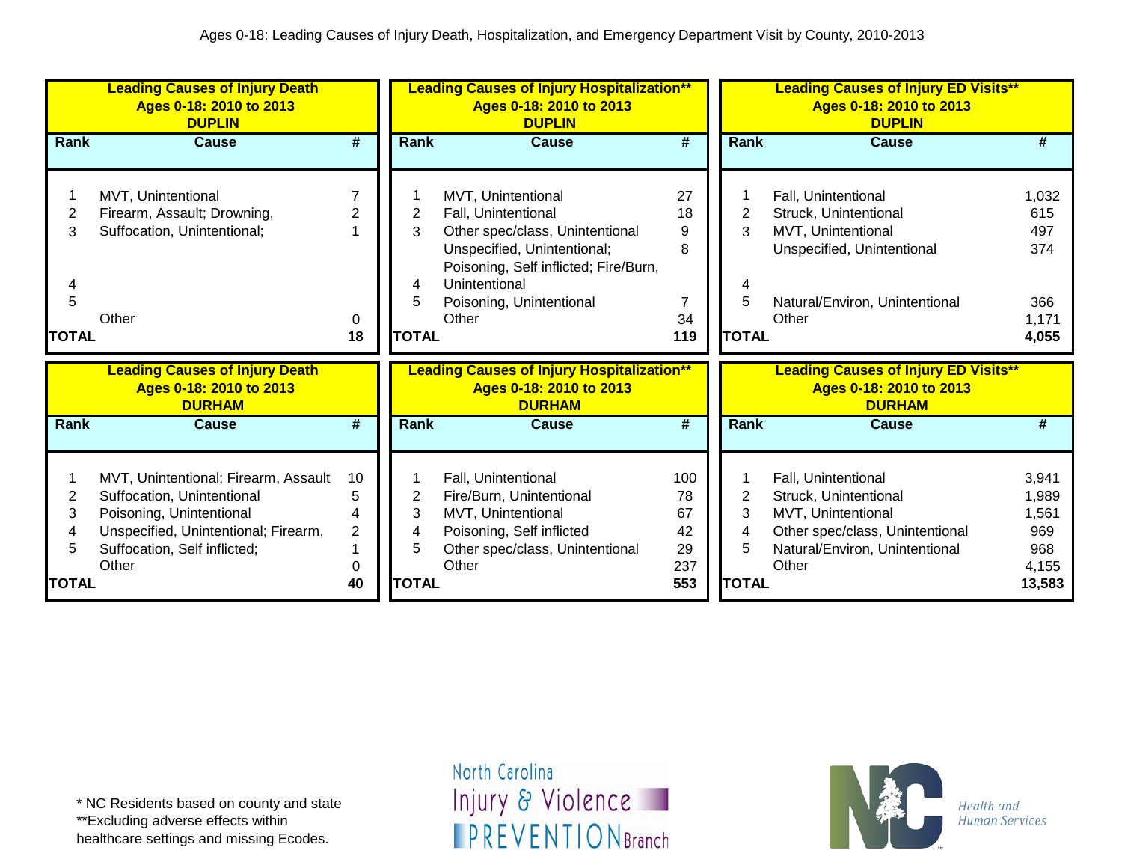|                                  | <b>Leading Causes of Injury Death</b><br>Ages 0-18: 2010 to 2013<br><b>DUPLIN</b>                                                                                               |                                           |                                  | <b>Leading Causes of Injury Hospitalization**</b><br>Ages 0-18: 2010 to 2013<br><b>DUPLIN</b>                                                                                                              |                                           |                                  | <b>Leading Causes of Injury ED Visits**</b><br>Ages 0-18: 2010 to 2013<br><b>DUPLIN</b>                                                          |                                                          |
|----------------------------------|---------------------------------------------------------------------------------------------------------------------------------------------------------------------------------|-------------------------------------------|----------------------------------|------------------------------------------------------------------------------------------------------------------------------------------------------------------------------------------------------------|-------------------------------------------|----------------------------------|--------------------------------------------------------------------------------------------------------------------------------------------------|----------------------------------------------------------|
| Rank                             | <b>Cause</b>                                                                                                                                                                    | #                                         | <b>Rank</b>                      | <b>Cause</b>                                                                                                                                                                                               | #                                         | Rank                             | <b>Cause</b>                                                                                                                                     | #                                                        |
| 2<br>3<br>5<br><b>TOTAL</b>      | MVT, Unintentional<br>Firearm, Assault; Drowning,<br>Suffocation, Unintentional;<br>Other                                                                                       | 2<br>0<br>18                              | 2<br>3<br>4<br>5<br><b>TOTAL</b> | MVT, Unintentional<br>Fall, Unintentional<br>Other spec/class, Unintentional<br>Unspecified, Unintentional;<br>Poisoning, Self inflicted; Fire/Burn,<br>Unintentional<br>Poisoning, Unintentional<br>Other | 27<br>18<br>9<br>8<br>7<br>34<br>119      | 2<br>3<br>5<br><b>TOTAL</b>      | Fall, Unintentional<br>Struck, Unintentional<br>MVT, Unintentional<br>Unspecified, Unintentional<br>Natural/Environ, Unintentional<br>Other      | 1,032<br>615<br>497<br>374<br>366<br>1,171<br>4,055      |
|                                  | <b>Leading Causes of Injury Death</b><br>Ages 0-18: 2010 to 2013<br><b>DURHAM</b>                                                                                               |                                           |                                  | <b>Leading Causes of Injury Hospitalization**</b><br>Ages 0-18: 2010 to 2013<br><b>DURHAM</b>                                                                                                              |                                           |                                  | <b>Leading Causes of Injury ED Visits**</b><br>Ages 0-18: 2010 to 2013<br><b>DURHAM</b>                                                          |                                                          |
| Rank                             | <b>Cause</b>                                                                                                                                                                    | #                                         | Rank                             | <b>Cause</b>                                                                                                                                                                                               | #                                         | Rank                             | <b>Cause</b>                                                                                                                                     | #                                                        |
| 2<br>3<br>4<br>5<br><b>TOTAL</b> | MVT, Unintentional; Firearm, Assault<br>Suffocation, Unintentional<br>Poisoning, Unintentional<br>Unspecified, Unintentional; Firearm,<br>Suffocation, Self inflicted;<br>Other | 10<br>5<br>4<br>$\overline{2}$<br>0<br>40 | 2<br>3<br>4<br>5<br><b>TOTAL</b> | Fall, Unintentional<br>Fire/Burn, Unintentional<br>MVT, Unintentional<br>Poisoning, Self inflicted<br>Other spec/class, Unintentional<br>Other                                                             | 100<br>78<br>67<br>42<br>29<br>237<br>553 | 2<br>3<br>4<br>5<br><b>TOTAL</b> | Fall, Unintentional<br>Struck, Unintentional<br>MVT, Unintentional<br>Other spec/class, Unintentional<br>Natural/Environ, Unintentional<br>Other | 3,941<br>1,989<br>1,561<br>969<br>968<br>4,155<br>13,583 |

\*\*Excluding adverse effects within

healthcare settings and missing Ecodes.

North Carolina Injury & Violence **IPREVENTIONBranch** 

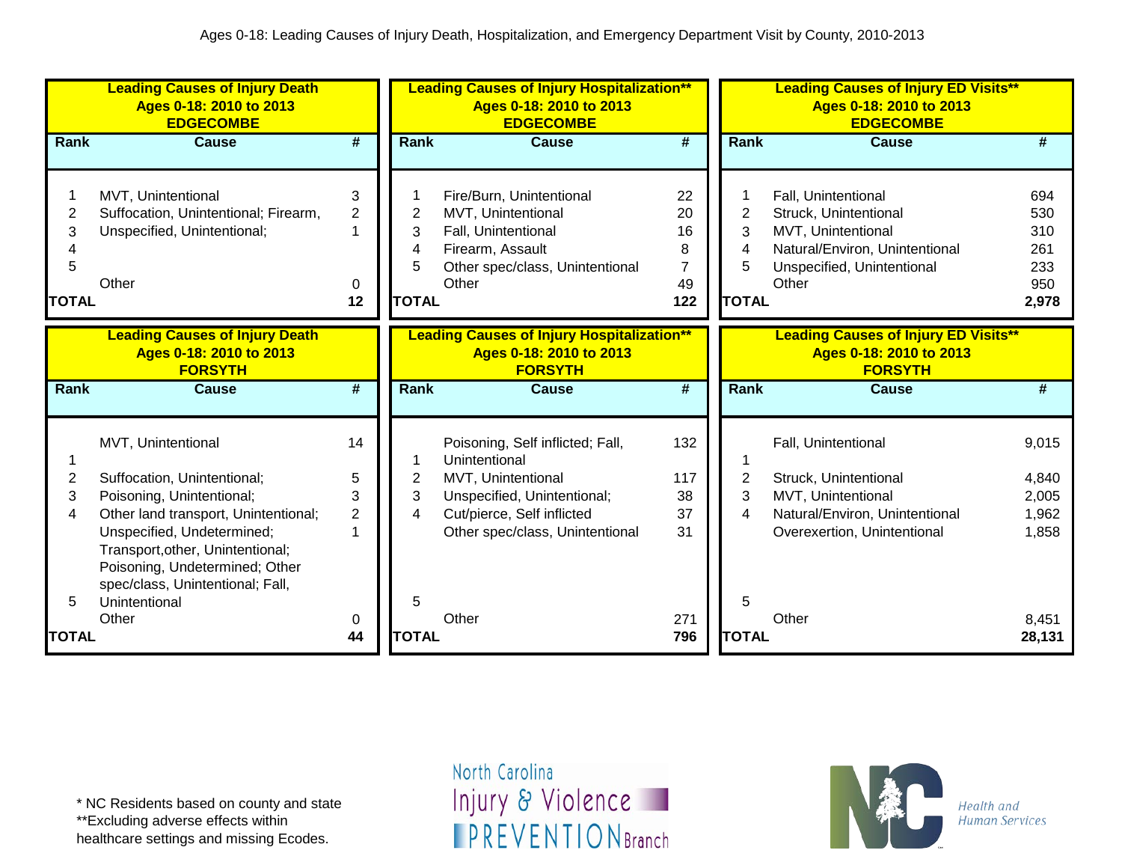|                                  | <b>Leading Causes of Injury Death</b><br>Ages 0-18: 2010 to 2013<br><b>EDGECOMBE</b>                                                                                                          |                        |                                  | <b>Leading Causes of Injury Hospitalization**</b><br>Ages 0-18: 2010 to 2013<br><b>EDGECOMBE</b>                                      |                                                    |                                  | <b>Leading Causes of Injury ED Visits**</b><br>Ages 0-18: 2010 to 2013<br><b>EDGECOMBE</b>                                                  |                                                 |
|----------------------------------|-----------------------------------------------------------------------------------------------------------------------------------------------------------------------------------------------|------------------------|----------------------------------|---------------------------------------------------------------------------------------------------------------------------------------|----------------------------------------------------|----------------------------------|---------------------------------------------------------------------------------------------------------------------------------------------|-------------------------------------------------|
| <b>Rank</b>                      | <b>Cause</b>                                                                                                                                                                                  | #                      | <b>Rank</b>                      | <b>Cause</b>                                                                                                                          | #                                                  | Rank                             | <b>Cause</b>                                                                                                                                | #                                               |
| 2<br>3<br>4<br>5<br><b>TOTAL</b> | MVT, Unintentional<br>Suffocation, Unintentional; Firearm,<br>Unspecified, Unintentional;<br>Other                                                                                            | 3<br>2<br>1<br>0<br>12 | 2<br>3<br>4<br>5<br><b>TOTAL</b> | Fire/Burn, Unintentional<br>MVT, Unintentional<br>Fall, Unintentional<br>Firearm, Assault<br>Other spec/class, Unintentional<br>Other | 22<br>20<br>16<br>8<br>$\overline{7}$<br>49<br>122 | 2<br>3<br>4<br>5<br><b>TOTAL</b> | Fall, Unintentional<br>Struck, Unintentional<br>MVT, Unintentional<br>Natural/Environ, Unintentional<br>Unspecified, Unintentional<br>Other | 694<br>530<br>310<br>261<br>233<br>950<br>2,978 |
|                                  | <b>Leading Causes of Injury Death</b><br>Ages 0-18: 2010 to 2013<br><b>FORSYTH</b>                                                                                                            |                        |                                  | <b>Leading Causes of Injury Hospitalization**</b><br>Ages 0-18: 2010 to 2013<br><b>FORSYTH</b>                                        |                                                    |                                  | <b>Leading Causes of Injury ED Visits**</b><br>Ages 0-18: 2010 to 2013<br><b>FORSYTH</b>                                                    |                                                 |
| Rank                             | <b>Cause</b>                                                                                                                                                                                  | #                      | Rank                             | <b>Cause</b>                                                                                                                          | #                                                  | Rank                             | <b>Cause</b>                                                                                                                                | #                                               |
| 2<br>3                           | MVT, Unintentional<br>Suffocation, Unintentional;<br>Poisoning, Unintentional;                                                                                                                | 14<br>5<br>3           | 2<br>3<br>4                      | Poisoning, Self inflicted; Fall,<br>Unintentional<br>MVT, Unintentional<br>Unspecified, Unintentional;                                | 132<br>117<br>38                                   | 2<br>3                           | Fall, Unintentional<br>Struck, Unintentional<br>MVT, Unintentional                                                                          | 9,015<br>4,840<br>2,005                         |
| 4<br>5                           | Other land transport, Unintentional;<br>Unspecified, Undetermined;<br>Transport, other, Unintentional;<br>Poisoning, Undetermined; Other<br>spec/class, Unintentional; Fall,<br>Unintentional | $\overline{2}$         | 5                                | Cut/pierce, Self inflicted<br>Other spec/class, Unintentional                                                                         | 37<br>31                                           | 4<br>5                           | Natural/Environ, Unintentional<br>Overexertion, Unintentional                                                                               | 1,962<br>1,858                                  |
| <b>TOTAL</b>                     | Other                                                                                                                                                                                         | 0<br>44                | <b>TOTAL</b>                     | Other                                                                                                                                 | 271<br>796                                         | <b>TOTAL</b>                     | Other                                                                                                                                       | 8,451<br>28,131                                 |

\*\*Excluding adverse effects within

healthcare settings and missing Ecodes.

North Carolina Injury & Violence **IPREVENTIONBranch** 

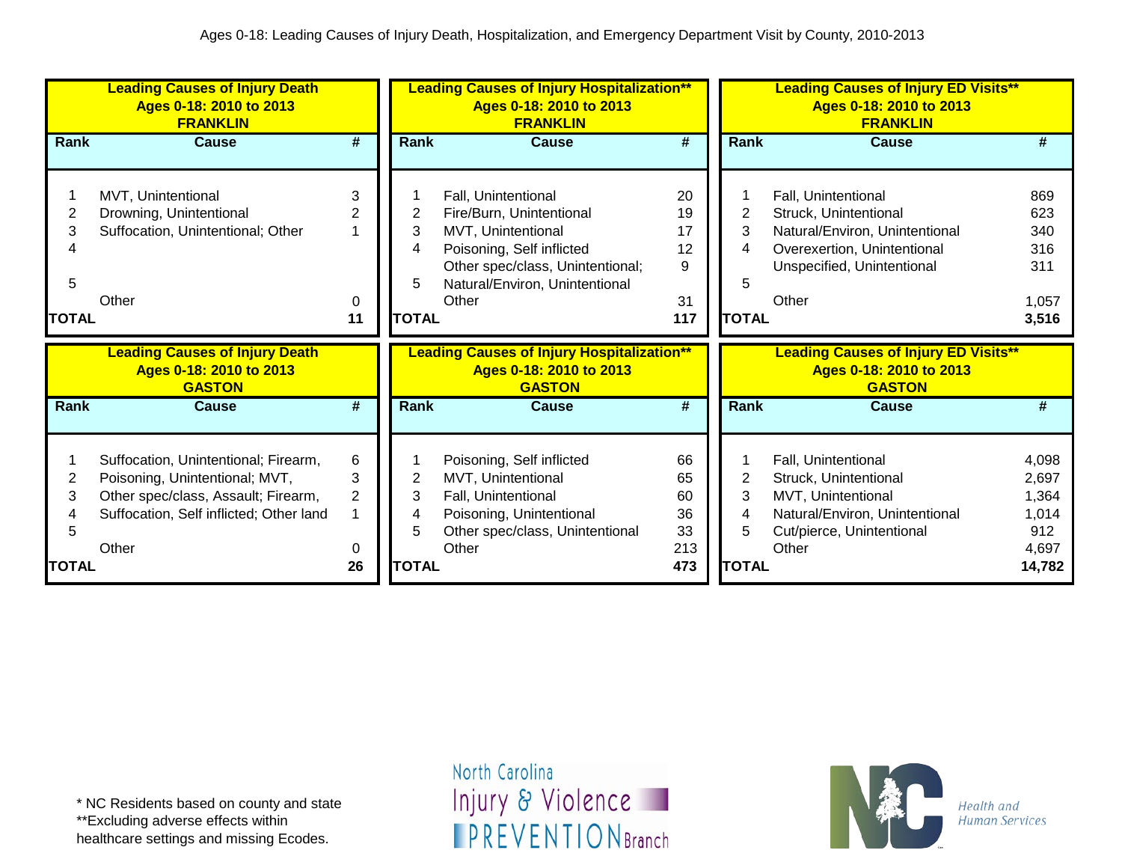|              | <b>Leading Causes of Injury Death</b><br>Ages 0-18: 2010 to 2013<br><b>FRANKLIN</b> |                |              | <b>Leading Causes of Injury Hospitalization**</b><br>Ages 0-18: 2010 to 2013<br><b>FRANKLIN</b> |                             |                | <b>Leading Causes of Injury ED Visits**</b><br>Ages 0-18: 2010 to 2013<br><b>FRANKLIN</b> |              |
|--------------|-------------------------------------------------------------------------------------|----------------|--------------|-------------------------------------------------------------------------------------------------|-----------------------------|----------------|-------------------------------------------------------------------------------------------|--------------|
| Rank         | <b>Cause</b>                                                                        | #              | Rank         | <b>Cause</b>                                                                                    | $\overline{\boldsymbol{t}}$ | <b>Rank</b>    | <b>Cause</b>                                                                              | #            |
|              |                                                                                     |                |              |                                                                                                 |                             |                |                                                                                           |              |
|              | MVT, Unintentional                                                                  | 3              |              | Fall, Unintentional                                                                             | 20                          |                | Fall, Unintentional                                                                       | 869          |
|              | Drowning, Unintentional                                                             | 2              | 2            | Fire/Burn, Unintentional                                                                        | 19                          | $\overline{2}$ | Struck, Unintentional                                                                     | 623          |
| 3            | Suffocation, Unintentional; Other                                                   |                | 3            | MVT, Unintentional                                                                              | 17                          | 3              | Natural/Environ, Unintentional                                                            | 340          |
|              |                                                                                     |                |              | Poisoning, Self inflicted                                                                       | 12                          | 4              | Overexertion, Unintentional                                                               | 316          |
|              |                                                                                     |                |              | Other spec/class, Unintentional;                                                                | 9                           |                | Unspecified, Unintentional                                                                | 311          |
| 5            |                                                                                     |                | 5            | Natural/Environ, Unintentional                                                                  |                             | 5              |                                                                                           |              |
|              | Other                                                                               | 0              |              | Other                                                                                           | 31                          |                | Other                                                                                     | 1,057        |
| <b>TOTAL</b> |                                                                                     | 11             | <b>TOTAL</b> |                                                                                                 | 117                         | <b>TOTAL</b>   |                                                                                           | 3,516        |
|              |                                                                                     |                |              |                                                                                                 |                             |                |                                                                                           |              |
|              | <b>Leading Causes of Injury Death</b><br>Ages 0-18: 2010 to 2013<br><b>GASTON</b>   |                |              | <b>Leading Causes of Injury Hospitalization**</b><br>Ages 0-18: 2010 to 2013<br><b>GASTON</b>   |                             |                | <b>Leading Causes of Injury ED Visits**</b><br>Ages 0-18: 2010 to 2013<br><b>GASTON</b>   |              |
| Rank         | <b>Cause</b>                                                                        | #              | Rank         | <b>Cause</b>                                                                                    | #                           | Rank           | <b>Cause</b>                                                                              | #            |
|              |                                                                                     |                |              |                                                                                                 |                             |                |                                                                                           |              |
|              | Suffocation, Unintentional; Firearm,                                                | 6              |              | Poisoning, Self inflicted                                                                       | 66                          |                | Fall, Unintentional                                                                       | 4,098        |
| 2            | Poisoning, Unintentional; MVT,                                                      | 3              | 2            | MVT, Unintentional                                                                              | 65                          | $\overline{2}$ | Struck, Unintentional                                                                     | 2,697        |
| 3            | Other spec/class, Assault; Firearm,                                                 | $\overline{2}$ | 3<br>4       | Fall, Unintentional                                                                             | 60                          | 3<br>4         | MVT, Unintentional                                                                        | 1,364        |
|              | Suffocation, Self inflicted; Other land                                             |                |              | Poisoning, Unintentional                                                                        | 36<br>33                    | 5              | Natural/Environ, Unintentional                                                            | 1,014<br>912 |
|              | Other                                                                               | 0              |              | Other spec/class, Unintentional<br>Other                                                        | 213                         |                | Cut/pierce, Unintentional<br>Other                                                        | 4,697        |

healthcare settings and missing Ecodes.

North Carolina Injury & Violence **IPREVENTIONBranch** 

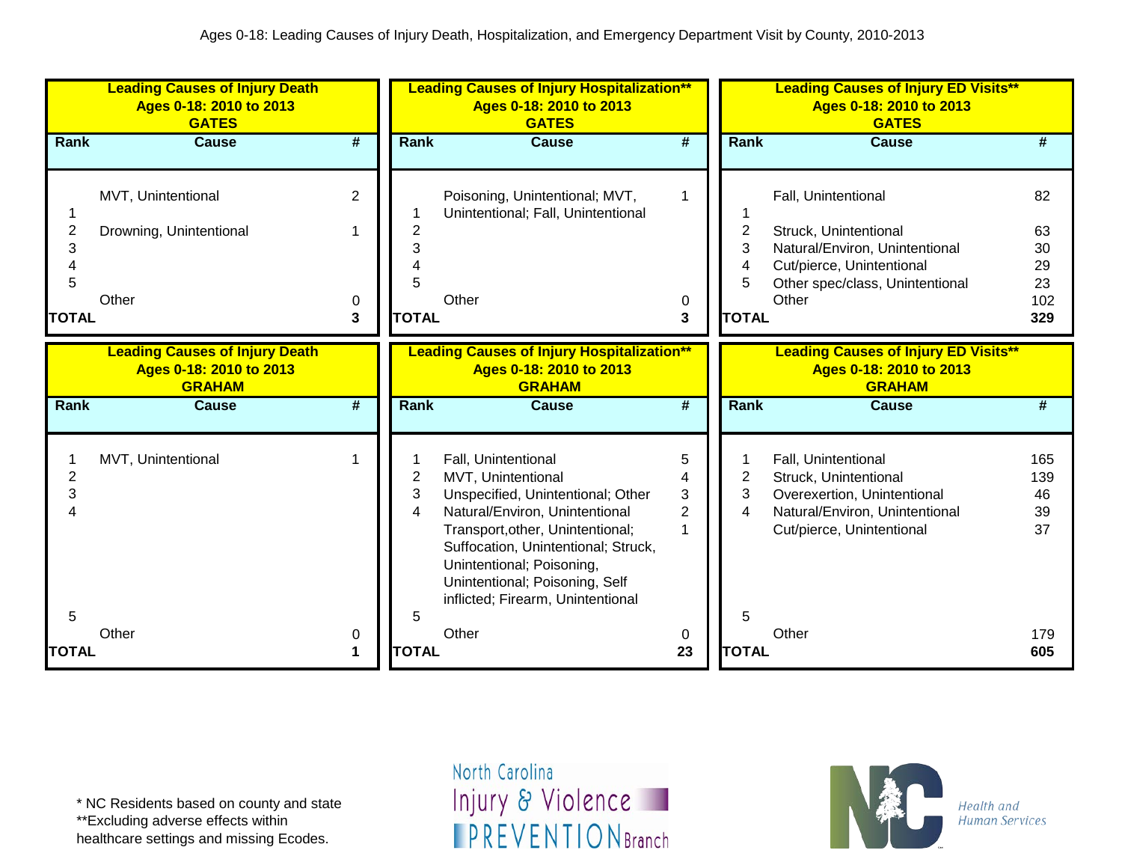|                                          | <b>Leading Causes of Injury Death</b><br>Ages 0-18: 2010 to 2013<br><b>GATES</b>  |                             |                                          | <b>Leading Causes of Injury Hospitalization**</b><br>Ages 0-18: 2010 to 2013<br><b>GATES</b>                                                                                                                                                                                                    |                                    |                                  | <b>Leading Causes of Injury ED Visits**</b><br>Ages 0-18: 2010 to 2013<br><b>GATES</b>                                                                  |                                          |
|------------------------------------------|-----------------------------------------------------------------------------------|-----------------------------|------------------------------------------|-------------------------------------------------------------------------------------------------------------------------------------------------------------------------------------------------------------------------------------------------------------------------------------------------|------------------------------------|----------------------------------|---------------------------------------------------------------------------------------------------------------------------------------------------------|------------------------------------------|
| Rank                                     | <b>Cause</b>                                                                      | #                           | Rank                                     | <b>Cause</b>                                                                                                                                                                                                                                                                                    | #                                  | Rank                             | <b>Cause</b>                                                                                                                                            | #                                        |
| $\overline{2}$<br>3<br>5<br><b>TOTAL</b> | MVT, Unintentional<br>Drowning, Unintentional<br>Other                            | $\overline{2}$<br>0<br>3    | $\overline{2}$<br>3<br>5<br><b>TOTAL</b> | Poisoning, Unintentional; MVT,<br>Unintentional; Fall, Unintentional<br>Other                                                                                                                                                                                                                   | 1<br>0<br>3                        | 2<br>3<br>4<br>5<br><b>TOTAL</b> | Fall, Unintentional<br>Struck, Unintentional<br>Natural/Environ, Unintentional<br>Cut/pierce, Unintentional<br>Other spec/class, Unintentional<br>Other | 82<br>63<br>30<br>29<br>23<br>102<br>329 |
|                                          | <b>Leading Causes of Injury Death</b><br>Ages 0-18: 2010 to 2013<br><b>GRAHAM</b> |                             |                                          | <b>Leading Causes of Injury Hospitalization**</b><br>Ages 0-18: 2010 to 2013<br><b>GRAHAM</b>                                                                                                                                                                                                   |                                    |                                  | <b>Leading Causes of Injury ED Visits**</b><br>Ages 0-18: 2010 to 2013<br><b>GRAHAM</b>                                                                 |                                          |
| <b>Rank</b>                              | <b>Cause</b>                                                                      | $\overline{\boldsymbol{t}}$ | Rank                                     | <b>Cause</b>                                                                                                                                                                                                                                                                                    | $\overline{\#}$                    | Rank                             | <b>Cause</b>                                                                                                                                            | #                                        |
| $\overline{2}$<br>3                      | MVT, Unintentional                                                                |                             | 2<br>3<br>4                              | Fall, Unintentional<br>MVT, Unintentional<br>Unspecified, Unintentional; Other<br>Natural/Environ, Unintentional<br>Transport, other, Unintentional;<br>Suffocation, Unintentional; Struck,<br>Unintentional; Poisoning,<br>Unintentional; Poisoning, Self<br>inflicted; Firearm, Unintentional | 5<br>4<br>3<br>$\overline{2}$<br>1 | 2<br>3<br>4                      | Fall, Unintentional<br>Struck, Unintentional<br>Overexertion, Unintentional<br>Natural/Environ, Unintentional<br>Cut/pierce, Unintentional              | 165<br>139<br>46<br>39<br>37             |
| 5<br><b>TOTAL</b>                        | Other                                                                             | 0<br>$\mathbf 1$            | 5<br><b>TOTAL</b>                        | Other                                                                                                                                                                                                                                                                                           | 0<br>23                            | 5<br><b>TOTAL</b>                | Other                                                                                                                                                   | 179<br>605                               |

\*\*Excluding adverse effects within

healthcare settings and missing Ecodes.

North Carolina Injury & Violence **IPREVENTIONBranch** 

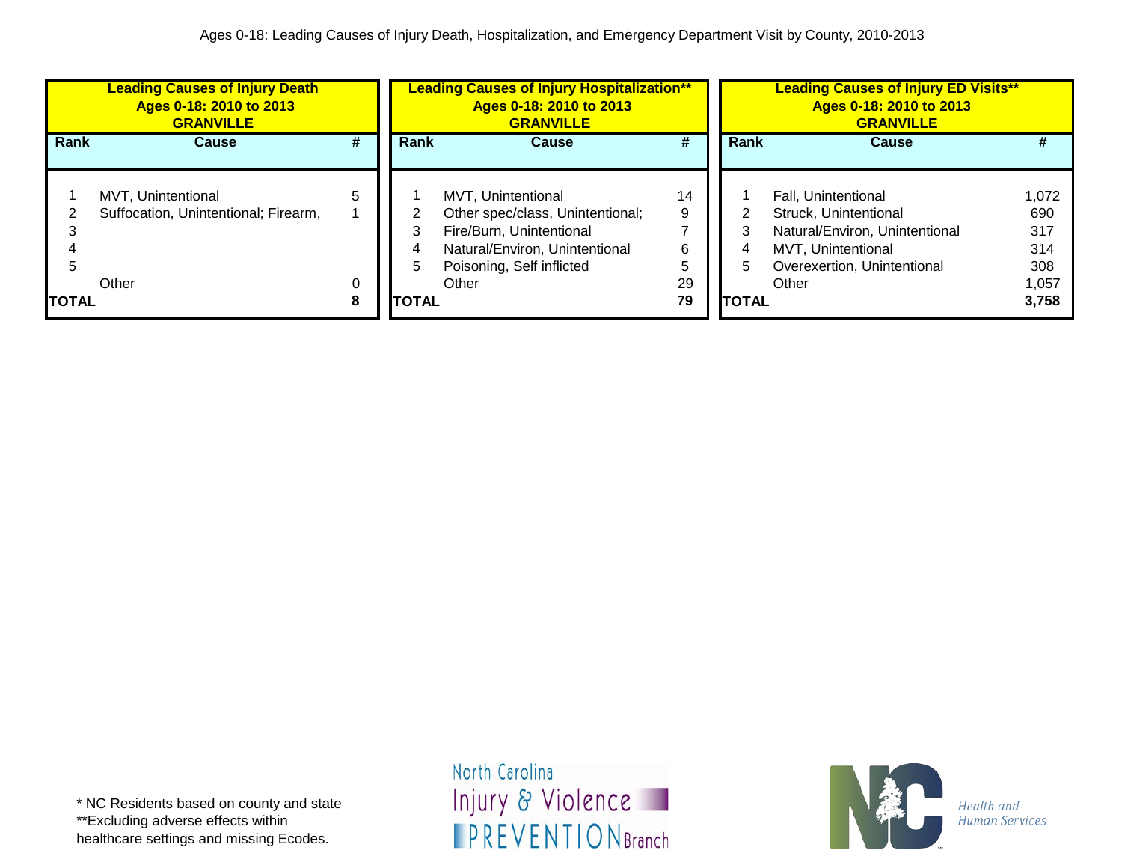|              | <b>Leading Causes of Injury Death</b><br>Ages 0-18: 2010 to 2013<br><b>GRANVILLE</b> |        | <b>Leading Causes of Injury Hospitalization**</b><br>Ages 0-18: 2010 to 2013<br><b>GRANVILLE</b> |                                                                                         |          |              | <b>Leading Causes of Injury ED Visits**</b><br>Ages 0-18: 2010 to 2013<br><b>GRANVILLE</b> |                   |
|--------------|--------------------------------------------------------------------------------------|--------|--------------------------------------------------------------------------------------------------|-----------------------------------------------------------------------------------------|----------|--------------|--------------------------------------------------------------------------------------------|-------------------|
| Rank         | <b>Cause</b>                                                                         | #      | Rank                                                                                             | <b>Cause</b>                                                                            | #        | Rank         | <b>Cause</b>                                                                               |                   |
|              | MVT. Unintentional<br>Suffocation, Unintentional; Firearm,                           | 5      |                                                                                                  | MVT. Unintentional<br>Other spec/class, Unintentional;                                  | 14<br>9  |              | <b>Fall. Unintentional</b><br>Struck, Unintentional                                        | 1.072<br>690      |
|              |                                                                                      |        | 4                                                                                                | Fire/Burn, Unintentional<br>Natural/Environ, Unintentional<br>Poisoning, Self inflicted | 6<br>5   | 5            | Natural/Environ, Unintentional<br>MVT, Unintentional<br>Overexertion, Unintentional        | 317<br>314<br>308 |
| <b>TOTAL</b> | Other                                                                                | 0<br>8 | <b>ITOTAL</b>                                                                                    | Other                                                                                   | 29<br>79 | <b>TOTAL</b> | Other                                                                                      | 1,057<br>3,758    |

\* NC Residents based on county and state \*\*Excluding adverse effects within healthcare settings and missing Ecodes.

North Carolina Injury & Violence **IPREVENTIONBranch** 

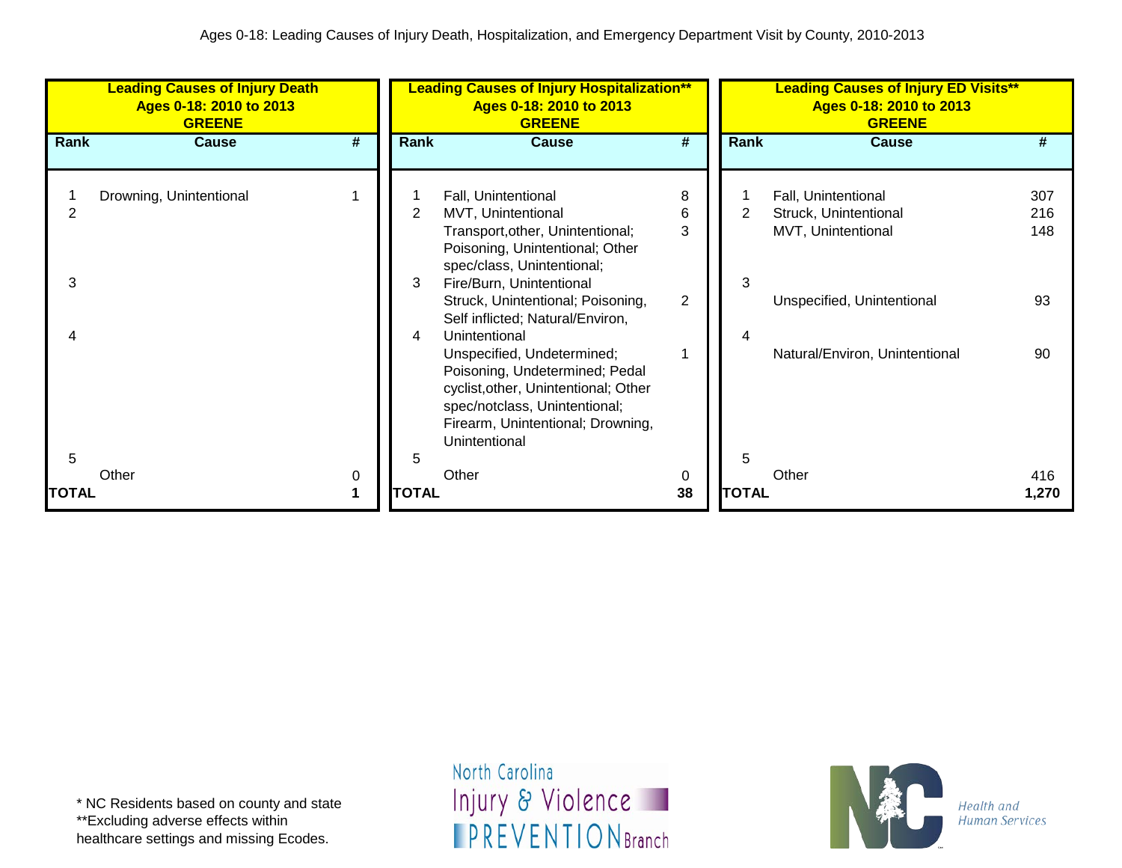|              | <b>Leading Causes of Injury Death</b><br>Ages 0-18: 2010 to 2013<br><b>GREENE</b> |                             |              | <b>Leading Causes of Injury Hospitalization**</b><br>Ages 0-18: 2010 to 2013<br><b>GREENE</b>                                                                                                                                                       |                               |              | <b>Leading Causes of Injury ED Visits**</b><br>Ages 0-18: 2010 to 2013<br><b>GREENE</b>          |                         |
|--------------|-----------------------------------------------------------------------------------|-----------------------------|--------------|-----------------------------------------------------------------------------------------------------------------------------------------------------------------------------------------------------------------------------------------------------|-------------------------------|--------------|--------------------------------------------------------------------------------------------------|-------------------------|
| Rank         | <b>Cause</b>                                                                      | $\overline{\boldsymbol{t}}$ | Rank         | <b>Cause</b>                                                                                                                                                                                                                                        | #                             | <b>Rank</b>  | <b>Cause</b>                                                                                     | #                       |
| 3            | Drowning, Unintentional                                                           |                             | 2<br>3       | Fall, Unintentional<br>MVT, Unintentional<br>Transport, other, Unintentional;<br>Poisoning, Unintentional; Other<br>spec/class, Unintentional;<br>Fire/Burn, Unintentional<br>Struck, Unintentional; Poisoning,<br>Self inflicted; Natural/Environ, | 8<br>6<br>3<br>$\overline{2}$ | 2<br>3       | Fall, Unintentional<br>Struck, Unintentional<br>MVT, Unintentional<br>Unspecified, Unintentional | 307<br>216<br>148<br>93 |
| 5            |                                                                                   |                             | 4<br>5       | Unintentional<br>Unspecified, Undetermined;<br>Poisoning, Undetermined; Pedal<br>cyclist, other, Unintentional; Other<br>spec/notclass, Unintentional;<br>Firearm, Unintentional; Drowning,<br>Unintentional                                        |                               | 4<br>5       | Natural/Environ, Unintentional                                                                   | 90                      |
| <b>TOTAL</b> | Other                                                                             | 0                           | <b>TOTAL</b> | Other                                                                                                                                                                                                                                               | 0<br>38                       | <b>TOTAL</b> | Other                                                                                            | 416<br>1,270            |

\* NC Residents based on county and state \*\*Excluding adverse effects within healthcare settings and missing Ecodes.

North Carolina Injury & Violence **IPREVENTIONBranch** 

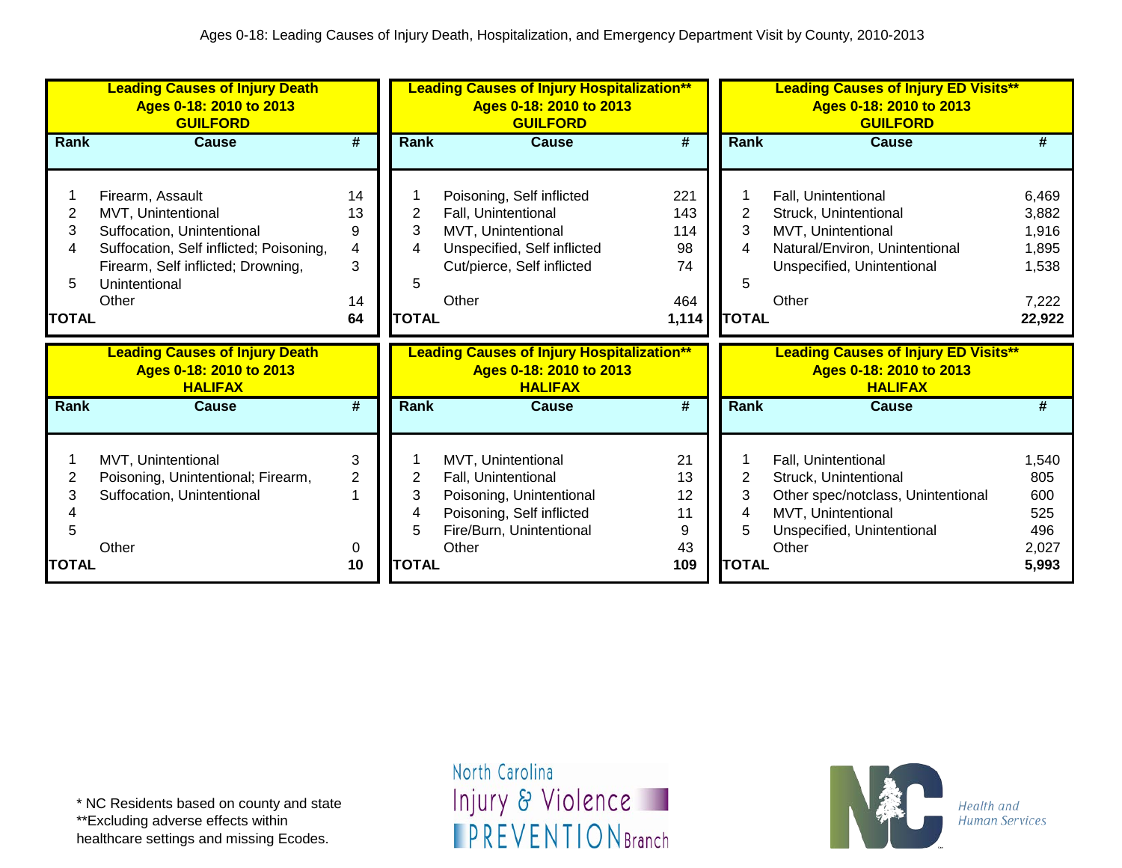|              | <b>Leading Causes of Injury Death</b><br>Ages 0-18: 2010 to 2013<br><b>GUILFORD</b>               |                |             | <b>Leading Causes of Injury Hospitalization**</b><br>Ages 0-18: 2010 to 2013<br><b>GUILFORD</b> |                             |                | <b>Leading Causes of Injury ED Visits**</b><br>Ages 0-18: 2010 to 2013<br><b>GUILFORD</b> |            |
|--------------|---------------------------------------------------------------------------------------------------|----------------|-------------|-------------------------------------------------------------------------------------------------|-----------------------------|----------------|-------------------------------------------------------------------------------------------|------------|
| Rank         | <b>Cause</b>                                                                                      | #              | <b>Rank</b> | <b>Cause</b>                                                                                    | $\overline{\boldsymbol{t}}$ | Rank           | <b>Cause</b>                                                                              | #          |
|              |                                                                                                   |                |             |                                                                                                 |                             |                |                                                                                           |            |
|              | Firearm, Assault                                                                                  | 14             |             | Poisoning, Self inflicted                                                                       | 221                         |                | Fall, Unintentional                                                                       | 6,469      |
| 2            | MVT, Unintentional                                                                                | 13             | 2           | Fall, Unintentional                                                                             | 143                         | 2              | Struck, Unintentional                                                                     | 3,882      |
| 3            | Suffocation, Unintentional                                                                        | 9              | 3           | MVT, Unintentional                                                                              | 114                         | 3              | MVT, Unintentional                                                                        | 1,916      |
| 4            | Suffocation, Self inflicted; Poisoning,                                                           | 4              |             | Unspecified, Self inflicted                                                                     | 98                          | 4              | Natural/Environ, Unintentional                                                            | 1,895      |
|              | Firearm, Self inflicted; Drowning,                                                                | 3              |             | Cut/pierce, Self inflicted                                                                      | 74                          |                | Unspecified, Unintentional                                                                | 1,538      |
| 5            | Unintentional                                                                                     |                |             |                                                                                                 |                             | 5              |                                                                                           |            |
|              |                                                                                                   | 14             |             | Other                                                                                           | 464                         |                | Other                                                                                     | 7,222      |
| <b>TOTAL</b> | Other<br>64<br><b>Leading Causes of Injury Death</b><br>Ages 0-18: 2010 to 2013<br><b>HALIFAX</b> |                |             | <b>TOTAL</b>                                                                                    | 1,114                       | <b>TOTAL</b>   |                                                                                           | 22,922     |
|              |                                                                                                   |                |             |                                                                                                 |                             |                |                                                                                           |            |
|              |                                                                                                   |                |             | <b>Leading Causes of Injury Hospitalization**</b><br>Ages 0-18: 2010 to 2013<br><b>HALIFAX</b>  |                             |                | <b>Leading Causes of Injury ED Visits**</b><br>Ages 0-18: 2010 to 2013<br><b>HALIFAX</b>  |            |
| Rank         | <b>Cause</b>                                                                                      | #              | <b>Rank</b> | <b>Cause</b>                                                                                    | $\overline{\#}$             | Rank           | Cause                                                                                     | #          |
|              |                                                                                                   |                |             |                                                                                                 |                             |                |                                                                                           |            |
|              | MVT, Unintentional                                                                                | 3              |             | MVT, Unintentional                                                                              | 21                          | $\overline{2}$ | Fall, Unintentional                                                                       | 1,540      |
| 2            | Poisoning, Unintentional; Firearm,                                                                | $\overline{2}$ | 2           | Fall, Unintentional                                                                             | 13                          |                | Struck, Unintentional                                                                     | 805        |
| 3            | Suffocation, Unintentional                                                                        |                | 3           | Poisoning, Unintentional                                                                        | 12<br>11                    | 3<br>4         | Other spec/notclass, Unintentional<br>MVT, Unintentional                                  | 600<br>525 |
| 5            |                                                                                                   |                |             | Poisoning, Self inflicted                                                                       | 9                           |                |                                                                                           | 496        |
|              | Other                                                                                             | 0              |             | Fire/Burn, Unintentional<br>Other                                                               | 43                          |                | Unspecified, Unintentional<br>Other                                                       | 2,027      |

\*\*Excluding adverse effects within

healthcare settings and missing Ecodes.

North Carolina Injury & Violence **IPREVENTIONBranch** 

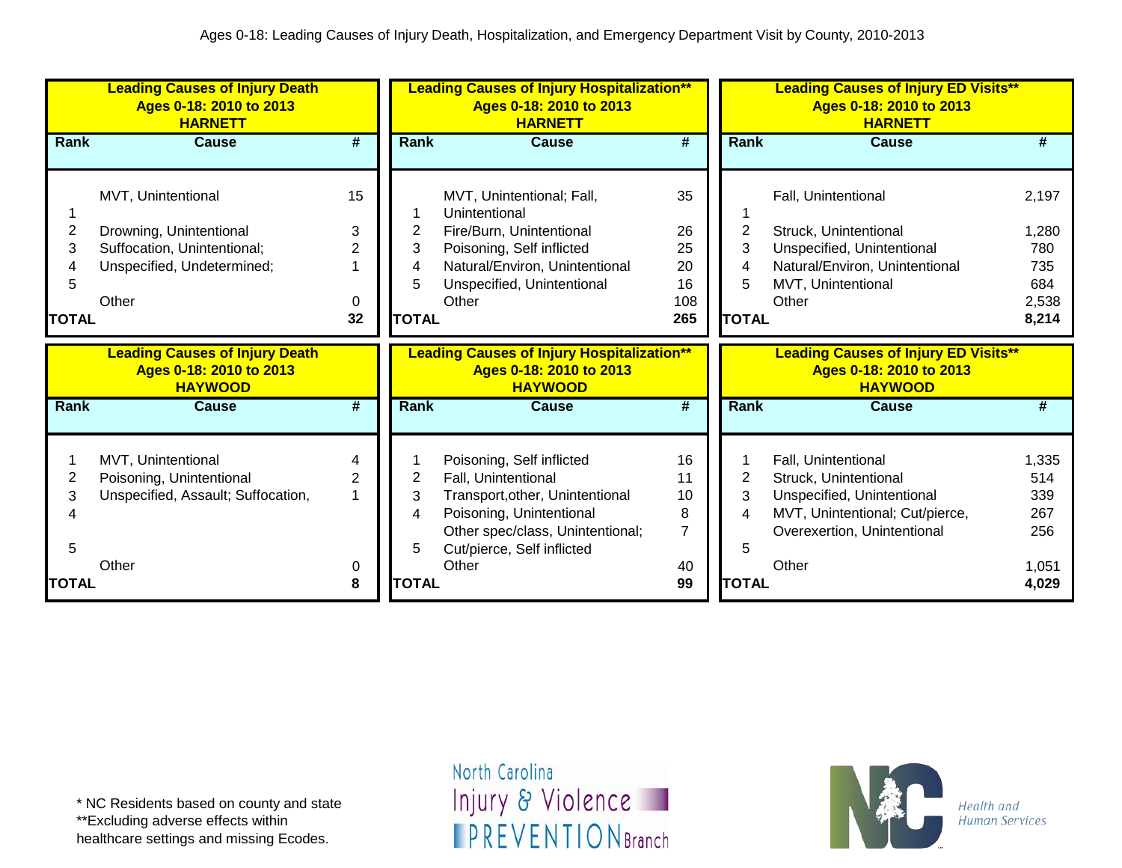|              | <b>Leading Causes of Injury Death</b><br>Ages 0-18: 2010 to 2013<br><b>HARNETT</b>            |                 |                  | <b>Leading Causes of Injury Hospitalization**</b><br>Ages 0-18: 2010 to 2013<br><b>HARNETT</b>                                                                                             |                                |              | <b>Leading Causes of Injury ED Visits**</b><br>Ages 0-18: 2010 to 2013<br><b>HARNETT</b>                                                              |                                            |
|--------------|-----------------------------------------------------------------------------------------------|-----------------|------------------|--------------------------------------------------------------------------------------------------------------------------------------------------------------------------------------------|--------------------------------|--------------|-------------------------------------------------------------------------------------------------------------------------------------------------------|--------------------------------------------|
| Rank         | <b>Cause</b>                                                                                  | #               | <b>Rank</b>      | <b>Cause</b>                                                                                                                                                                               | #                              | Rank         | Cause                                                                                                                                                 | #                                          |
| 2            | MVT, Unintentional<br>Drowning, Unintentional                                                 | 15<br>3         | 2                | MVT, Unintentional; Fall,<br>Unintentional<br>Fire/Burn, Unintentional                                                                                                                     | 35<br>26                       | 2            | Fall, Unintentional<br>Struck, Unintentional                                                                                                          | 2,197<br>1,280                             |
| 3            | Suffocation, Unintentional;                                                                   |                 | 3                | Poisoning, Self inflicted                                                                                                                                                                  | 25                             | 3            | Unspecified, Unintentional                                                                                                                            | 780                                        |
|              | Unspecified, Undetermined;                                                                    |                 | 4<br>5           | Natural/Environ, Unintentional<br>Unspecified, Unintentional                                                                                                                               | 20<br>16                       | 5            | Natural/Environ, Unintentional<br>MVT, Unintentional                                                                                                  | 735<br>684                                 |
|              | Other                                                                                         | 0               |                  | Other                                                                                                                                                                                      | 108                            |              | Other                                                                                                                                                 | 2,538                                      |
| <b>TOTAL</b> |                                                                                               | 32              | <b>TOTAL</b>     |                                                                                                                                                                                            | 265                            | <b>TOTAL</b> |                                                                                                                                                       | 8,214                                      |
|              |                                                                                               |                 |                  |                                                                                                                                                                                            |                                |              |                                                                                                                                                       |                                            |
|              | <b>Leading Causes of Injury Death</b><br>Ages 0-18: 2010 to 2013<br><b>HAYWOOD</b>            |                 |                  | <b>Leading Causes of Injury Hospitalization**</b><br>Ages 0-18: 2010 to 2013<br><b>HAYWOOD</b>                                                                                             |                                |              | <b>Leading Causes of Injury ED Visits**</b><br>Ages 0-18: 2010 to 2013<br><b>HAYWOOD</b>                                                              |                                            |
| Rank         | <b>Cause</b>                                                                                  | $\overline{\#}$ | Rank             | <b>Cause</b>                                                                                                                                                                               | $\overline{\boldsymbol{H}}$    | Rank         | <b>Cause</b>                                                                                                                                          | #                                          |
| 2<br>3<br>5  | MVT, Unintentional<br>Poisoning, Unintentional<br>Unspecified, Assault; Suffocation,<br>Other | 4<br>2<br>0     | 2<br>3<br>4<br>5 | Poisoning, Self inflicted<br>Fall, Unintentional<br>Transport, other, Unintentional<br>Poisoning, Unintentional<br>Other spec/class, Unintentional;<br>Cut/pierce, Self inflicted<br>Other | 16<br>11<br>10<br>8<br>7<br>40 | 2<br>3<br>5  | Fall, Unintentional<br>Struck, Unintentional<br>Unspecified, Unintentional<br>MVT, Unintentional; Cut/pierce,<br>Overexertion, Unintentional<br>Other | 1,335<br>514<br>339<br>267<br>256<br>1,051 |

\*\*Excluding adverse effects within

healthcare settings and missing Ecodes.

North Carolina Injury & Violence **IPREVENTIONBranch** 

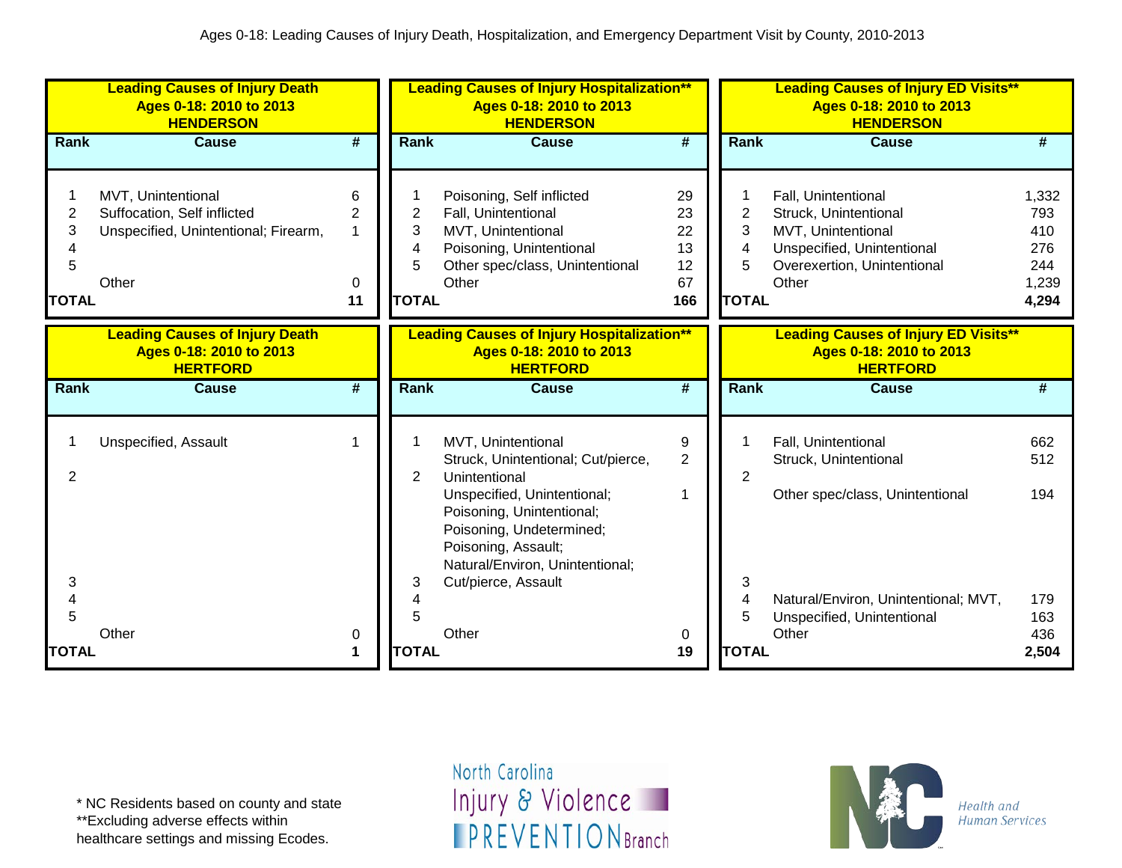|                                  | <b>Leading Causes of Injury Death</b><br>Ages 0-18: 2010 to 2013<br><b>HENDERSON</b>               |                             |                                  | <b>Leading Causes of Injury Hospitalization**</b><br>Ages 0-18: 2010 to 2013<br><b>HENDERSON</b>                                                                                                                                                   |                                         |                                  | <b>Leading Causes of Injury ED Visits**</b><br>Ages 0-18: 2010 to 2013<br><b>HENDERSON</b>                                               |                                                     |
|----------------------------------|----------------------------------------------------------------------------------------------------|-----------------------------|----------------------------------|----------------------------------------------------------------------------------------------------------------------------------------------------------------------------------------------------------------------------------------------------|-----------------------------------------|----------------------------------|------------------------------------------------------------------------------------------------------------------------------------------|-----------------------------------------------------|
| Rank                             | <b>Cause</b>                                                                                       | #                           | <b>Rank</b>                      | <b>Cause</b>                                                                                                                                                                                                                                       | #                                       | Rank                             | <b>Cause</b>                                                                                                                             | #                                                   |
| 2<br>3<br>4<br>5<br><b>TOTAL</b> | MVT, Unintentional<br>Suffocation, Self inflicted<br>Unspecified, Unintentional; Firearm,<br>Other | 6<br>2<br>1<br>0<br>11      | 2<br>3<br>4<br>5<br><b>TOTAL</b> | Poisoning, Self inflicted<br>Fall, Unintentional<br>MVT, Unintentional<br>Poisoning, Unintentional<br>Other spec/class, Unintentional<br>Other                                                                                                     | 29<br>23<br>22<br>13<br>12<br>67<br>166 | 2<br>3<br>4<br>5<br><b>TOTAL</b> | Fall, Unintentional<br>Struck, Unintentional<br>MVT, Unintentional<br>Unspecified, Unintentional<br>Overexertion, Unintentional<br>Other | 1,332<br>793<br>410<br>276<br>244<br>1,239<br>4,294 |
|                                  | <b>Leading Causes of Injury Death</b><br>Ages 0-18: 2010 to 2013<br><b>HERTFORD</b>                |                             |                                  | <b>Leading Causes of Injury Hospitalization**</b><br>Ages 0-18: 2010 to 2013<br><b>HERTFORD</b>                                                                                                                                                    |                                         |                                  | <b>Leading Causes of Injury ED Visits**</b><br>Ages 0-18: 2010 to 2013<br><b>HERTFORD</b>                                                |                                                     |
| Rank                             | <b>Cause</b>                                                                                       | $\overline{\boldsymbol{t}}$ | <b>Rank</b>                      | <b>Cause</b>                                                                                                                                                                                                                                       | #                                       | Rank                             | <b>Cause</b>                                                                                                                             | #                                                   |
| 2<br>3<br>4                      | Unspecified, Assault                                                                               | 1                           | $\overline{2}$<br>3<br>4         | MVT, Unintentional<br>Struck, Unintentional; Cut/pierce,<br>Unintentional<br>Unspecified, Unintentional;<br>Poisoning, Unintentional;<br>Poisoning, Undetermined;<br>Poisoning, Assault;<br>Natural/Environ, Unintentional;<br>Cut/pierce, Assault | 9<br>$\overline{2}$<br>1                | 2<br>3<br>4                      | Fall, Unintentional<br>Struck, Unintentional<br>Other spec/class, Unintentional<br>Natural/Environ, Unintentional; MVT,                  | 662<br>512<br>194<br>179                            |
| 5<br><b>TOTAL</b>                | Other                                                                                              | 0<br>1                      | 5<br><b>TOTAL</b>                | Other                                                                                                                                                                                                                                              | 0<br>19                                 | 5<br><b>TOTAL</b>                | Unspecified, Unintentional<br>Other                                                                                                      | 163<br>436<br>2,504                                 |

\*\*Excluding adverse effects within

healthcare settings and missing Ecodes.

North Carolina Injury & Violence **IPREVENTIONBranch** 

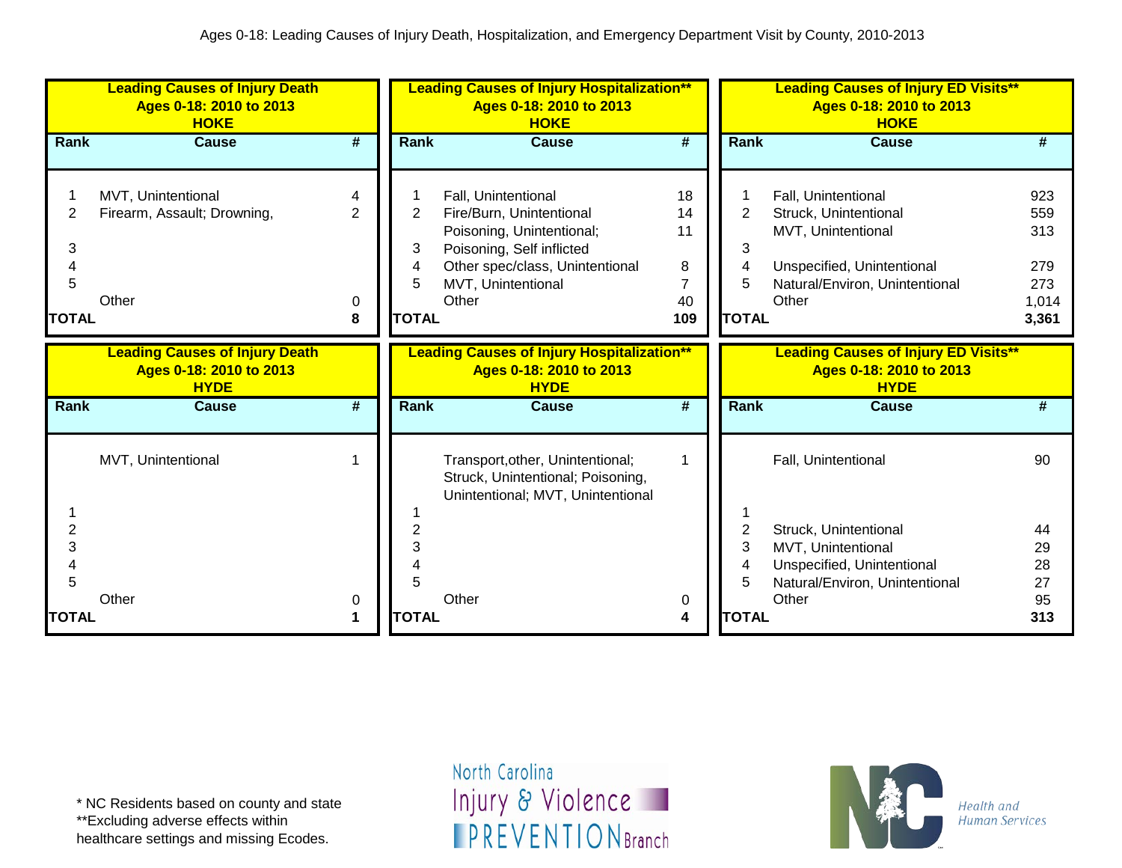|                             | <b>Leading Causes of Injury Death</b><br>Ages 0-18: 2010 to 2013<br><b>HOKE</b> |                               |                                               | <b>Leading Causes of Injury Hospitalization**</b><br>Ages 0-18: 2010 to 2013<br><b>HOKE</b>                                                                                 |                                       |                                          |   | <b>Leading Causes of Injury ED Visits**</b><br>Ages 0-18: 2010 to 2013<br><b>HOKE</b>                                                       |                                                   |
|-----------------------------|---------------------------------------------------------------------------------|-------------------------------|-----------------------------------------------|-----------------------------------------------------------------------------------------------------------------------------------------------------------------------------|---------------------------------------|------------------------------------------|---|---------------------------------------------------------------------------------------------------------------------------------------------|---------------------------------------------------|
| <b>Rank</b>                 | <b>Cause</b>                                                                    | #                             | Rank                                          | <b>Cause</b>                                                                                                                                                                | $\overline{\boldsymbol{t}}$           | Rank                                     |   | <b>Cause</b>                                                                                                                                | #                                                 |
| 2<br>3<br>5<br><b>TOTAL</b> | MVT, Unintentional<br>Firearm, Assault; Drowning,<br>Other                      | 4<br>$\overline{2}$<br>0<br>8 | $\overline{2}$<br>3<br>4<br>5<br><b>TOTAL</b> | Fall, Unintentional<br>Fire/Burn, Unintentional<br>Poisoning, Unintentional;<br>Poisoning, Self inflicted<br>Other spec/class, Unintentional<br>MVT, Unintentional<br>Other | 18<br>14<br>11<br>8<br>7<br>40<br>109 | $\overline{2}$<br>3<br>5<br><b>TOTAL</b> | 4 | Fall, Unintentional<br>Struck, Unintentional<br>MVT, Unintentional<br>Unspecified, Unintentional<br>Natural/Environ, Unintentional<br>Other | 923<br>559<br>313<br>279<br>273<br>1,014<br>3,361 |
|                             | <b>Leading Causes of Injury Death</b><br>Ages 0-18: 2010 to 2013<br><b>HYDE</b> |                               |                                               | <b>Leading Causes of Injury Hospitalization**</b><br>Ages 0-18: 2010 to 2013<br><b>HYDE</b>                                                                                 |                                       |                                          |   | <b>Leading Causes of Injury ED Visits**</b><br>Ages 0-18: 2010 to 2013<br><b>HYDE</b>                                                       |                                                   |
| Rank                        | <b>Cause</b>                                                                    | #                             | Rank                                          | Cause                                                                                                                                                                       | #                                     | Rank                                     |   | <b>Cause</b>                                                                                                                                | #                                                 |
| 2<br>3<br>5                 | MVT, Unintentional<br>Other                                                     | 0                             |                                               | Transport, other, Unintentional;<br>Struck, Unintentional; Poisoning,<br>Unintentional; MVT, Unintentional<br>Other                                                         | 1<br>0                                | 2<br>3<br>4<br>5                         |   | Fall, Unintentional<br>Struck, Unintentional<br>MVT, Unintentional<br>Unspecified, Unintentional<br>Natural/Environ, Unintentional<br>Other | 90<br>44<br>29<br>28<br>27<br>95                  |
| <b>TOTAL</b>                |                                                                                 | 1                             | <b>TOTAL</b>                                  |                                                                                                                                                                             | 4                                     | <b>TOTAL</b>                             |   |                                                                                                                                             | 313                                               |

\*\*Excluding adverse effects within

healthcare settings and missing Ecodes.

North Carolina Injury & Violence **IPREVENTIONBranch** 

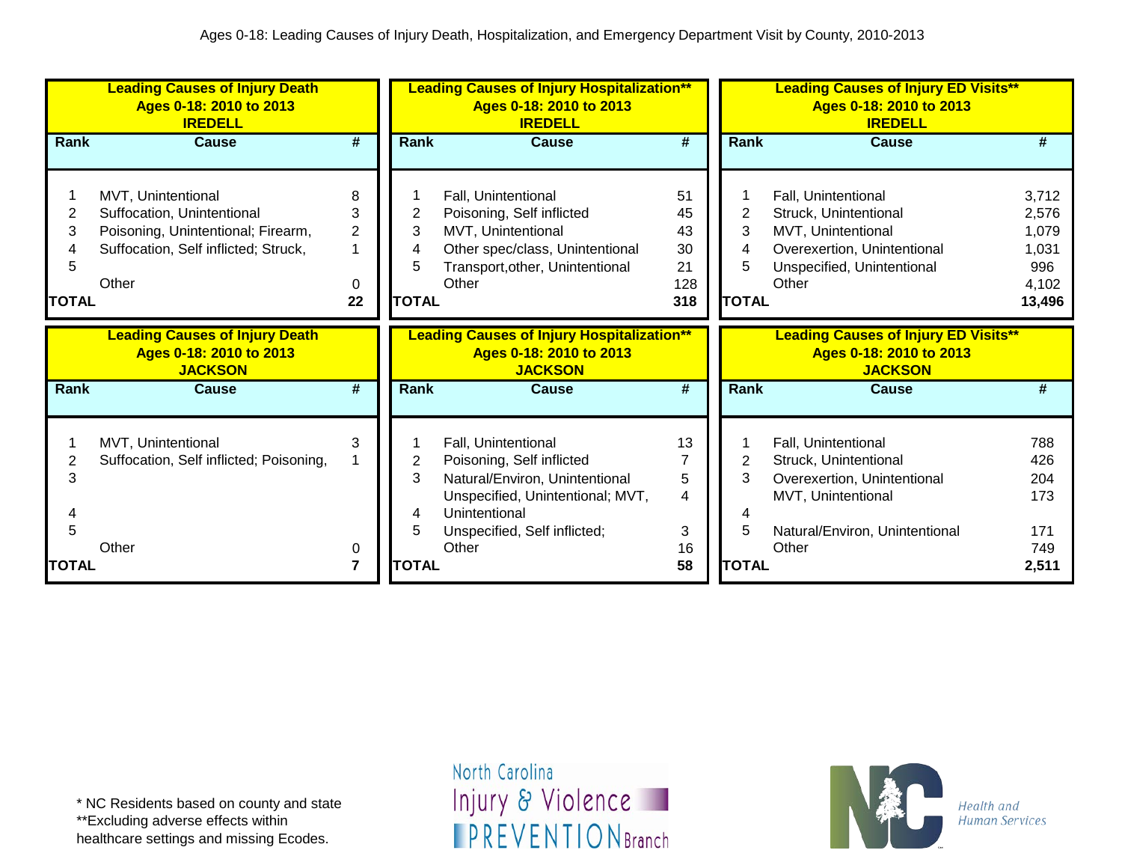|                                  | <b>Leading Causes of Injury Death</b><br>Ages 0-18: 2010 to 2013<br><b>IREDELL</b>                                                      |                                     |                        | <b>Leading Causes of Injury Hospitalization**</b><br>Ages 0-18: 2010 to 2013<br><b>IREDELL</b>                                                                          |                                          |                                               | <b>Leading Causes of Injury ED Visits**</b><br>Ages 0-18: 2010 to 2013<br><b>IREDELL</b>                                                 |                                                            |
|----------------------------------|-----------------------------------------------------------------------------------------------------------------------------------------|-------------------------------------|------------------------|-------------------------------------------------------------------------------------------------------------------------------------------------------------------------|------------------------------------------|-----------------------------------------------|------------------------------------------------------------------------------------------------------------------------------------------|------------------------------------------------------------|
| Rank                             | <b>Cause</b>                                                                                                                            | #                                   | <b>Rank</b>            | <b>Cause</b>                                                                                                                                                            | $\overline{\boldsymbol{t}}$              | Rank                                          | <b>Cause</b>                                                                                                                             | #                                                          |
| 2<br>3<br>4<br>5<br><b>TOTAL</b> | MVT, Unintentional<br>Suffocation, Unintentional<br>Poisoning, Unintentional; Firearm,<br>Suffocation, Self inflicted; Struck,<br>Other | 8<br>3<br>$\overline{2}$<br>0<br>22 | 2<br>3<br><b>TOTAL</b> | Fall, Unintentional<br>Poisoning, Self inflicted<br>MVT, Unintentional<br>Other spec/class, Unintentional<br>Transport, other, Unintentional<br>Other                   | 51<br>45<br>43<br>30<br>21<br>128<br>318 | $\overline{2}$<br>3<br>4<br>5<br><b>TOTAL</b> | Fall, Unintentional<br>Struck, Unintentional<br>MVT, Unintentional<br>Overexertion, Unintentional<br>Unspecified, Unintentional<br>Other | 3,712<br>2,576<br>1,079<br>1,031<br>996<br>4,102<br>13,496 |
|                                  | <b>Leading Causes of Injury Death</b><br>Ages 0-18: 2010 to 2013<br><b>JACKSON</b>                                                      |                                     |                        | <b>Leading Causes of Injury Hospitalization**</b><br>Ages 0-18: 2010 to 2013<br><b>JACKSON</b>                                                                          |                                          |                                               | <b>Leading Causes of Injury ED Visits**</b><br>Ages 0-18: 2010 to 2013<br><b>JACKSON</b>                                                 |                                                            |
| Rank                             | <b>Cause</b>                                                                                                                            | #                                   | Rank                   | <b>Cause</b>                                                                                                                                                            | $\overline{\boldsymbol{t}}$              | Rank                                          | <b>Cause</b>                                                                                                                             | #                                                          |
| 2<br>3<br>5                      | MVT, Unintentional<br>Suffocation, Self inflicted; Poisoning,                                                                           | 3                                   | 2<br>3                 | Fall, Unintentional<br>Poisoning, Self inflicted<br>Natural/Environ, Unintentional<br>Unspecified, Unintentional; MVT,<br>Unintentional<br>Unspecified, Self inflicted; | 13<br>5<br>4<br>3                        | 2<br>4<br>5                                   | Fall, Unintentional<br>Struck, Unintentional<br>Overexertion, Unintentional<br>MVT, Unintentional<br>Natural/Environ, Unintentional      | 788<br>426<br>204<br>173<br>171                            |
|                                  | Other                                                                                                                                   | 0                                   |                        | Other                                                                                                                                                                   | 16                                       |                                               | Other                                                                                                                                    | 749                                                        |

healthcare settings and missing Ecodes.

North Carolina Injury & Violence **IPREVENTIONBranch** 

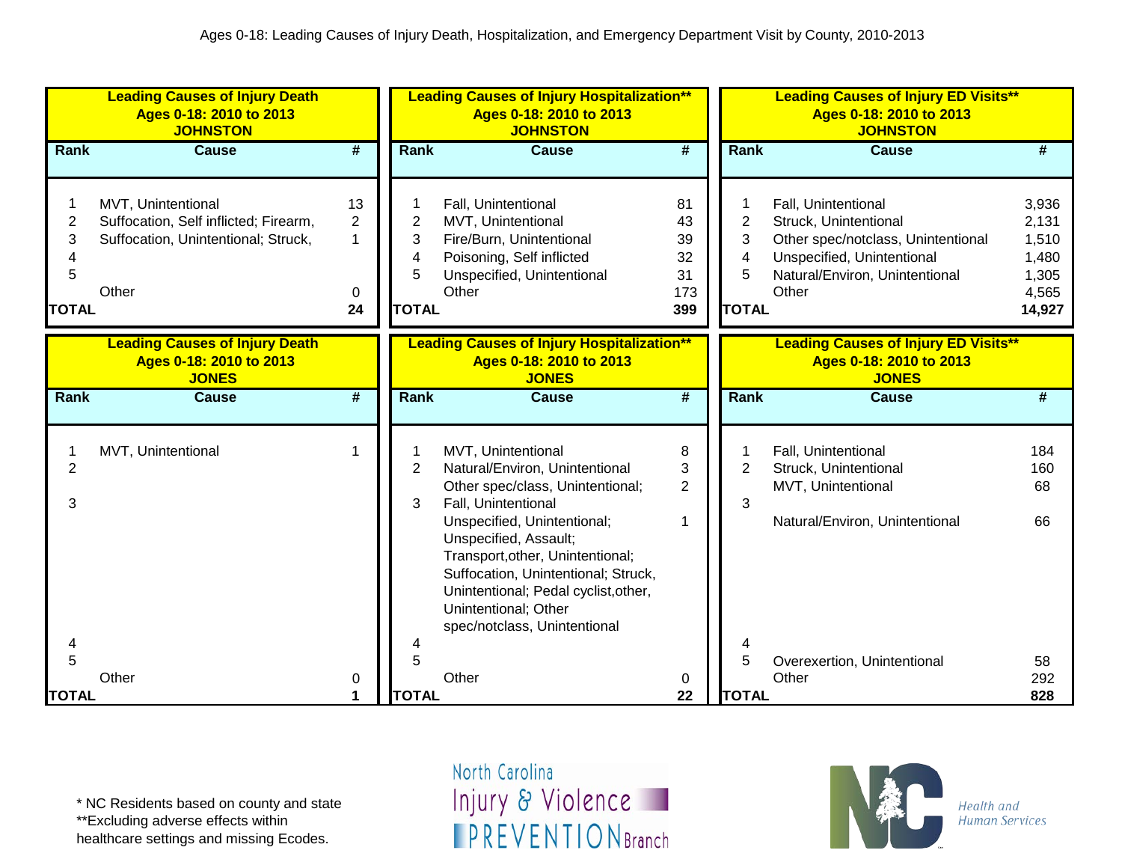|                                                    | <b>Leading Causes of Injury Death</b><br>Ages 0-18: 2010 to 2013<br><b>JOHNSTON</b>                         |                                      |                                               | <b>Leading Causes of Injury Hospitalization**</b><br>Ages 0-18: 2010 to 2013<br><b>JOHNSTON</b>                                                                                                                                                    |                                          |                                               | <b>Leading Causes of Injury ED Visits**</b><br>Ages 0-18: 2010 to 2013<br><b>JOHNSTON</b>                                                                   |                                                              |
|----------------------------------------------------|-------------------------------------------------------------------------------------------------------------|--------------------------------------|-----------------------------------------------|----------------------------------------------------------------------------------------------------------------------------------------------------------------------------------------------------------------------------------------------------|------------------------------------------|-----------------------------------------------|-------------------------------------------------------------------------------------------------------------------------------------------------------------|--------------------------------------------------------------|
| Rank                                               | <b>Cause</b>                                                                                                | #                                    | <b>Rank</b>                                   | <b>Cause</b>                                                                                                                                                                                                                                       | $\overline{\boldsymbol{t}}$              | Rank                                          | <b>Cause</b>                                                                                                                                                | #                                                            |
| 1<br>$\overline{2}$<br>3<br>4<br>5<br><b>TOTAL</b> | MVT, Unintentional<br>Suffocation, Self inflicted; Firearm,<br>Suffocation, Unintentional; Struck,<br>Other | 13<br>$\overline{2}$<br>1<br>0<br>24 | $\overline{c}$<br>3<br>4<br>5<br><b>TOTAL</b> | Fall, Unintentional<br>MVT, Unintentional<br>Fire/Burn, Unintentional<br>Poisoning, Self inflicted<br>Unspecified, Unintentional<br>Other                                                                                                          | 81<br>43<br>39<br>32<br>31<br>173<br>399 | $\overline{2}$<br>3<br>4<br>5<br><b>TOTAL</b> | Fall, Unintentional<br>Struck, Unintentional<br>Other spec/notclass, Unintentional<br>Unspecified, Unintentional<br>Natural/Environ, Unintentional<br>Other | 3,936<br>2,131<br>1,510<br>1,480<br>1,305<br>4,565<br>14,927 |
|                                                    | <b>Leading Causes of Injury Death</b><br>Ages 0-18: 2010 to 2013                                            |                                      |                                               | <b>Leading Causes of Injury Hospitalization**</b><br>Ages 0-18: 2010 to 2013                                                                                                                                                                       |                                          |                                               | <b>Leading Causes of Injury ED Visits**</b><br>Ages 0-18: 2010 to 2013                                                                                      |                                                              |
| Rank                                               | <b>JONES</b><br><b>Cause</b>                                                                                | #                                    | Rank                                          | <b>JONES</b><br><b>Cause</b>                                                                                                                                                                                                                       | #                                        | Rank                                          | <b>JONES</b><br><b>Cause</b>                                                                                                                                | #                                                            |
|                                                    |                                                                                                             |                                      |                                               |                                                                                                                                                                                                                                                    |                                          |                                               |                                                                                                                                                             |                                                              |
| $\overline{2}$<br>3                                | MVT, Unintentional                                                                                          | $\mathbf{1}$                         | $\overline{2}$<br>3                           | MVT, Unintentional<br>Natural/Environ, Unintentional<br>Other spec/class, Unintentional;<br>Fall, Unintentional<br>Unspecified, Unintentional;<br>Unspecified, Assault;<br>Transport, other, Unintentional;<br>Suffocation, Unintentional; Struck, | 8<br>3<br>$\overline{2}$<br>1            | 2<br>3                                        | Fall, Unintentional<br>Struck, Unintentional<br>MVT, Unintentional<br>Natural/Environ, Unintentional                                                        | 184<br>160<br>68<br>66                                       |
| 4<br>5<br><b>TOTAL</b>                             | Other                                                                                                       | 0<br>1                               | 4<br>5<br><b>TOTAL</b>                        | Unintentional; Pedal cyclist, other,<br>Unintentional; Other<br>spec/notclass, Unintentional<br>Other                                                                                                                                              | 0<br>22                                  | 4<br>5<br><b>TOTAL</b>                        | Overexertion, Unintentional<br>Other                                                                                                                        | 58<br>292<br>828                                             |

\*\*Excluding adverse effects within

healthcare settings and missing Ecodes.

North Carolina Injury & Violence **IPREVENTIONBranch** 

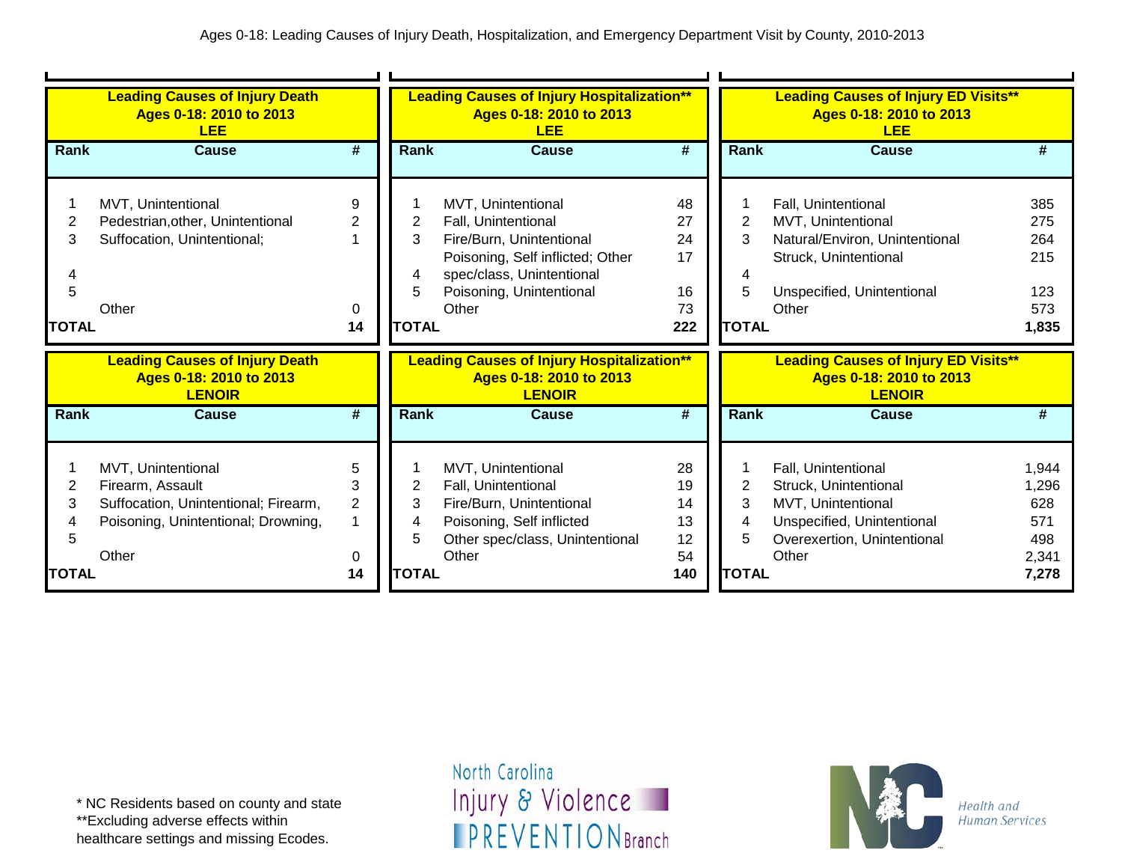|              | <b>Leading Causes of Injury Death</b><br>Ages 0-18: 2010 to 2013<br><b>LEE</b> |                |                | <b>Leading Causes of Injury Hospitalization**</b><br>Ages 0-18: 2010 to 2013<br><b>LEE</b> |           |                | <b>Leading Causes of Injury ED Visits**</b><br>Ages 0-18: 2010 to 2013<br><b>LEE</b> |                |
|--------------|--------------------------------------------------------------------------------|----------------|----------------|--------------------------------------------------------------------------------------------|-----------|----------------|--------------------------------------------------------------------------------------|----------------|
| <b>Rank</b>  | Cause                                                                          | #              | Rank           | Cause                                                                                      | #         | <b>Rank</b>    | Cause                                                                                | #              |
|              |                                                                                |                |                |                                                                                            |           |                |                                                                                      |                |
|              | MVT, Unintentional                                                             | 9              |                | MVT, Unintentional                                                                         | 48        |                | Fall, Unintentional                                                                  | 385            |
| 2            | Pedestrian, other, Unintentional                                               | 2              | $\overline{2}$ | Fall, Unintentional                                                                        | 27        | 2              | MVT, Unintentional                                                                   | 275            |
| 3            | Suffocation, Unintentional;                                                    |                | 3              | Fire/Burn, Unintentional                                                                   | 24        | 3              | Natural/Environ, Unintentional                                                       | 264            |
|              |                                                                                |                |                | Poisoning, Self inflicted; Other                                                           | 17        |                | Struck, Unintentional                                                                | 215            |
|              |                                                                                |                | 4              | spec/class, Unintentional                                                                  |           | 4              |                                                                                      |                |
| 5            |                                                                                |                | 5              | Poisoning, Unintentional                                                                   | 16        | 5              | Unspecified, Unintentional                                                           | 123            |
|              | Other                                                                          | 0              |                | Other                                                                                      | 73        |                | Other                                                                                | 573            |
| <b>TOTAL</b> |                                                                                | 14             | <b>TOTAL</b>   |                                                                                            | 222       | <b>TOTAL</b>   |                                                                                      | 1,835          |
|              |                                                                                |                |                |                                                                                            |           |                |                                                                                      |                |
|              |                                                                                |                |                |                                                                                            |           |                |                                                                                      |                |
|              | <b>Leading Causes of Injury Death</b>                                          |                |                | <b>Leading Causes of Injury Hospitalization**</b>                                          |           |                | <b>Leading Causes of Injury ED Visits**</b>                                          |                |
|              | Ages 0-18: 2010 to 2013                                                        |                |                | Ages 0-18: 2010 to 2013                                                                    |           |                | Ages 0-18: 2010 to 2013                                                              |                |
| Rank         | <b>LENOIR</b><br><b>Cause</b>                                                  | #              | Rank           | <b>LENOIR</b><br><b>Cause</b>                                                              | #         | <b>Rank</b>    | <b>LENOIR</b><br>Cause                                                               | #              |
|              |                                                                                |                |                |                                                                                            |           |                |                                                                                      |                |
|              |                                                                                |                |                |                                                                                            |           |                |                                                                                      |                |
|              | MVT, Unintentional                                                             | 5              |                | MVT, Unintentional                                                                         | 28        |                | Fall, Unintentional                                                                  | 1,944          |
| 2            | Firearm, Assault                                                               | 3              | 2              | Fall, Unintentional                                                                        | 19        | $\overline{2}$ | Struck, Unintentional                                                                | 1,296          |
| 3            | Suffocation, Unintentional; Firearm,                                           | $\overline{2}$ | 3              | Fire/Burn, Unintentional                                                                   | 14        | 3              | MVT, Unintentional                                                                   | 628            |
|              | Poisoning, Unintentional; Drowning,                                            | 1              |                | Poisoning, Self inflicted                                                                  | 13        | 4              | Unspecified, Unintentional                                                           | 571            |
| 5            |                                                                                |                | 5              | Other spec/class, Unintentional                                                            | 12        | 5              | Overexertion, Unintentional                                                          | 498            |
| TOTAL        | Other                                                                          | 0<br>14        | <b>TOTAL</b>   | Other                                                                                      | 54<br>140 | <b>TOTAL</b>   | Other                                                                                | 2,341<br>7,278 |

\*\*Excluding adverse effects within

healthcare settings and missing Ecodes.

North Carolina Injury & Violence **IPREVENTIONBranch** 

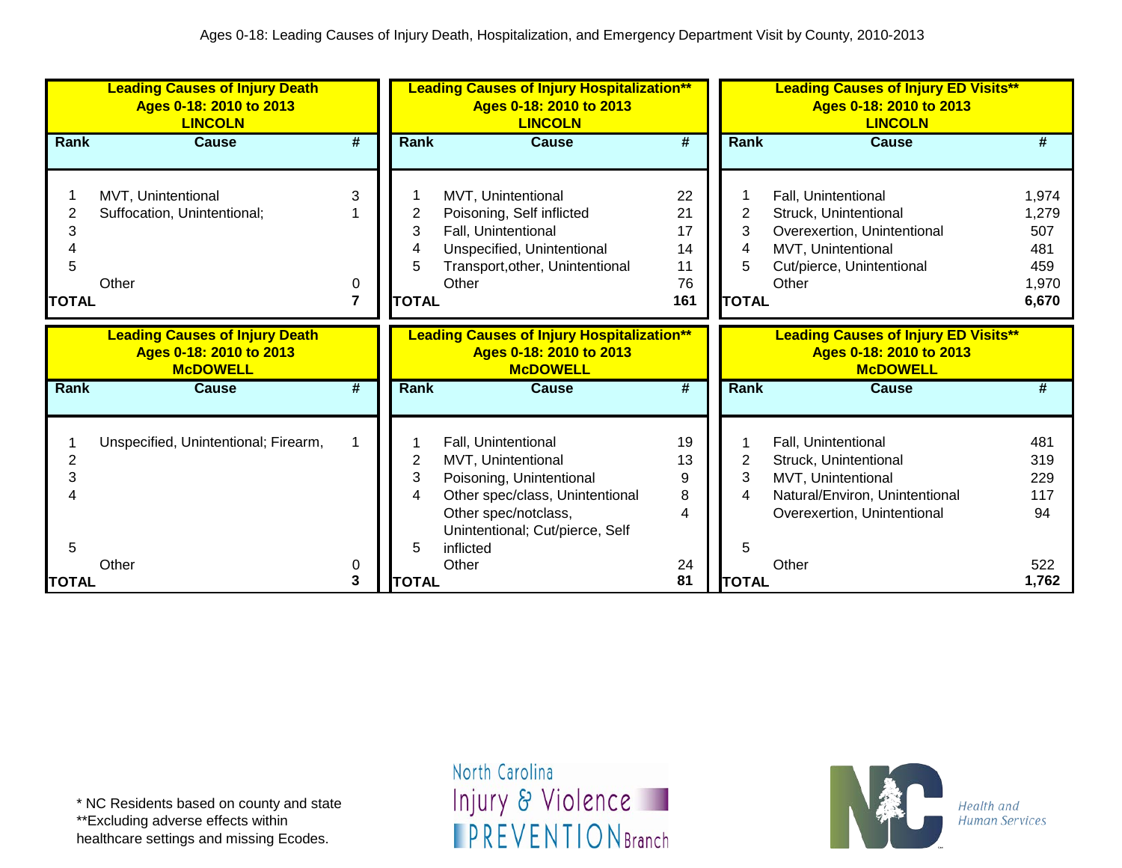|                   | <b>Leading Causes of Injury Death</b><br>Ages 0-18: 2010 to 2013<br><b>LINCOLN</b>  |             |                             | <b>Leading Causes of Injury Hospitalization**</b><br>Ages 0-18: 2010 to 2013<br><b>LINCOLN</b>                                                                      |                                         |                                               | <b>Leading Causes of Injury ED Visits**</b><br>Ages 0-18: 2010 to 2013<br><b>LINCOLN</b>                                                |                                                       |
|-------------------|-------------------------------------------------------------------------------------|-------------|-----------------------------|---------------------------------------------------------------------------------------------------------------------------------------------------------------------|-----------------------------------------|-----------------------------------------------|-----------------------------------------------------------------------------------------------------------------------------------------|-------------------------------------------------------|
| <b>Rank</b>       | <b>Cause</b>                                                                        | #           | <b>Rank</b>                 | <b>Cause</b>                                                                                                                                                        | $\overline{\boldsymbol{t}}$             | Rank                                          | <b>Cause</b>                                                                                                                            | #                                                     |
| 3<br><b>TOTAL</b> | MVT, Unintentional<br>Suffocation, Unintentional;<br>Other                          | 3<br>0<br>7 | 2<br>3<br>5<br><b>TOTAL</b> | MVT, Unintentional<br>Poisoning, Self inflicted<br>Fall, Unintentional<br>Unspecified, Unintentional<br>Transport, other, Unintentional<br>Other                    | 22<br>21<br>17<br>14<br>11<br>76<br>161 | $\overline{2}$<br>3<br>4<br>5<br><b>TOTAL</b> | Fall, Unintentional<br>Struck, Unintentional<br>Overexertion, Unintentional<br>MVT, Unintentional<br>Cut/pierce, Unintentional<br>Other | 1,974<br>1,279<br>507<br>481<br>459<br>1,970<br>6,670 |
|                   | <b>Leading Causes of Injury Death</b><br>Ages 0-18: 2010 to 2013<br><b>McDOWELL</b> |             |                             | <b>Leading Causes of Injury Hospitalization**</b><br>Ages 0-18: 2010 to 2013<br><b>McDOWELL</b>                                                                     |                                         |                                               | <b>Leading Causes of Injury ED Visits**</b><br>Ages 0-18: 2010 to 2013<br><b>McDOWELL</b>                                               |                                                       |
| Rank              | <b>Cause</b>                                                                        | #           | <b>Rank</b>                 | Cause                                                                                                                                                               | $\overline{\boldsymbol{t}}$             | Rank                                          | Cause                                                                                                                                   | #                                                     |
| 2<br>3            | Unspecified, Unintentional; Firearm,                                                |             | 2<br>3<br>4                 | Fall, Unintentional<br>MVT, Unintentional<br>Poisoning, Unintentional<br>Other spec/class, Unintentional<br>Other spec/notclass,<br>Unintentional; Cut/pierce, Self | 19<br>13<br>9<br>8<br>4                 | $\overline{2}$<br>3<br>4                      | Fall, Unintentional<br>Struck, Unintentional<br>MVT, Unintentional<br>Natural/Environ, Unintentional<br>Overexertion, Unintentional     | 481<br>319<br>229<br>117<br>94                        |
| 5<br><b>TOTAL</b> | Other                                                                               | 0<br>3      | 5<br><b>TOTAL</b>           | inflicted<br>Other                                                                                                                                                  | 24<br>81                                | 5<br><b>TOTAL</b>                             | Other                                                                                                                                   | 522<br>1,762                                          |

\*\*Excluding adverse effects within

healthcare settings and missing Ecodes.

North Carolina Injury & Violence **IPREVENTIONBranch** 

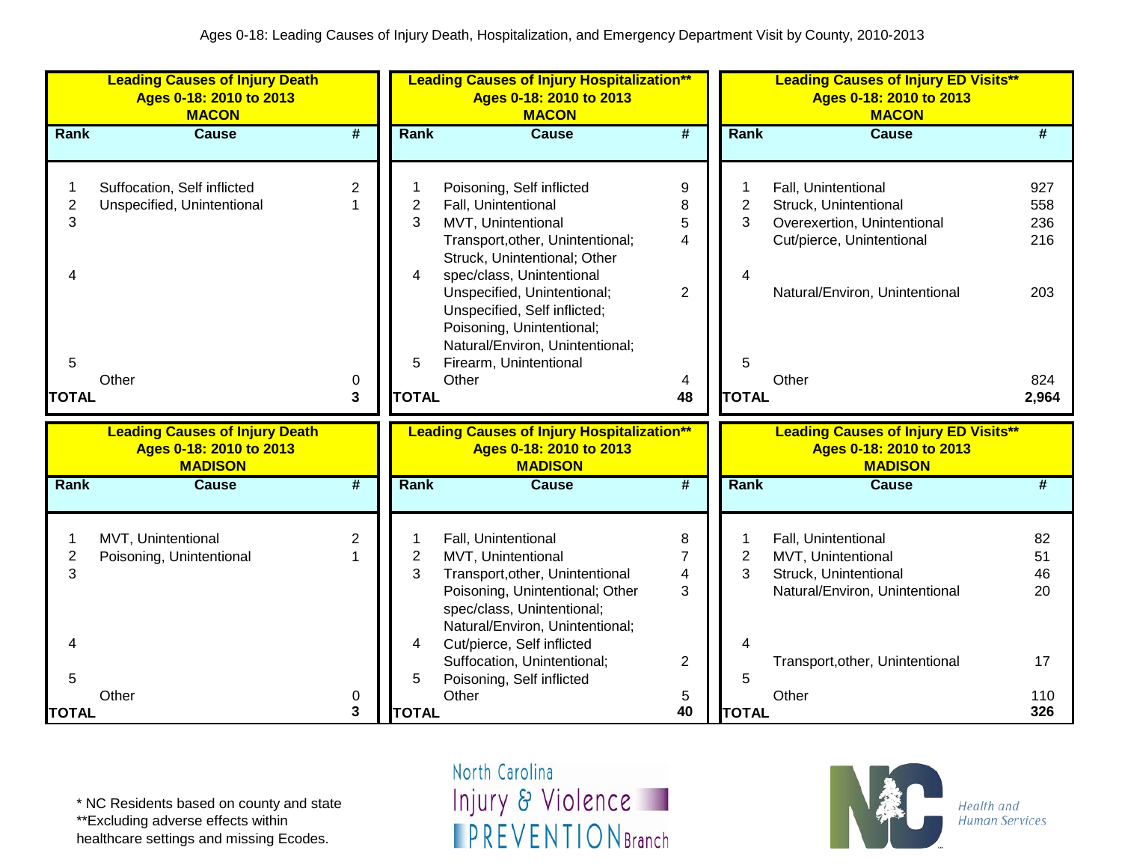|                | <b>Leading Causes of Injury Death</b><br>Ages 0-18: 2010 to 2013<br><b>MACON</b> |                      |                | <b>Leading Causes of Injury Hospitalization**</b><br>Ages 0-18: 2010 to 2013<br><b>MACON</b> |                             |                | <b>Leading Causes of Injury ED Visits**</b><br>Ages 0-18: 2010 to 2013<br><b>MACON</b> |       |
|----------------|----------------------------------------------------------------------------------|----------------------|----------------|----------------------------------------------------------------------------------------------|-----------------------------|----------------|----------------------------------------------------------------------------------------|-------|
| <b>Rank</b>    | <b>Cause</b>                                                                     | #                    | <b>Rank</b>    | <b>Cause</b>                                                                                 | $\overline{\boldsymbol{t}}$ | Rank           | <b>Cause</b>                                                                           |       |
| 1              | Suffocation, Self inflicted                                                      | $\overline{2}$       |                | Poisoning, Self inflicted                                                                    | $\boldsymbol{9}$            | 1              | Fall, Unintentional                                                                    | 927   |
| $\overline{c}$ | Unspecified, Unintentional                                                       |                      | $\overline{c}$ | Fall, Unintentional                                                                          | 8                           | $\overline{2}$ | Struck, Unintentional                                                                  | 558   |
| 3              |                                                                                  |                      | 3              | MVT, Unintentional                                                                           | 5                           | 3              | Overexertion, Unintentional                                                            | 236   |
|                |                                                                                  |                      |                | Transport, other, Unintentional;                                                             | 4                           |                | Cut/pierce, Unintentional                                                              | 216   |
|                |                                                                                  |                      |                | Struck, Unintentional; Other                                                                 |                             |                |                                                                                        |       |
| 4              |                                                                                  |                      | 4              | spec/class, Unintentional                                                                    |                             | 4              |                                                                                        |       |
|                |                                                                                  |                      |                | Unspecified, Unintentional;                                                                  | $\overline{2}$              |                | Natural/Environ, Unintentional                                                         | 203   |
|                |                                                                                  |                      |                | Unspecified, Self inflicted;                                                                 |                             |                |                                                                                        |       |
|                |                                                                                  |                      |                | Poisoning, Unintentional;                                                                    |                             |                |                                                                                        |       |
|                |                                                                                  |                      |                | Natural/Environ, Unintentional;                                                              |                             |                |                                                                                        |       |
| 5              |                                                                                  |                      | 5              | Firearm, Unintentional                                                                       |                             | 5              |                                                                                        |       |
|                | Other                                                                            | 0                    |                | Other                                                                                        | 4                           |                | Other                                                                                  | 824   |
| <b>TOTAL</b>   |                                                                                  | 3                    | <b>TOTAL</b>   |                                                                                              | 48                          | <b>TOTAL</b>   |                                                                                        | 2,964 |
|                |                                                                                  |                      |                |                                                                                              |                             |                |                                                                                        |       |
|                | <b>Leading Causes of Injury Death</b>                                            |                      |                | <b>Leading Causes of Injury Hospitalization**</b>                                            |                             |                | <b>Leading Causes of Injury ED Visits**</b>                                            |       |
|                | Ages 0-18: 2010 to 2013                                                          |                      |                | Ages 0-18: 2010 to 2013                                                                      |                             |                | Ages 0-18: 2010 to 2013                                                                |       |
|                | <b>MADISON</b>                                                                   |                      |                | <b>MADISON</b>                                                                               |                             |                | <b>MADISON</b>                                                                         |       |
| <b>Rank</b>    | <b>Cause</b>                                                                     | #                    | <b>Rank</b>    | <b>Cause</b>                                                                                 | #                           | Rank           | <b>Cause</b>                                                                           | #     |
|                |                                                                                  |                      |                |                                                                                              |                             |                |                                                                                        |       |
| 1              | MVT, Unintentional                                                               | 2                    | 1              | Fall, Unintentional                                                                          | 8                           | 1              | Fall, Unintentional                                                                    | 82    |
| $\overline{c}$ | Poisoning, Unintentional                                                         | $\blacktriangleleft$ | $\overline{2}$ | MVT, Unintentional                                                                           | 7                           | $\mathbf{2}$   | MVT, Unintentional                                                                     | 51    |
| 3              |                                                                                  |                      | 3              | Transport, other, Unintentional                                                              | $\overline{\mathbf{4}}$     | 3              | Struck, Unintentional                                                                  | 46    |
|                |                                                                                  |                      |                | Poisoning, Unintentional; Other                                                              | 3                           |                | Natural/Environ, Unintentional                                                         | 20    |
|                |                                                                                  |                      |                | spec/class, Unintentional;                                                                   |                             |                |                                                                                        |       |
|                |                                                                                  |                      |                | Natural/Environ, Unintentional;                                                              |                             |                |                                                                                        |       |
| 4              |                                                                                  |                      | 4              | Cut/pierce, Self inflicted                                                                   |                             | 4              |                                                                                        |       |
|                |                                                                                  |                      |                | Suffocation, Unintentional;                                                                  | 2                           |                | Transport, other, Unintentional                                                        | 17    |
| 5              |                                                                                  |                      | 5              | Poisoning, Self inflicted                                                                    |                             | 5              |                                                                                        |       |
|                | Other                                                                            | 0                    |                | Other                                                                                        | 5                           |                | Other                                                                                  | 110   |
| <b>TOTAL</b>   |                                                                                  | 3                    | <b>TOTAL</b>   |                                                                                              | 40                          | <b>TOTAL</b>   |                                                                                        | 326   |

\*\*Excluding adverse effects within

healthcare settings and missing Ecodes.

North Carolina Injury & Violence **FPREVENTIONBranch** 

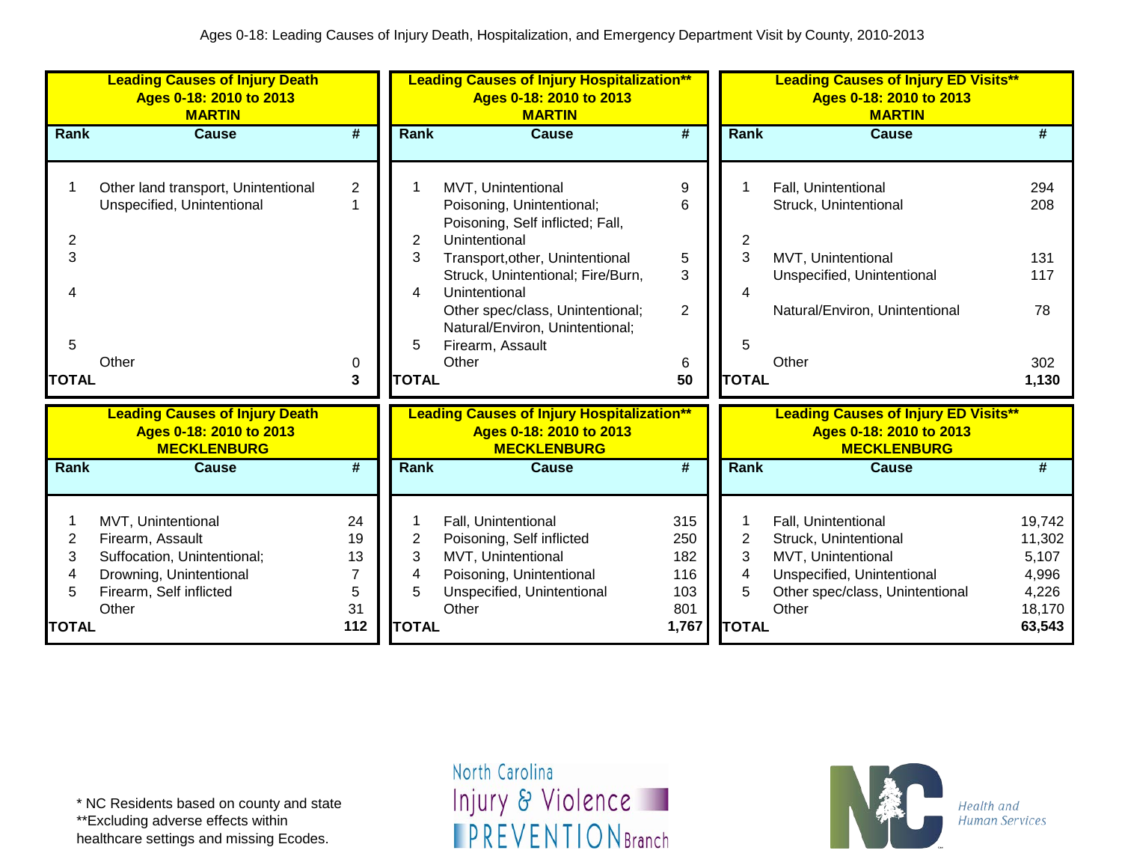|                                               | <b>Leading Causes of Injury Death</b><br>Ages 0-18: 2010 to 2013<br><b>MARTIN</b>                                                    |                                       |                                  | <b>Leading Causes of Injury Hospitalization**</b><br>Ages 0-18: 2010 to 2013<br><b>MARTIN</b>                                                                                                                                                                                                     |                                                 |                                               | <b>Leading Causes of Injury ED Visits**</b><br>Ages 0-18: 2010 to 2013<br><b>MARTIN</b>                                                      |                                                                 |
|-----------------------------------------------|--------------------------------------------------------------------------------------------------------------------------------------|---------------------------------------|----------------------------------|---------------------------------------------------------------------------------------------------------------------------------------------------------------------------------------------------------------------------------------------------------------------------------------------------|-------------------------------------------------|-----------------------------------------------|----------------------------------------------------------------------------------------------------------------------------------------------|-----------------------------------------------------------------|
| <b>Rank</b>                                   | <b>Cause</b>                                                                                                                         | #                                     | <b>Rank</b>                      | <b>Cause</b>                                                                                                                                                                                                                                                                                      | #                                               | Rank                                          | Cause                                                                                                                                        | #                                                               |
| $\overline{c}$<br>3<br>4<br>5<br><b>TOTAL</b> | Other land transport, Unintentional<br>Unspecified, Unintentional<br>Other                                                           | $\overline{c}$<br>1<br>0<br>3         | 2<br>3<br>4<br><b>TOTAL</b>      | MVT, Unintentional<br>Poisoning, Unintentional;<br>Poisoning, Self inflicted; Fall,<br>Unintentional<br>Transport, other, Unintentional<br>Struck, Unintentional; Fire/Burn,<br>Unintentional<br>Other spec/class, Unintentional;<br>Natural/Environ, Unintentional;<br>Firearm, Assault<br>Other | 9<br>6<br>5<br>3<br>$\overline{2}$<br>6<br>50   | $\overline{2}$<br>3<br>4<br>5<br><b>TOTAL</b> | Fall, Unintentional<br>Struck, Unintentional<br>MVT, Unintentional<br>Unspecified, Unintentional<br>Natural/Environ, Unintentional<br>Other  | 294<br>208<br>131<br>117<br>78<br>302<br>1,130                  |
|                                               | <b>Leading Causes of Injury Death</b><br>Ages 0-18: 2010 to 2013<br><b>MECKLENBURG</b>                                               |                                       |                                  | <b>Leading Causes of Injury Hospitalization**</b><br>Ages 0-18: 2010 to 2013<br><b>MECKLENBURG</b>                                                                                                                                                                                                |                                                 |                                               | <b>Leading Causes of Injury ED Visits**</b><br>Ages 0-18: 2010 to 2013<br><b>MECKLENBURG</b>                                                 |                                                                 |
| Rank                                          | <b>Cause</b>                                                                                                                         | #                                     | <b>Rank</b>                      | <b>Cause</b>                                                                                                                                                                                                                                                                                      | #                                               | Rank                                          | <b>Cause</b>                                                                                                                                 | #                                                               |
| 2<br>3<br>4<br>5<br><b>TOTAL</b>              | MVT, Unintentional<br>Firearm, Assault<br>Suffocation, Unintentional;<br>Drowning, Unintentional<br>Firearm, Self inflicted<br>Other | 24<br>19<br>13<br>7<br>5<br>31<br>112 | 2<br>3<br>4<br>5<br><b>TOTAL</b> | Fall, Unintentional<br>Poisoning, Self inflicted<br>MVT, Unintentional<br>Poisoning, Unintentional<br>Unspecified, Unintentional<br>Other                                                                                                                                                         | 315<br>250<br>182<br>116<br>103<br>801<br>1,767 | $\overline{2}$<br>3<br>4<br>5<br><b>TOTAL</b> | Fall, Unintentional<br>Struck, Unintentional<br>MVT, Unintentional<br>Unspecified, Unintentional<br>Other spec/class, Unintentional<br>Other | 19,742<br>11,302<br>5,107<br>4,996<br>4,226<br>18,170<br>63,543 |

\*\*Excluding adverse effects within

healthcare settings and missing Ecodes.

North Carolina Injury & Violence **IPREVENTIONBranch** 

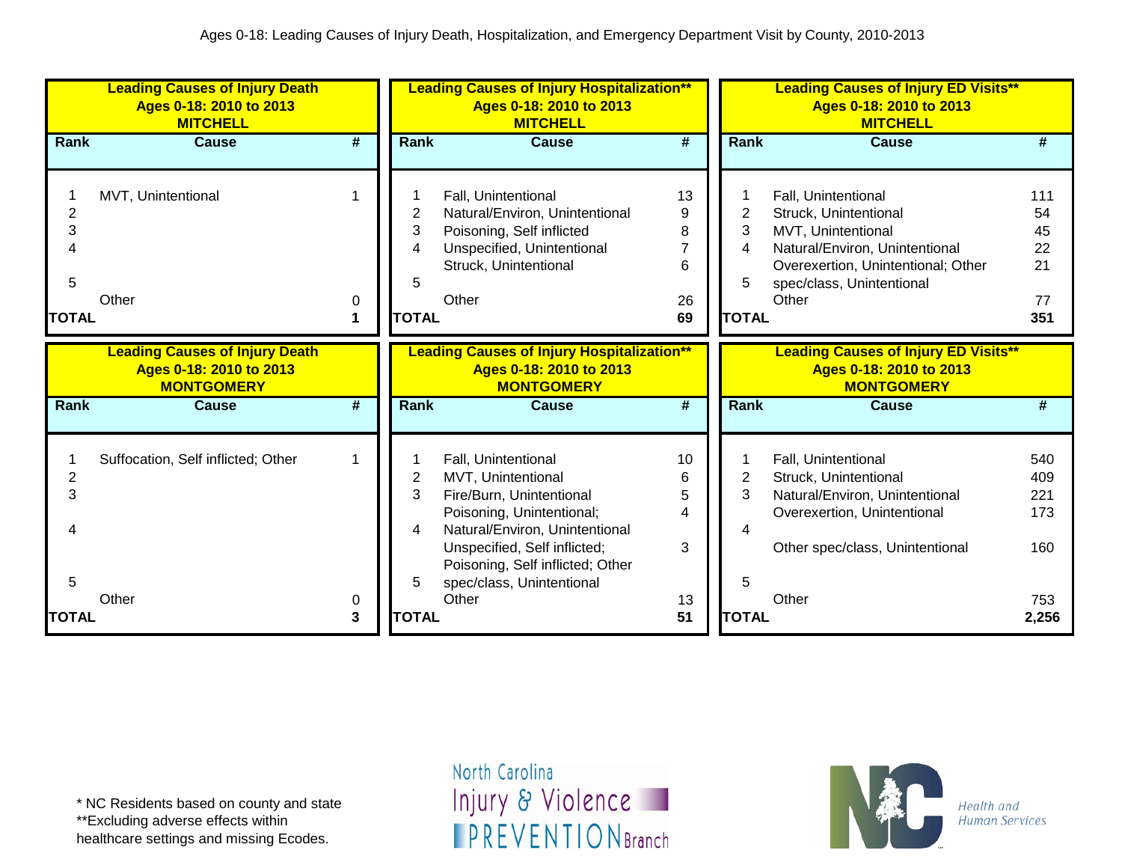|                | <b>Leading Causes of Injury Death</b><br>Ages 0-18: 2010 to 2013<br><b>MITCHELL</b> |                 |              | <b>Leading Causes of Injury Hospitalization**</b><br>Ages 0-18: 2010 to 2013<br><b>MITCHELL</b> |                             |                | <b>Leading Causes of Injury ED Visits**</b><br>Ages 0-18: 2010 to 2013<br><b>MITCHELL</b> |              |
|----------------|-------------------------------------------------------------------------------------|-----------------|--------------|-------------------------------------------------------------------------------------------------|-----------------------------|----------------|-------------------------------------------------------------------------------------------|--------------|
| Rank           | <b>Cause</b>                                                                        | #               | Rank         | <b>Cause</b>                                                                                    | $\overline{\boldsymbol{t}}$ | Rank           | <b>Cause</b>                                                                              | #            |
|                |                                                                                     |                 |              |                                                                                                 |                             |                |                                                                                           |              |
|                | MVT, Unintentional                                                                  |                 |              | Fall, Unintentional                                                                             | 13                          |                | Fall, Unintentional                                                                       | 111          |
| 2              |                                                                                     |                 | 2            | Natural/Environ, Unintentional                                                                  | 9                           | $\overline{2}$ | Struck, Unintentional                                                                     | 54           |
| 3              |                                                                                     |                 | 3            | Poisoning, Self inflicted                                                                       | 8                           | 3              | MVT, Unintentional                                                                        | 45           |
|                |                                                                                     |                 | 4            | Unspecified, Unintentional                                                                      |                             | 4              | Natural/Environ, Unintentional                                                            | 22           |
|                |                                                                                     |                 |              | Struck, Unintentional                                                                           | 6                           |                | Overexertion, Unintentional; Other                                                        | 21           |
| 5              |                                                                                     |                 | 5            |                                                                                                 |                             |                | spec/class, Unintentional                                                                 |              |
|                | Other                                                                               | 0               |              | Other                                                                                           | 26                          |                | Other                                                                                     | 77           |
| <b>TOTAL</b>   |                                                                                     | 1               | <b>TOTAL</b> |                                                                                                 | 69                          | <b>TOTAL</b>   |                                                                                           | 351          |
|                | <b>Leading Causes of Injury Death</b>                                               |                 |              | <b>Leading Causes of Injury Hospitalization**</b>                                               |                             |                | <b>Leading Causes of Injury ED Visits**</b>                                               |              |
|                |                                                                                     |                 |              |                                                                                                 |                             |                |                                                                                           |              |
|                | Ages 0-18: 2010 to 2013                                                             |                 |              | Ages 0-18: 2010 to 2013                                                                         |                             |                | Ages 0-18: 2010 to 2013                                                                   |              |
|                | <b>MONTGOMERY</b>                                                                   |                 |              | <b>MONTGOMERY</b>                                                                               |                             |                | <b>MONTGOMERY</b>                                                                         |              |
| Rank           | <b>Cause</b>                                                                        | $\overline{\#}$ | <b>Rank</b>  | <b>Cause</b>                                                                                    | $\overline{\boldsymbol{H}}$ | <b>Rank</b>    | <b>Cause</b>                                                                              | #            |
|                |                                                                                     |                 |              |                                                                                                 |                             |                |                                                                                           |              |
|                | Suffocation, Self inflicted; Other                                                  |                 |              | Fall, Unintentional                                                                             | 10                          |                | Fall, Unintentional                                                                       | 540          |
| $\overline{2}$ |                                                                                     |                 | 2            | MVT, Unintentional                                                                              | 6                           | $\overline{2}$ | Struck, Unintentional                                                                     | 409          |
| 3              |                                                                                     |                 | 3            | Fire/Burn, Unintentional                                                                        | 5                           | 3              | Natural/Environ, Unintentional                                                            | 221          |
|                |                                                                                     |                 |              | Poisoning, Unintentional;                                                                       | 4                           |                | Overexertion, Unintentional                                                               | 173          |
|                |                                                                                     |                 | 4            | Natural/Environ, Unintentional                                                                  |                             | 4              |                                                                                           |              |
|                |                                                                                     |                 |              | Unspecified, Self inflicted;                                                                    | 3                           |                | Other spec/class, Unintentional                                                           | 160          |
|                |                                                                                     |                 |              | Poisoning, Self inflicted; Other                                                                |                             |                |                                                                                           |              |
| 5              |                                                                                     |                 | 5            | spec/class, Unintentional                                                                       |                             | 5              |                                                                                           |              |
| <b>TOTAL</b>   | Other                                                                               | 0<br>3          | <b>TOTAL</b> | Other                                                                                           | 13<br>51                    | <b>TOTAL</b>   | Other                                                                                     | 753<br>2,256 |

\*\*Excluding adverse effects within

healthcare settings and missing Ecodes.

North Carolina Injury & Violence **IPREVENTIONBranch** 

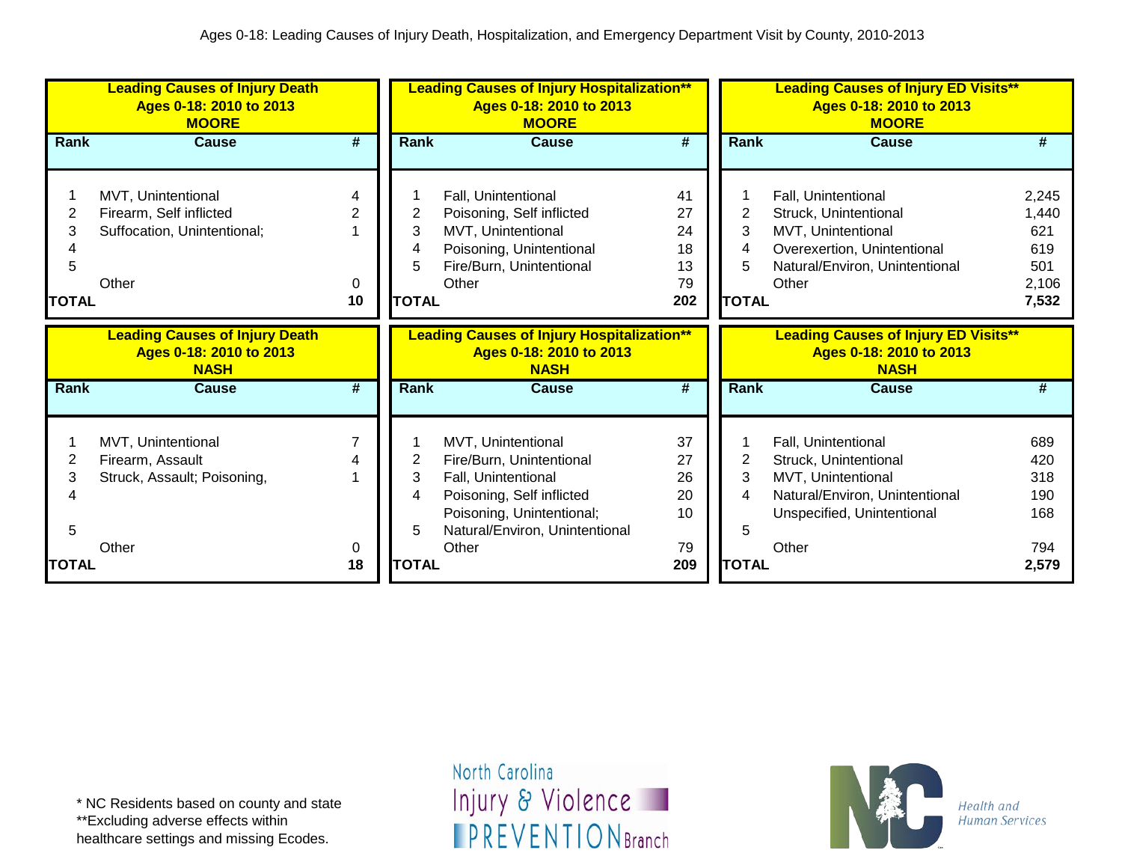|                             | <b>Leading Causes of Injury Death</b><br>Ages 0-18: 2010 to 2013<br><b>MOORE</b>      |                |                                  | <b>Leading Causes of Injury Hospitalization**</b><br>Ages 0-18: 2010 to 2013<br><b>MOORE</b>                                                                               |                                         |                                  | <b>Leading Causes of Injury ED Visits**</b><br>Ages 0-18: 2010 to 2013<br><b>MOORE</b>                                                       |                                                       |
|-----------------------------|---------------------------------------------------------------------------------------|----------------|----------------------------------|----------------------------------------------------------------------------------------------------------------------------------------------------------------------------|-----------------------------------------|----------------------------------|----------------------------------------------------------------------------------------------------------------------------------------------|-------------------------------------------------------|
| <b>Rank</b>                 | <b>Cause</b>                                                                          | #              | <b>Rank</b>                      | <b>Cause</b>                                                                                                                                                               | #                                       | Rank                             | <b>Cause</b>                                                                                                                                 | #                                                     |
| 3<br>5<br>TOTAL             | MVT, Unintentional<br>Firearm, Self inflicted<br>Suffocation, Unintentional;<br>Other | $\Omega$<br>10 | 2<br>3<br>4<br>5<br><b>TOTAL</b> | Fall, Unintentional<br>Poisoning, Self inflicted<br>MVT, Unintentional<br>Poisoning, Unintentional<br>Fire/Burn, Unintentional<br>Other                                    | 41<br>27<br>24<br>18<br>13<br>79<br>202 | 2<br>3<br>4<br>5<br><b>TOTAL</b> | Fall, Unintentional<br>Struck, Unintentional<br>MVT, Unintentional<br>Overexertion, Unintentional<br>Natural/Environ, Unintentional<br>Other | 2,245<br>1,440<br>621<br>619<br>501<br>2,106<br>7,532 |
|                             | <b>Leading Causes of Injury Death</b><br>Ages 0-18: 2010 to 2013<br><b>NASH</b>       |                |                                  | <b>Leading Causes of Injury Hospitalization**</b><br>Ages 0-18: 2010 to 2013<br><b>NASH</b>                                                                                |                                         |                                  | <b>Leading Causes of Injury ED Visits**</b><br>Ages 0-18: 2010 to 2013<br><b>NASH</b>                                                        |                                                       |
| Rank                        |                                                                                       |                |                                  |                                                                                                                                                                            |                                         |                                  |                                                                                                                                              |                                                       |
|                             | <b>Cause</b>                                                                          | #              | Rank                             | <b>Cause</b>                                                                                                                                                               | $\overline{\boldsymbol{t}}$             | Rank                             | <b>Cause</b>                                                                                                                                 | #                                                     |
| 2<br>3<br>5<br><b>TOTAL</b> | MVT, Unintentional<br>Firearm, Assault<br>Struck, Assault; Poisoning,<br>Other        | 0<br>18        | 2<br>3<br>4<br>5<br><b>TOTAL</b> | MVT, Unintentional<br>Fire/Burn, Unintentional<br>Fall, Unintentional<br>Poisoning, Self inflicted<br>Poisoning, Unintentional;<br>Natural/Environ, Unintentional<br>Other | 37<br>27<br>26<br>20<br>10<br>79<br>209 | 2<br>3<br>4<br>5<br><b>TOTAL</b> | Fall, Unintentional<br>Struck, Unintentional<br>MVT, Unintentional<br>Natural/Environ, Unintentional<br>Unspecified, Unintentional<br>Other  | 689<br>420<br>318<br>190<br>168<br>794<br>2,579       |

healthcare settings and missing Ecodes.

North Carolina Injury & Violence **IPREVENTIONBranch** 

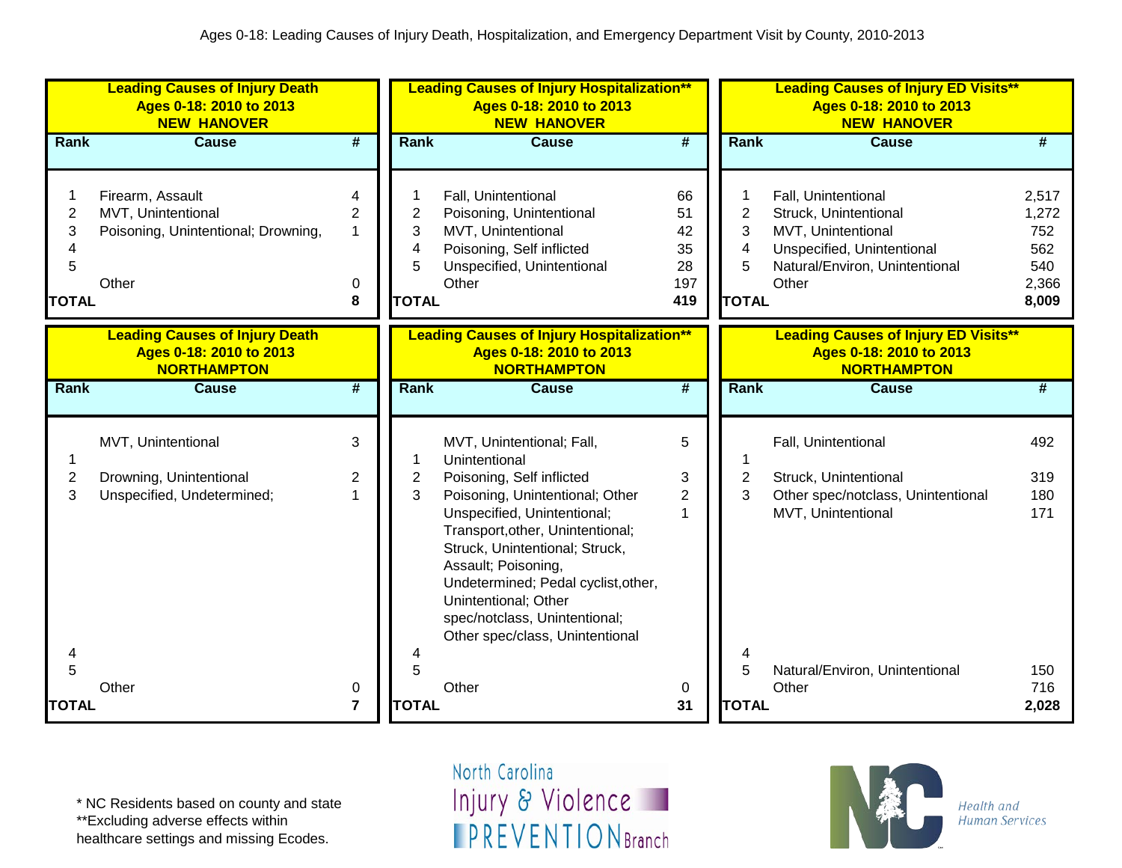|                                               | <b>Leading Causes of Injury Death</b><br>Ages 0-18: 2010 to 2013<br><b>NEW HANOVER</b> |                             |                                  | <b>Leading Causes of Injury Hospitalization**</b><br>Ages 0-18: 2010 to 2013<br><b>NEW HANOVER</b>                                                                                                                                                                                             |                                          |                                               | <b>Leading Causes of Injury ED Visits**</b><br>Ages 0-18: 2010 to 2013<br><b>NEW HANOVER</b>                                                |                                                       |
|-----------------------------------------------|----------------------------------------------------------------------------------------|-----------------------------|----------------------------------|------------------------------------------------------------------------------------------------------------------------------------------------------------------------------------------------------------------------------------------------------------------------------------------------|------------------------------------------|-----------------------------------------------|---------------------------------------------------------------------------------------------------------------------------------------------|-------------------------------------------------------|
| Rank                                          | <b>Cause</b>                                                                           | $\overline{\boldsymbol{t}}$ | <b>Rank</b>                      | <b>Cause</b>                                                                                                                                                                                                                                                                                   | $\overline{\#}$                          | Rank                                          | <b>Cause</b>                                                                                                                                | #                                                     |
| $\overline{c}$<br>3<br>4<br>5<br><b>TOTAL</b> | Firearm, Assault<br>MVT, Unintentional<br>Poisoning, Unintentional; Drowning,<br>Other | 4<br>2<br>1<br>0<br>8       | 2<br>3<br>4<br>5<br><b>TOTAL</b> | Fall, Unintentional<br>Poisoning, Unintentional<br>MVT, Unintentional<br>Poisoning, Self inflicted<br>Unspecified, Unintentional<br>Other                                                                                                                                                      | 66<br>51<br>42<br>35<br>28<br>197<br>419 | $\overline{2}$<br>3<br>4<br>5<br><b>TOTAL</b> | Fall, Unintentional<br>Struck, Unintentional<br>MVT, Unintentional<br>Unspecified, Unintentional<br>Natural/Environ, Unintentional<br>Other | 2,517<br>1,272<br>752<br>562<br>540<br>2,366<br>8,009 |
|                                               | <b>Leading Causes of Injury Death</b><br>Ages 0-18: 2010 to 2013<br><b>NORTHAMPTON</b> |                             |                                  | <b>Leading Causes of Injury Hospitalization**</b><br>Ages 0-18: 2010 to 2013<br><b>NORTHAMPTON</b>                                                                                                                                                                                             |                                          |                                               | <b>Leading Causes of Injury ED Visits**</b><br>Ages 0-18: 2010 to 2013<br><b>NORTHAMPTON</b>                                                |                                                       |
| Rank                                          | <b>Cause</b>                                                                           | #                           | <b>Rank</b>                      | <b>Cause</b>                                                                                                                                                                                                                                                                                   | #                                        | Rank                                          | <b>Cause</b>                                                                                                                                | #                                                     |
|                                               | MVT, Unintentional                                                                     | 3                           |                                  | MVT, Unintentional; Fall,<br>Unintentional                                                                                                                                                                                                                                                     | 5                                        |                                               | Fall, Unintentional                                                                                                                         | 492                                                   |
| $\overline{c}$                                | Drowning, Unintentional                                                                | 2                           | $\overline{\mathbf{c}}$          | Poisoning, Self inflicted                                                                                                                                                                                                                                                                      | 3                                        | $\overline{2}$                                | Struck, Unintentional                                                                                                                       | 319                                                   |
| 3<br>4<br>5                                   | Unspecified, Undetermined;                                                             | 1                           | 3                                | Poisoning, Unintentional; Other<br>Unspecified, Unintentional;<br>Transport, other, Unintentional;<br>Struck, Unintentional; Struck,<br>Assault; Poisoning,<br>Undetermined; Pedal cyclist, other,<br>Unintentional; Other<br>spec/notclass, Unintentional;<br>Other spec/class, Unintentional | $\overline{2}$<br>1                      | 3<br>4                                        | Other spec/notclass, Unintentional<br>MVT, Unintentional                                                                                    | 180<br>171                                            |
|                                               | Other                                                                                  | 0                           | 5                                | Other                                                                                                                                                                                                                                                                                          | 0                                        | 5                                             | Natural/Environ, Unintentional<br>Other                                                                                                     | 150<br>716                                            |
| <b>TOTAL</b>                                  |                                                                                        | $\overline{7}$              | <b>TOTAL</b>                     |                                                                                                                                                                                                                                                                                                | 31                                       | <b>TOTAL</b>                                  |                                                                                                                                             | 2,028                                                 |

\*\*Excluding adverse effects within

healthcare settings and missing Ecodes.

North Carolina Injury & Violence **IPREVENTIONBranch** 

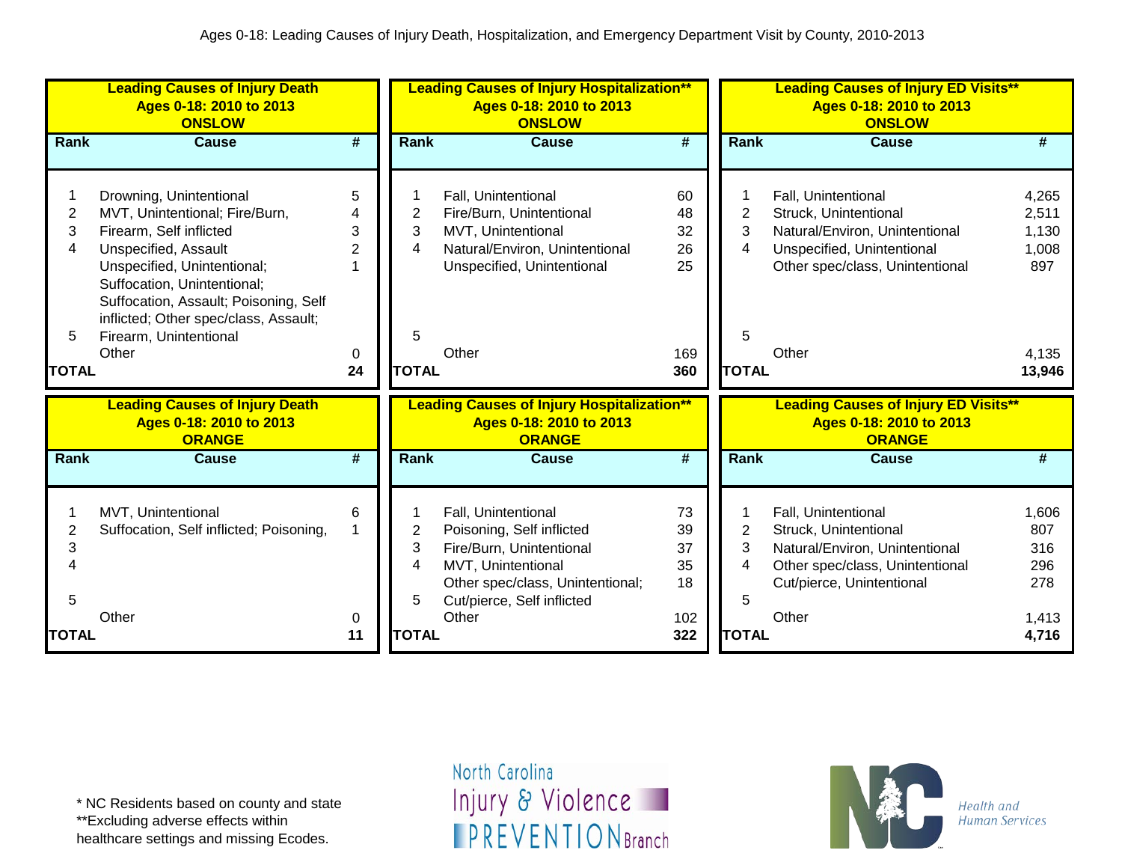| <b>Leading Causes of Injury Death</b><br>Ages 0-18: 2010 to 2013<br><b>ONSLOW</b>                                                                                                                                                                                                                                                   |                                     |                                  | <b>Leading Causes of Injury Hospitalization**</b><br>Ages 0-18: 2010 to 2013<br><b>ONSLOW</b>                                                                                 |                                          |                                               | <b>Leading Causes of Injury ED Visits**</b><br>Ages 0-18: 2010 to 2013<br><b>ONSLOW</b>                                                                  |                                                            |
|-------------------------------------------------------------------------------------------------------------------------------------------------------------------------------------------------------------------------------------------------------------------------------------------------------------------------------------|-------------------------------------|----------------------------------|-------------------------------------------------------------------------------------------------------------------------------------------------------------------------------|------------------------------------------|-----------------------------------------------|----------------------------------------------------------------------------------------------------------------------------------------------------------|------------------------------------------------------------|
| Rank<br><b>Cause</b>                                                                                                                                                                                                                                                                                                                | #                                   | Rank                             | <b>Cause</b>                                                                                                                                                                  | #                                        | Rank                                          | <b>Cause</b>                                                                                                                                             | #                                                          |
| Drowning, Unintentional<br>2<br>MVT, Unintentional; Fire/Burn,<br>3<br>Firearm, Self inflicted<br>4<br>Unspecified, Assault<br>Unspecified, Unintentional;<br>Suffocation, Unintentional;<br>Suffocation, Assault; Poisoning, Self<br>inflicted; Other spec/class, Assault;<br>Firearm, Unintentional<br>5<br>Other<br><b>TOTAL</b> | 5<br>3<br>$\overline{2}$<br>0<br>24 | 2<br>3<br>4<br>5<br><b>TOTAL</b> | Fall, Unintentional<br>Fire/Burn, Unintentional<br>MVT, Unintentional<br>Natural/Environ, Unintentional<br>Unspecified, Unintentional<br>Other                                | 60<br>48<br>32<br>26<br>25<br>169<br>360 | 2<br>3<br>4<br>5<br><b>TOTAL</b>              | Fall, Unintentional<br>Struck, Unintentional<br>Natural/Environ, Unintentional<br>Unspecified, Unintentional<br>Other spec/class, Unintentional<br>Other | 4,265<br>2,511<br>1,130<br>1,008<br>897<br>4,135<br>13,946 |
| <b>Leading Causes of Injury Death</b><br>Ages 0-18: 2010 to 2013<br><b>ORANGE</b>                                                                                                                                                                                                                                                   |                                     |                                  | <b>Leading Causes of Injury Hospitalization**</b><br>Ages 0-18: 2010 to 2013<br><b>ORANGE</b>                                                                                 |                                          |                                               | <b>Leading Causes of Injury ED Visits**</b><br>Ages 0-18: 2010 to 2013<br><b>ORANGE</b>                                                                  |                                                            |
| Rank<br><b>Cause</b>                                                                                                                                                                                                                                                                                                                | $\overline{\boldsymbol{t}}$         | <b>Rank</b>                      | <b>Cause</b>                                                                                                                                                                  | $\overline{\boldsymbol{t}}$              | Rank                                          | Cause                                                                                                                                                    | #                                                          |
| MVT, Unintentional<br>2<br>Suffocation, Self inflicted; Poisoning,<br>3<br>4<br>5<br>Other<br><b>TOTAL</b>                                                                                                                                                                                                                          | 6<br>0<br>11                        | 2<br>3<br>4<br>5<br><b>TOTAL</b> | Fall, Unintentional<br>Poisoning, Self inflicted<br>Fire/Burn, Unintentional<br>MVT, Unintentional<br>Other spec/class, Unintentional;<br>Cut/pierce, Self inflicted<br>Other | 73<br>39<br>37<br>35<br>18<br>102<br>322 | $\overline{2}$<br>3<br>4<br>5<br><b>TOTAL</b> | Fall, Unintentional<br>Struck, Unintentional<br>Natural/Environ, Unintentional<br>Other spec/class, Unintentional<br>Cut/pierce, Unintentional<br>Other  | 1,606<br>807<br>316<br>296<br>278<br>1,413<br>4,716        |

\*\*Excluding adverse effects within

healthcare settings and missing Ecodes.

North Carolina Injury & Violence **IPREVENTIONBranch** 

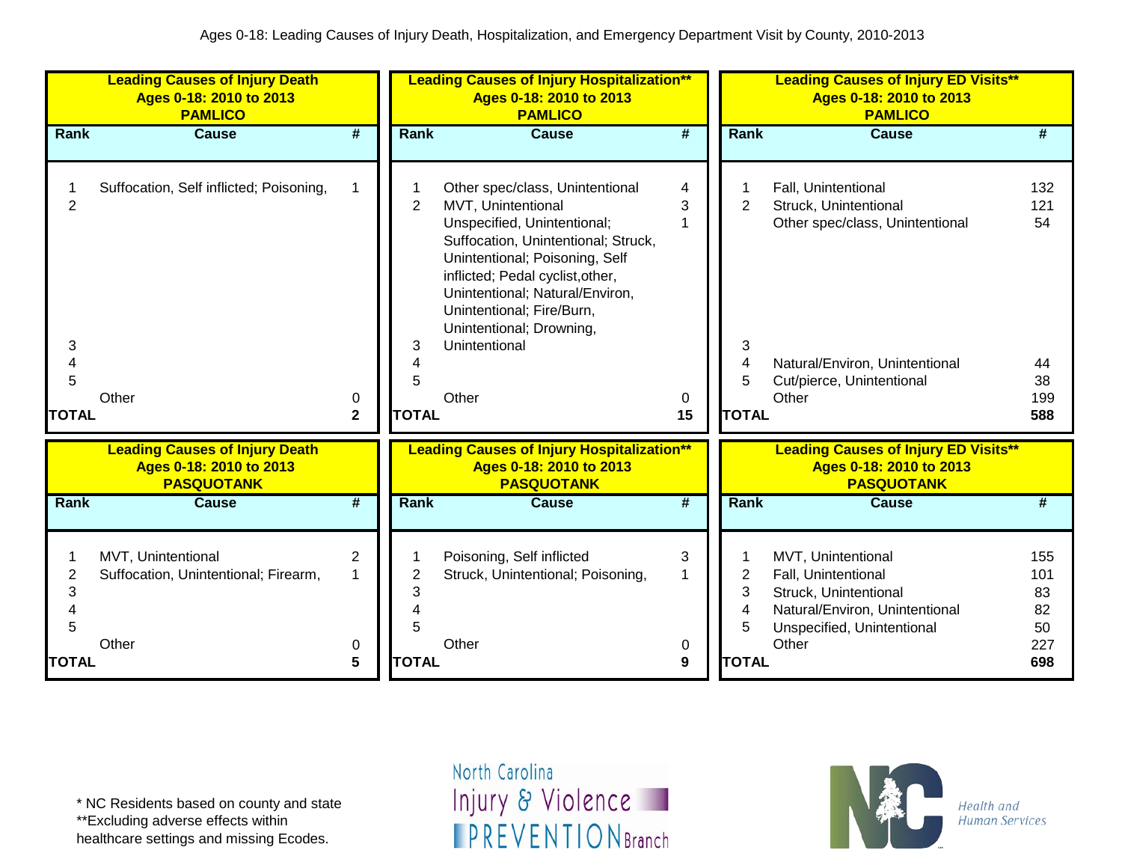|                                               | <b>Leading Causes of Injury Death</b><br>Ages 0-18: 2010 to 2013<br><b>PAMLICO</b>    |                          |                                          | <b>Leading Causes of Injury Hospitalization**</b><br>Ages 0-18: 2010 to 2013<br><b>PAMLICO</b>                                                                                                                                                                                                                          |                   |                                  | <b>Leading Causes of Injury ED Visits**</b><br>Ages 0-18: 2010 to 2013<br><b>PAMLICO</b>                                                                |                                            |
|-----------------------------------------------|---------------------------------------------------------------------------------------|--------------------------|------------------------------------------|-------------------------------------------------------------------------------------------------------------------------------------------------------------------------------------------------------------------------------------------------------------------------------------------------------------------------|-------------------|----------------------------------|---------------------------------------------------------------------------------------------------------------------------------------------------------|--------------------------------------------|
| Rank                                          | <b>Cause</b>                                                                          | #                        | Rank                                     | <b>Cause</b>                                                                                                                                                                                                                                                                                                            | #                 | Rank                             | Cause                                                                                                                                                   | #                                          |
| $\overline{2}$<br>3<br>4<br>5<br><b>TOTAL</b> | Suffocation, Self inflicted; Poisoning,<br>Other                                      | 0<br>$\mathbf{2}$        | $\overline{2}$<br>3<br>5<br><b>TOTAL</b> | Other spec/class, Unintentional<br>MVT, Unintentional<br>Unspecified, Unintentional;<br>Suffocation, Unintentional; Struck,<br>Unintentional; Poisoning, Self<br>inflicted; Pedal cyclist, other,<br>Unintentional; Natural/Environ,<br>Unintentional; Fire/Burn,<br>Unintentional; Drowning,<br>Unintentional<br>Other | 4<br>3<br>0<br>15 | 2<br>3<br>4<br>5<br><b>TOTAL</b> | Fall, Unintentional<br>Struck, Unintentional<br>Other spec/class, Unintentional<br>Natural/Environ, Unintentional<br>Cut/pierce, Unintentional<br>Other | 132<br>121<br>54<br>44<br>38<br>199<br>588 |
|                                               | <b>Leading Causes of Injury Death</b><br>Ages 0-18: 2010 to 2013<br><b>PASQUOTANK</b> |                          |                                          | <b>Leading Causes of Injury Hospitalization**</b><br>Ages 0-18: 2010 to 2013<br><b>PASQUOTANK</b>                                                                                                                                                                                                                       |                   |                                  | <b>Leading Causes of Injury ED Visits**</b><br>Ages 0-18: 2010 to 2013<br><b>PASQUOTANK</b>                                                             |                                            |
| Rank                                          | <b>Cause</b>                                                                          | #                        | Rank                                     | <b>Cause</b>                                                                                                                                                                                                                                                                                                            | #                 | Rank                             | <b>Cause</b>                                                                                                                                            | #                                          |
| 2<br>3<br>4<br>5<br><b>TOTAL</b>              | MVT, Unintentional<br>Suffocation, Unintentional; Firearm,<br>Other                   | $\overline{2}$<br>0<br>5 | 2<br>3<br>5<br><b>TOTAL</b>              | Poisoning, Self inflicted<br>Struck, Unintentional; Poisoning,<br>Other                                                                                                                                                                                                                                                 | 3<br>0<br>9       | 2<br>3<br>4<br>5<br><b>TOTAL</b> | MVT, Unintentional<br>Fall, Unintentional<br>Struck, Unintentional<br>Natural/Environ, Unintentional<br>Unspecified, Unintentional<br>Other             | 155<br>101<br>83<br>82<br>50<br>227<br>698 |

\*\*Excluding adverse effects within

healthcare settings and missing Ecodes.

North Carolina Injury & Violence **IPREVENTIONBranch** 

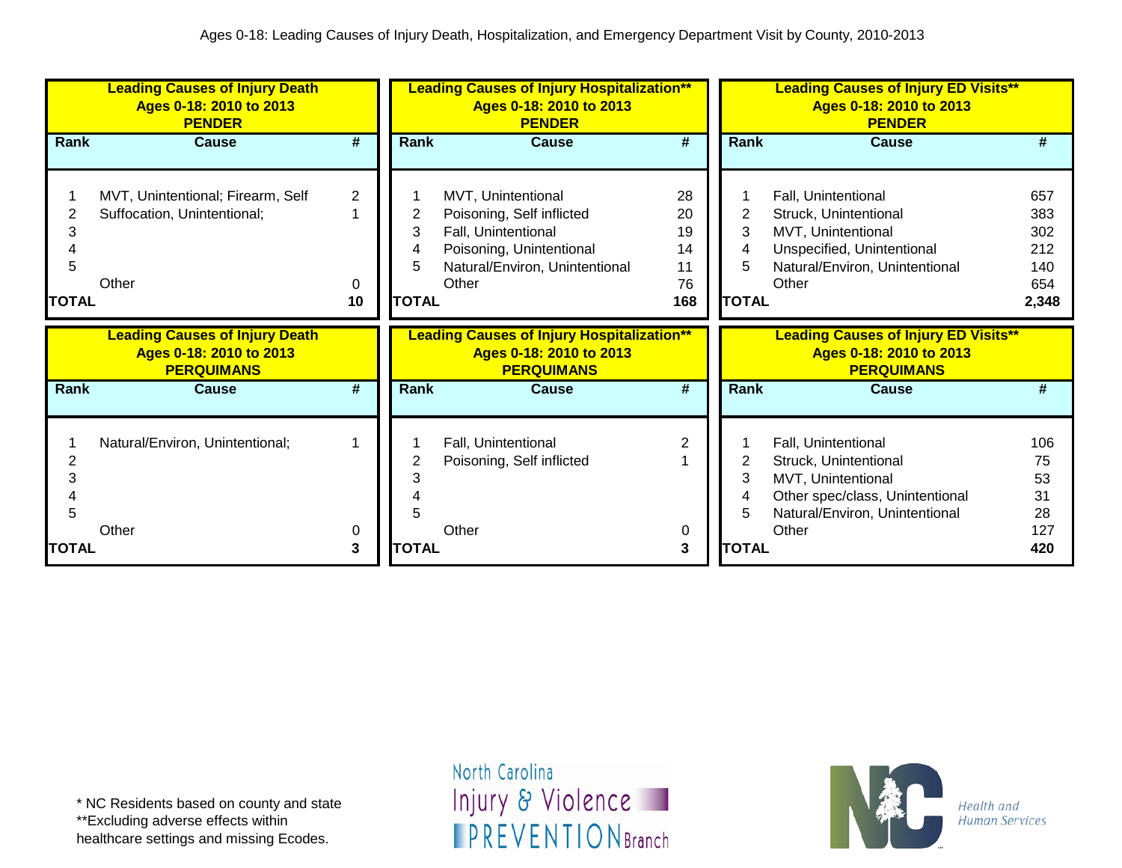|                        | <b>Leading Causes of Injury Death</b><br>Ages 0-18: 2010 to 2013<br><b>PENDER</b> |                           |                   | <b>Leading Causes of Injury Hospitalization**</b><br>Ages 0-18: 2010 to 2013<br><b>PENDER</b>                                                 |                                         |                             | <b>Leading Causes of Injury ED Visits**</b><br>Ages 0-18: 2010 to 2013<br><b>PENDER</b>                                                          |                                                 |
|------------------------|-----------------------------------------------------------------------------------|---------------------------|-------------------|-----------------------------------------------------------------------------------------------------------------------------------------------|-----------------------------------------|-----------------------------|--------------------------------------------------------------------------------------------------------------------------------------------------|-------------------------------------------------|
| Rank                   | <b>Cause</b>                                                                      | #                         | Rank              | <b>Cause</b>                                                                                                                                  | #                                       | Rank                        | <b>Cause</b>                                                                                                                                     | #                                               |
| 3<br>5<br><b>TOTAL</b> | MVT, Unintentional; Firearm, Self<br>Suffocation, Unintentional;<br>Other         | $\overline{2}$<br>0<br>10 | 3<br><b>TOTAL</b> | MVT, Unintentional<br>Poisoning, Self inflicted<br>Fall, Unintentional<br>Poisoning, Unintentional<br>Natural/Environ, Unintentional<br>Other | 28<br>20<br>19<br>14<br>11<br>76<br>168 | 2<br>3<br>4<br><b>TOTAL</b> | Fall, Unintentional<br>Struck, Unintentional<br>MVT, Unintentional<br>Unspecified, Unintentional<br>Natural/Environ, Unintentional<br>Other      | 657<br>383<br>302<br>212<br>140<br>654<br>2,348 |
|                        | <b>Leading Causes of Injury Death</b><br>Ages 0-18: 2010 to 2013                  |                           |                   | <b>Leading Causes of Injury Hospitalization**</b>                                                                                             |                                         |                             | <b>Leading Causes of Injury ED Visits**</b>                                                                                                      |                                                 |
|                        | <b>PERQUIMANS</b>                                                                 |                           |                   | Ages 0-18: 2010 to 2013<br><b>PERQUIMANS</b>                                                                                                  |                                         |                             | Ages 0-18: 2010 to 2013<br><b>PERQUIMANS</b>                                                                                                     |                                                 |
| Rank                   | <b>Cause</b>                                                                      | #                         | Rank              | <b>Cause</b>                                                                                                                                  | #                                       | <b>Rank</b>                 | <b>Cause</b>                                                                                                                                     | #                                               |
| 2<br>3<br>5            | Natural/Environ, Unintentional;<br>Other                                          | 0                         |                   | Fall, Unintentional<br>Poisoning, Self inflicted<br>Other                                                                                     | 2<br>0                                  | 2                           | Fall, Unintentional<br>Struck, Unintentional<br>MVT, Unintentional<br>Other spec/class, Unintentional<br>Natural/Environ, Unintentional<br>Other | 106<br>75<br>53<br>31<br>28<br>127              |

healthcare settings and missing Ecodes.

North Carolina Injury & Violence **IPREVENTIONBranch** 

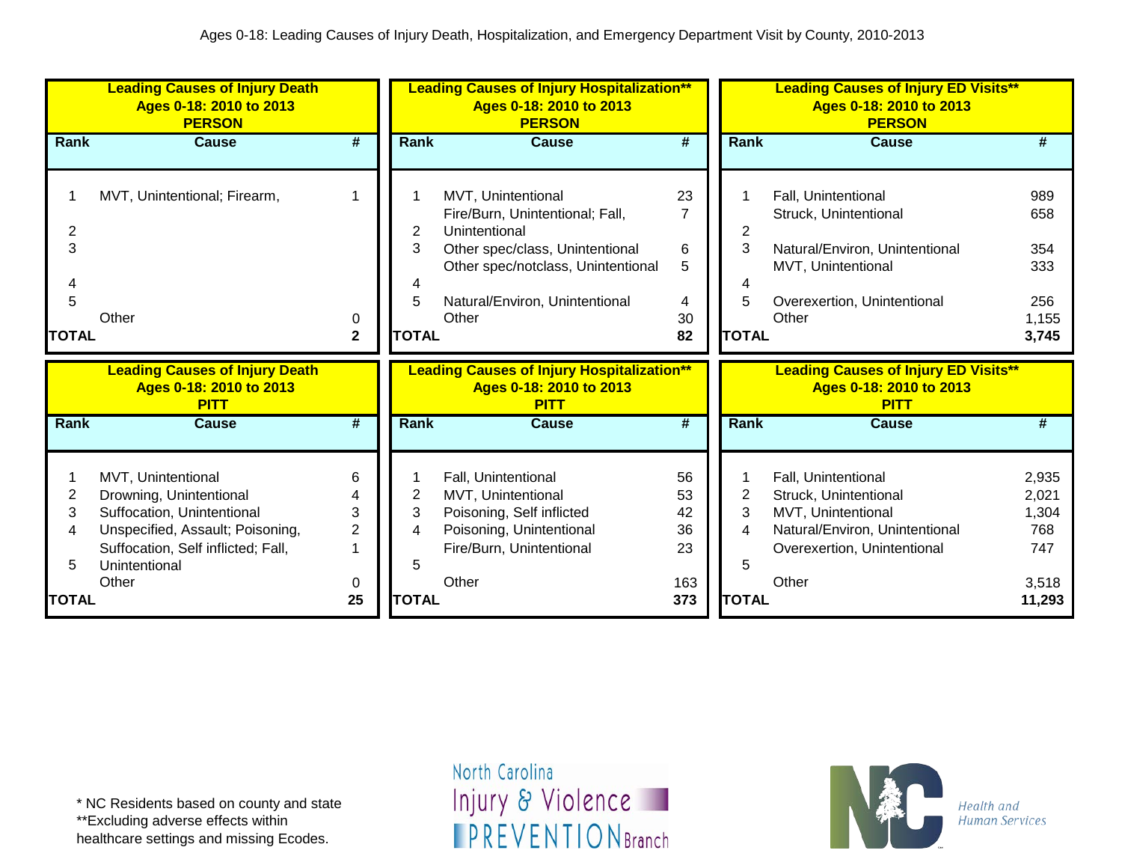|                                               | <b>Leading Causes of Injury Death</b><br>Ages 0-18: 2010 to 2013<br><b>PERSON</b>                                                                                               |                                     |                                  | <b>Leading Causes of Injury Hospitalization**</b><br>Ages 0-18: 2010 to 2013<br><b>PERSON</b>                                                                                              |                                                 |                                               | <b>Leading Causes of Injury ED Visits**</b><br>Ages 0-18: 2010 to 2013<br><b>PERSON</b>                                                      |                                                          |
|-----------------------------------------------|---------------------------------------------------------------------------------------------------------------------------------------------------------------------------------|-------------------------------------|----------------------------------|--------------------------------------------------------------------------------------------------------------------------------------------------------------------------------------------|-------------------------------------------------|-----------------------------------------------|----------------------------------------------------------------------------------------------------------------------------------------------|----------------------------------------------------------|
| <b>Rank</b>                                   | <b>Cause</b>                                                                                                                                                                    | $\overline{\boldsymbol{t}}$         | <b>Rank</b>                      | <b>Cause</b>                                                                                                                                                                               | $\overline{\boldsymbol{H}}$                     | Rank                                          | <b>Cause</b>                                                                                                                                 | #                                                        |
| 2<br>3<br>5<br><b>TOTAL</b>                   | MVT, Unintentional; Firearm,<br>Other                                                                                                                                           | 1<br>0<br>$\mathbf 2$               | 2<br>3<br>5<br><b>TOTAL</b>      | MVT, Unintentional<br>Fire/Burn, Unintentional; Fall,<br>Unintentional<br>Other spec/class, Unintentional<br>Other spec/notclass, Unintentional<br>Natural/Environ, Unintentional<br>Other | 23<br>$\overline{7}$<br>6<br>5<br>4<br>30<br>82 | 2<br>3<br><b>TOTAL</b>                        | Fall, Unintentional<br>Struck, Unintentional<br>Natural/Environ, Unintentional<br>MVT, Unintentional<br>Overexertion, Unintentional<br>Other | 989<br>658<br>354<br>333<br>256<br>1,155<br>3,745        |
|                                               | <b>Leading Causes of Injury Death</b><br>Ages 0-18: 2010 to 2013<br><b>PITT</b>                                                                                                 |                                     |                                  | <b>Leading Causes of Injury Hospitalization**</b><br>Ages 0-18: 2010 to 2013                                                                                                               |                                                 |                                               | <b>Leading Causes of Injury ED Visits**</b><br>Ages 0-18: 2010 to 2013                                                                       |                                                          |
|                                               |                                                                                                                                                                                 |                                     |                                  | <b>PITT</b>                                                                                                                                                                                |                                                 |                                               | <b>PITT</b>                                                                                                                                  |                                                          |
| Rank                                          | <b>Cause</b>                                                                                                                                                                    | #                                   | <b>Rank</b>                      | <b>Cause</b>                                                                                                                                                                               | #                                               | Rank                                          | Cause                                                                                                                                        | #                                                        |
| $\overline{c}$<br>3<br>4<br>5<br><b>TOTAL</b> | MVT, Unintentional<br>Drowning, Unintentional<br>Suffocation, Unintentional<br>Unspecified, Assault; Poisoning,<br>Suffocation, Self inflicted; Fall,<br>Unintentional<br>Other | 6<br>3<br>$\overline{2}$<br>0<br>25 | 2<br>3<br>4<br>5<br><b>TOTAL</b> | Fall, Unintentional<br>MVT, Unintentional<br>Poisoning, Self inflicted<br>Poisoning, Unintentional<br>Fire/Burn, Unintentional<br>Other                                                    | 56<br>53<br>42<br>36<br>23<br>163<br>373        | $\overline{2}$<br>3<br>4<br>5<br><b>TOTAL</b> | Fall, Unintentional<br>Struck, Unintentional<br>MVT, Unintentional<br>Natural/Environ, Unintentional<br>Overexertion, Unintentional<br>Other | 2,935<br>2,021<br>1,304<br>768<br>747<br>3,518<br>11,293 |

\*\*Excluding adverse effects within

healthcare settings and missing Ecodes.

North Carolina Injury & Violence **IPREVENTIONBranch** 

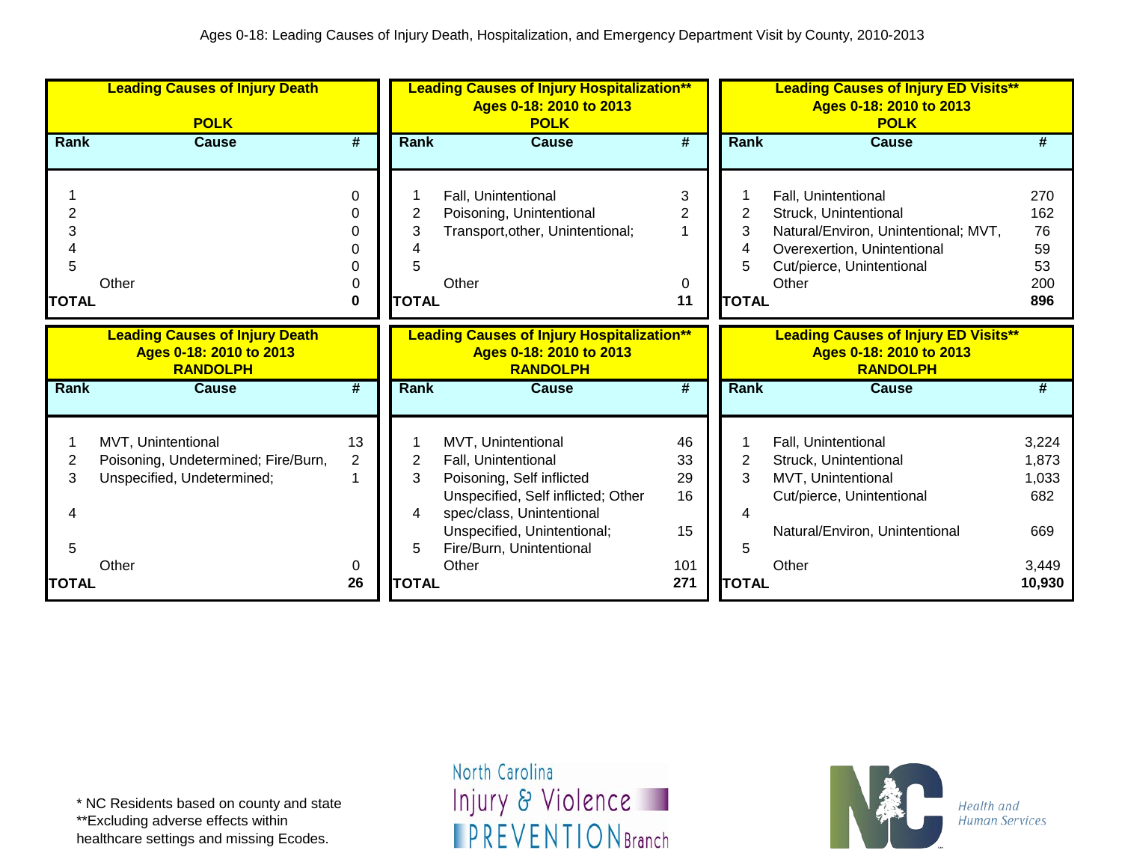|                        | <b>Leading Causes of Injury Death</b><br><b>POLK</b>                                    |             |                        | <b>Leading Causes of Injury Hospitalization**</b><br>Ages 0-18: 2010 to 2013<br><b>POLK</b>                                                                                                          |                            |                             | <b>Leading Causes of Injury ED Visits**</b><br>Ages 0-18: 2010 to 2013<br><b>POLK</b>                                                                     |                                            |
|------------------------|-----------------------------------------------------------------------------------------|-------------|------------------------|------------------------------------------------------------------------------------------------------------------------------------------------------------------------------------------------------|----------------------------|-----------------------------|-----------------------------------------------------------------------------------------------------------------------------------------------------------|--------------------------------------------|
| Rank                   | <b>Cause</b>                                                                            | #           | <b>Rank</b>            | <b>Cause</b>                                                                                                                                                                                         | #                          | Rank                        | <b>Cause</b>                                                                                                                                              | #                                          |
| 3<br>5<br><b>TOTAL</b> | Other                                                                                   | 0<br>0<br>0 | 2<br>3<br><b>TOTAL</b> | Fall, Unintentional<br>Poisoning, Unintentional<br>Transport, other, Unintentional;<br>Other                                                                                                         | 3<br>2<br>0<br>11          | 2<br>3<br>4<br><b>TOTAL</b> | Fall, Unintentional<br>Struck, Unintentional<br>Natural/Environ, Unintentional; MVT,<br>Overexertion, Unintentional<br>Cut/pierce, Unintentional<br>Other | 270<br>162<br>76<br>59<br>53<br>200<br>896 |
|                        | <b>Leading Causes of Injury Death</b><br>Ages 0-18: 2010 to 2013<br><b>RANDOLPH</b>     |             |                        | <b>Leading Causes of Injury Hospitalization**</b><br>Ages 0-18: 2010 to 2013<br><b>RANDOLPH</b>                                                                                                      |                            |                             | <b>Leading Causes of Injury ED Visits**</b><br>Ages 0-18: 2010 to 2013<br><b>RANDOLPH</b>                                                                 |                                            |
| Rank                   | <b>Cause</b>                                                                            | #           | <b>Rank</b>            | <b>Cause</b>                                                                                                                                                                                         | #                          | <b>Rank</b>                 | <b>Cause</b>                                                                                                                                              | #                                          |
| 2<br>3<br>5            | MVT, Unintentional<br>Poisoning, Undetermined; Fire/Burn,<br>Unspecified, Undetermined; | 13<br>2     | 2<br>3<br>4<br>5       | MVT, Unintentional<br>Fall, Unintentional<br>Poisoning, Self inflicted<br>Unspecified, Self inflicted; Other<br>spec/class, Unintentional<br>Unspecified, Unintentional;<br>Fire/Burn, Unintentional | 46<br>33<br>29<br>16<br>15 | 2<br>3<br>4<br>5            | Fall, Unintentional<br>Struck, Unintentional<br>MVT, Unintentional<br>Cut/pierce, Unintentional<br>Natural/Environ, Unintentional                         | 3,224<br>1,873<br>1,033<br>682<br>669      |
|                        | Other                                                                                   | 0           |                        | Other                                                                                                                                                                                                | 101                        |                             | Other                                                                                                                                                     | 3,449                                      |

\*\*Excluding adverse effects within

healthcare settings and missing Ecodes.

North Carolina Injury & Violence **IPREVENTIONBranch** 

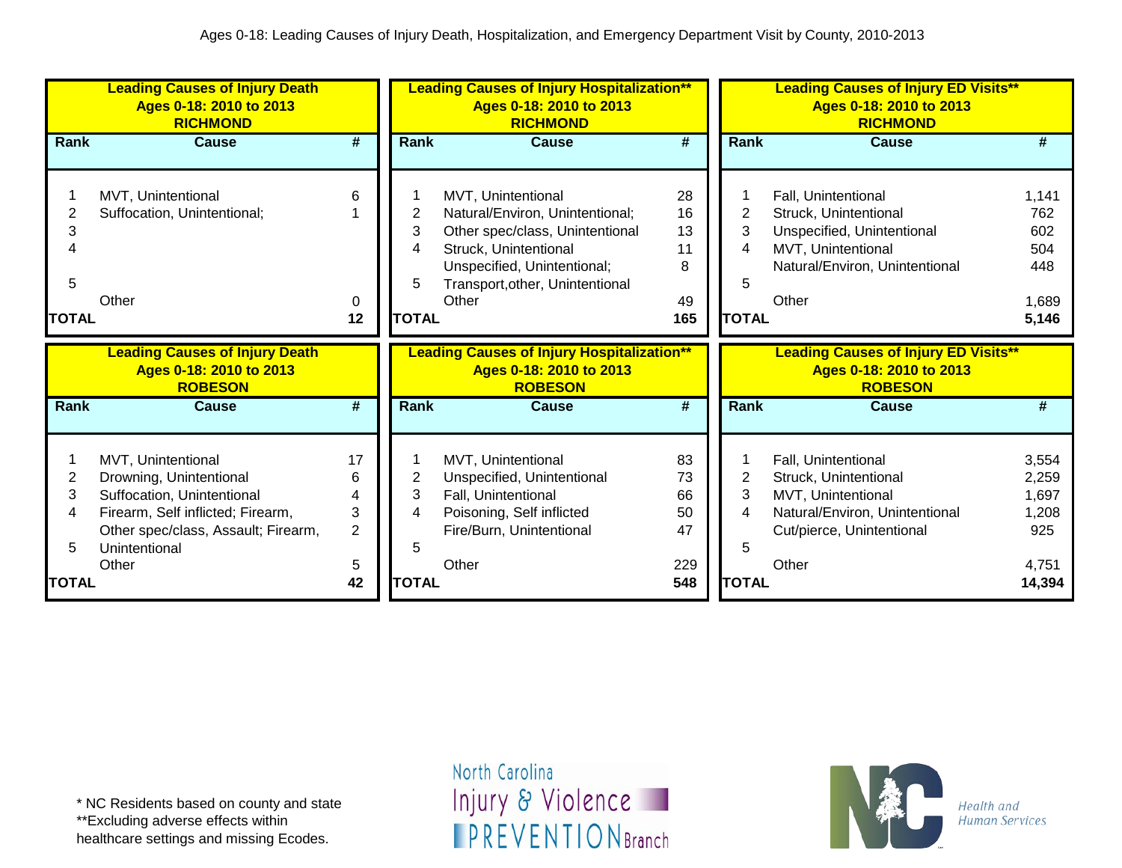|                             | <b>Leading Causes of Injury Death</b><br>Ages 0-18: 2010 to 2013<br><b>RICHMOND</b>                                                                                               |                                          |                                  | <b>Leading Causes of Injury Hospitalization**</b><br>Ages 0-18: 2010 to 2013<br><b>RICHMOND</b>                                                                                              |                                        |                                  | <b>Leading Causes of Injury ED Visits**</b><br>Ages 0-18: 2010 to 2013<br><b>RICHMOND</b>                                                   |                                                     |
|-----------------------------|-----------------------------------------------------------------------------------------------------------------------------------------------------------------------------------|------------------------------------------|----------------------------------|----------------------------------------------------------------------------------------------------------------------------------------------------------------------------------------------|----------------------------------------|----------------------------------|---------------------------------------------------------------------------------------------------------------------------------------------|-----------------------------------------------------|
| Rank                        | <b>Cause</b>                                                                                                                                                                      | #                                        | Rank                             | <b>Cause</b>                                                                                                                                                                                 | #                                      | Rank                             | <b>Cause</b>                                                                                                                                | #                                                   |
| 2<br>З<br>5<br><b>TOTAL</b> | MVT, Unintentional<br>Suffocation, Unintentional;<br>Other                                                                                                                        | 6<br>0<br>12                             | 2<br>3<br>4<br>5<br><b>TOTAL</b> | MVT, Unintentional<br>Natural/Environ, Unintentional;<br>Other spec/class, Unintentional<br>Struck, Unintentional<br>Unspecified, Unintentional;<br>Transport, other, Unintentional<br>Other | 28<br>16<br>13<br>11<br>8<br>49<br>165 | 2<br>3<br>4<br>5<br><b>TOTAL</b> | Fall, Unintentional<br>Struck, Unintentional<br>Unspecified, Unintentional<br>MVT, Unintentional<br>Natural/Environ, Unintentional<br>Other | 1,141<br>762<br>602<br>504<br>448<br>1,689<br>5,146 |
|                             |                                                                                                                                                                                   |                                          |                                  |                                                                                                                                                                                              |                                        |                                  |                                                                                                                                             |                                                     |
|                             | <b>Leading Causes of Injury Death</b><br>Ages 0-18: 2010 to 2013<br><b>ROBESON</b>                                                                                                |                                          |                                  | <b>Leading Causes of Injury Hospitalization**</b><br>Ages 0-18: 2010 to 2013<br><b>ROBESON</b>                                                                                               |                                        |                                  | <b>Leading Causes of Injury ED Visits**</b><br>Ages 0-18: 2010 to 2013<br><b>ROBESON</b>                                                    |                                                     |
| <b>Rank</b>                 | <b>Cause</b>                                                                                                                                                                      | #                                        | <b>Rank</b>                      | <b>Cause</b>                                                                                                                                                                                 | #                                      | Rank                             | Cause                                                                                                                                       | #                                                   |
| 2<br>3<br>4<br>5            | MVT, Unintentional<br>Drowning, Unintentional<br>Suffocation, Unintentional<br>Firearm, Self inflicted; Firearm,<br>Other spec/class, Assault; Firearm,<br>Unintentional<br>Other | 17<br>6<br>Δ<br>3<br>$\overline{2}$<br>5 | 2<br>3<br>4<br>5                 | MVT, Unintentional<br>Unspecified, Unintentional<br>Fall, Unintentional<br>Poisoning, Self inflicted<br>Fire/Burn, Unintentional<br>Other                                                    | 83<br>73<br>66<br>50<br>47<br>229      | 2<br>3<br>4<br>5                 | Fall, Unintentional<br>Struck, Unintentional<br>MVT, Unintentional<br>Natural/Environ, Unintentional<br>Cut/pierce, Unintentional<br>Other  | 3,554<br>2,259<br>1,697<br>1,208<br>925<br>4,751    |

\*\*Excluding adverse effects within

healthcare settings and missing Ecodes.

North Carolina Injury & Violence **IPREVENTIONBranch** 

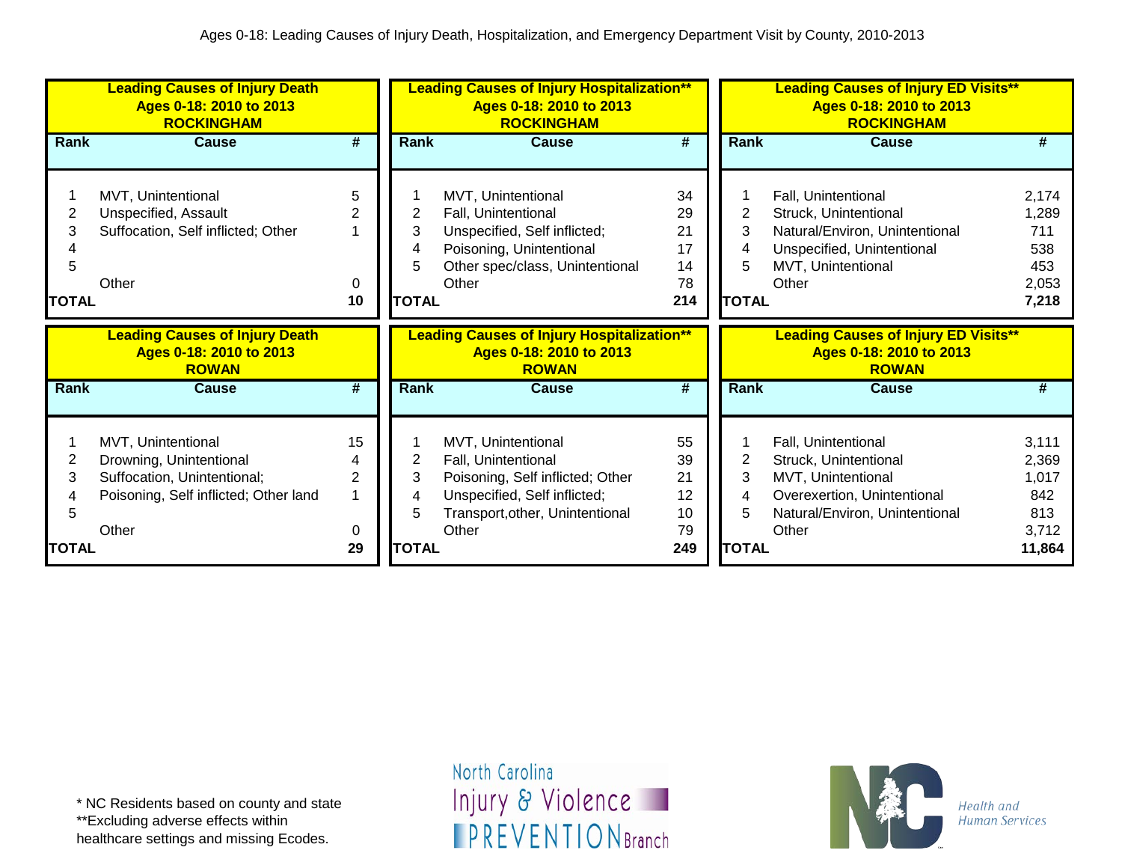|       | <b>Leading Causes of Injury Death</b><br>Ages 0-18: 2010 to 2013<br><b>ROCKINGHAM</b> |                |              | <b>Leading Causes of Injury Hospitalization**</b><br>Ages 0-18: 2010 to 2013<br><b>ROCKINGHAM</b> |          |                | <b>Leading Causes of Injury ED Visits**</b><br>Ages 0-18: 2010 to 2013<br><b>ROCKINGHAM</b> |              |
|-------|---------------------------------------------------------------------------------------|----------------|--------------|---------------------------------------------------------------------------------------------------|----------|----------------|---------------------------------------------------------------------------------------------|--------------|
| Rank  | <b>Cause</b>                                                                          | #              | Rank         | <b>Cause</b>                                                                                      | #        | <b>Rank</b>    | <b>Cause</b>                                                                                | #            |
|       | MVT, Unintentional                                                                    | 5              |              | MVT, Unintentional                                                                                | 34       |                | Fall, Unintentional                                                                         | 2,174        |
|       | Unspecified, Assault                                                                  | 2              | 2            | Fall, Unintentional                                                                               | 29       | $\overline{2}$ | Struck, Unintentional                                                                       | 1,289        |
| 3     | Suffocation, Self inflicted; Other                                                    |                | 3            | Unspecified, Self inflicted;                                                                      | 21       | 3              | Natural/Environ, Unintentional                                                              | 711          |
|       |                                                                                       |                |              | Poisoning, Unintentional                                                                          | 17       | 4              | Unspecified, Unintentional                                                                  | 538          |
| 5     |                                                                                       |                |              | Other spec/class, Unintentional                                                                   | 14       |                | MVT, Unintentional                                                                          | 453          |
|       | Other                                                                                 | $\Omega$       |              | Other                                                                                             | 78       |                | Other                                                                                       | 2,053        |
| TOTAL |                                                                                       | 10             | <b>TOTAL</b> |                                                                                                   | 214      | <b>TOTAL</b>   |                                                                                             | 7,218        |
|       |                                                                                       |                |              |                                                                                                   |          |                |                                                                                             |              |
|       | <b>Leading Causes of Injury Death</b><br>Ages 0-18: 2010 to 2013<br><b>ROWAN</b>      |                |              | <b>Leading Causes of Injury Hospitalization**</b><br>Ages 0-18: 2010 to 2013<br><b>ROWAN</b>      |          |                | <b>Leading Causes of Injury ED Visits**</b><br>Ages 0-18: 2010 to 2013<br><b>ROWAN</b>      |              |
| Rank  | Cause                                                                                 | #              | <b>Rank</b>  | Cause                                                                                             | #        | <b>Rank</b>    | <b>Cause</b>                                                                                | #            |
|       |                                                                                       |                |              |                                                                                                   |          |                |                                                                                             |              |
|       | MVT, Unintentional                                                                    | 15             |              | MVT, Unintentional                                                                                | 55       |                | Fall, Unintentional                                                                         | 3,111        |
| 2     | Drowning, Unintentional                                                               | 4              | 2            | Fall, Unintentional                                                                               | 39       | 2              | Struck, Unintentional                                                                       | 2,369        |
| 3     | Suffocation, Unintentional;                                                           | $\overline{2}$ | 3            | Poisoning, Self inflicted; Other                                                                  | 21<br>12 | 3<br>4         | MVT, Unintentional                                                                          | 1,017<br>842 |
| 5     | Poisoning, Self inflicted; Other land                                                 |                |              | Unspecified, Self inflicted;<br>Transport, other, Unintentional                                   | 10       | 5              | Overexertion, Unintentional<br>Natural/Environ, Unintentional                               | 813          |
|       | Other                                                                                 | 0              | <b>TOTAL</b> | Other                                                                                             | 79       | <b>TOTAL</b>   | Other                                                                                       | 3,712        |

healthcare settings and missing Ecodes.

North Carolina Injury & Violence **IPREVENTIONBranch** 

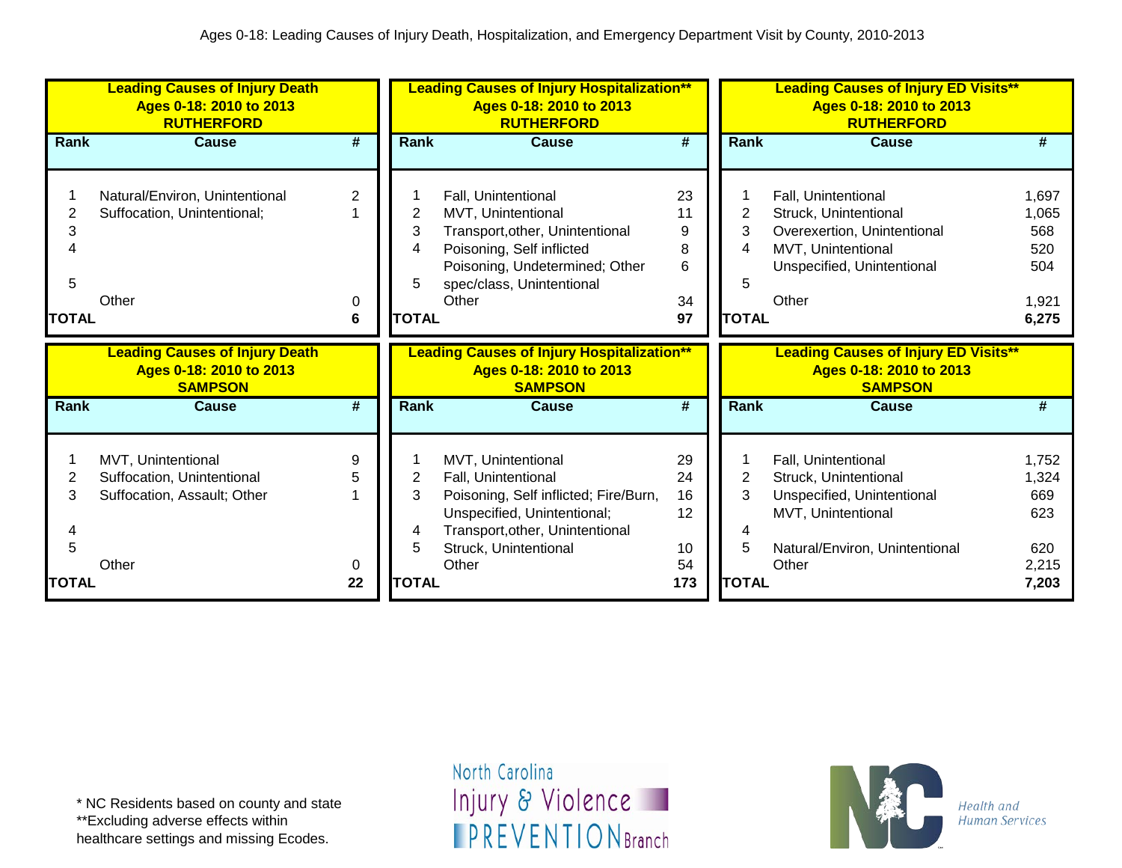|                             | <b>Leading Causes of Injury Death</b><br>Ages 0-18: 2010 to 2013<br><b>RUTHERFORD</b>    |                   |                                  | <b>Leading Causes of Injury Hospitalization**</b><br>Ages 0-18: 2010 to 2013<br><b>RUTHERFORD</b>                                                                                      |                                         |                             | <b>Leading Causes of Injury ED Visits**</b><br>Ages 0-18: 2010 to 2013<br><b>RUTHERFORD</b>                                                 |                                                       |
|-----------------------------|------------------------------------------------------------------------------------------|-------------------|----------------------------------|----------------------------------------------------------------------------------------------------------------------------------------------------------------------------------------|-----------------------------------------|-----------------------------|---------------------------------------------------------------------------------------------------------------------------------------------|-------------------------------------------------------|
| Rank                        | <b>Cause</b>                                                                             | #                 | Rank                             | <b>Cause</b>                                                                                                                                                                           | #                                       | Rank                        | <b>Cause</b>                                                                                                                                | #                                                     |
| 2<br>3<br>5<br><b>TOTAL</b> | Natural/Environ, Unintentional<br>Suffocation, Unintentional;<br>Other                   | 2<br>0<br>6       | 2<br>3<br>4<br>5<br><b>TOTAL</b> | Fall, Unintentional<br>MVT, Unintentional<br>Transport, other, Unintentional<br>Poisoning, Self inflicted<br>Poisoning, Undetermined; Other<br>spec/class, Unintentional<br>Other      | 23<br>11<br>9<br>8<br>6<br>34<br>97     | 2<br>3<br>5<br><b>TOTAL</b> | Fall, Unintentional<br>Struck, Unintentional<br>Overexertion, Unintentional<br>MVT, Unintentional<br>Unspecified, Unintentional<br>Other    | 1,697<br>1,065<br>568<br>520<br>504<br>1,921<br>6,275 |
|                             |                                                                                          |                   |                                  |                                                                                                                                                                                        |                                         |                             |                                                                                                                                             |                                                       |
|                             | <b>Leading Causes of Injury Death</b><br>Ages 0-18: 2010 to 2013<br><b>SAMPSON</b>       |                   |                                  | <b>Leading Causes of Injury Hospitalization**</b><br>Ages 0-18: 2010 to 2013<br><b>SAMPSON</b>                                                                                         |                                         |                             | <b>Leading Causes of Injury ED Visits**</b><br>Ages 0-18: 2010 to 2013<br><b>SAMPSON</b>                                                    |                                                       |
| <b>Rank</b>                 | <b>Cause</b>                                                                             | #                 | <b>Rank</b>                      | <b>Cause</b>                                                                                                                                                                           | #                                       | Rank                        | Cause                                                                                                                                       | #                                                     |
| 2<br>3<br><b>TOTAL</b>      | MVT, Unintentional<br>Suffocation, Unintentional<br>Suffocation, Assault; Other<br>Other | 9<br>5<br>0<br>22 | 2<br>3<br>4<br>5<br><b>TOTAL</b> | MVT, Unintentional<br>Fall, Unintentional<br>Poisoning, Self inflicted; Fire/Burn,<br>Unspecified, Unintentional;<br>Transport, other, Unintentional<br>Struck, Unintentional<br>Other | 29<br>24<br>16<br>12<br>10<br>54<br>173 | 3<br>5<br><b>TOTAL</b>      | Fall, Unintentional<br>Struck, Unintentional<br>Unspecified, Unintentional<br>MVT, Unintentional<br>Natural/Environ, Unintentional<br>Other | 1,752<br>1,324<br>669<br>623<br>620<br>2,215<br>7,203 |

\*\*Excluding adverse effects within

healthcare settings and missing Ecodes.

North Carolina Injury & Violence **IPREVENTIONBranch** 

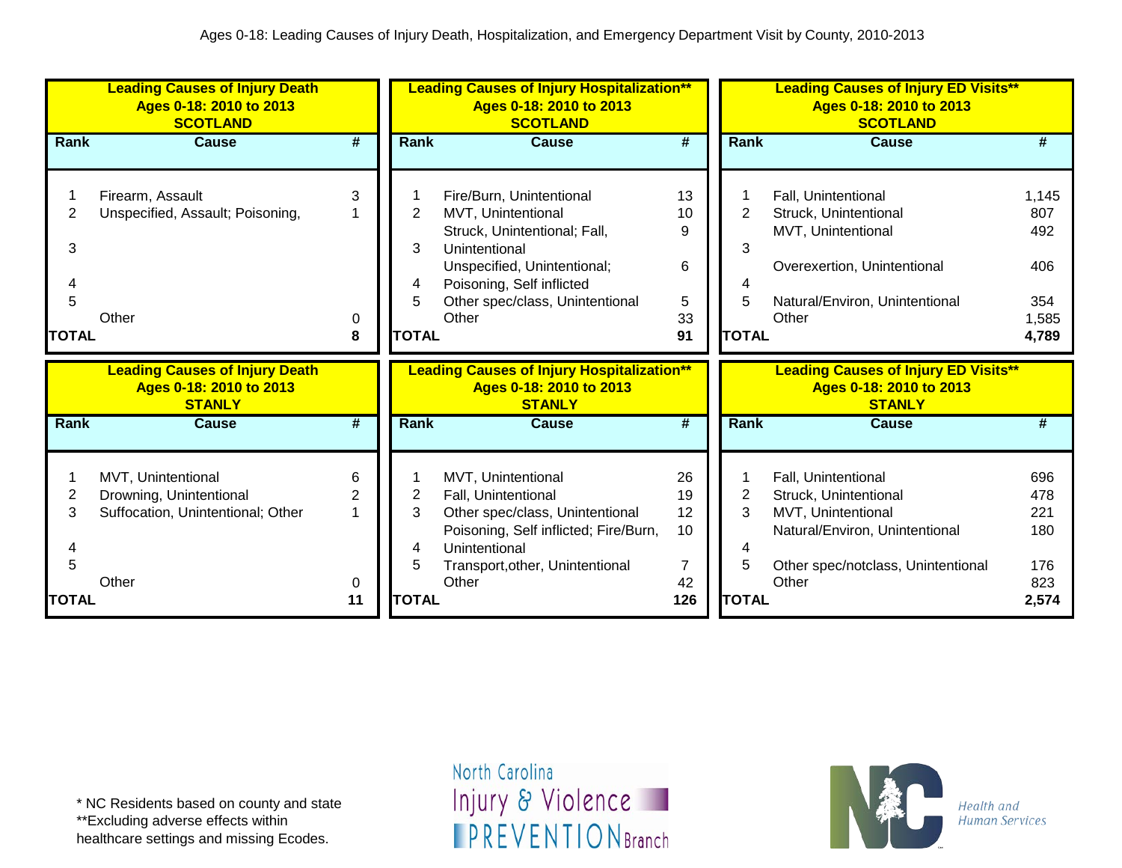|              | <b>Leading Causes of Injury Death</b><br>Ages 0-18: 2010 to 2013<br><b>SCOTLAND</b> |        |              | <b>Leading Causes of Injury Hospitalization**</b><br>Ages 0-18: 2010 to 2013<br><b>SCOTLAND</b> |                             |              | <b>Leading Causes of Injury ED Visits**</b><br>Ages 0-18: 2010 to 2013<br><b>SCOTLAND</b> |            |
|--------------|-------------------------------------------------------------------------------------|--------|--------------|-------------------------------------------------------------------------------------------------|-----------------------------|--------------|-------------------------------------------------------------------------------------------|------------|
| Rank         | <b>Cause</b>                                                                        | #      | Rank         | <b>Cause</b>                                                                                    | #                           | <b>Rank</b>  | <b>Cause</b>                                                                              | #          |
|              |                                                                                     |        |              |                                                                                                 |                             |              |                                                                                           |            |
|              | Firearm, Assault                                                                    | 3      |              | Fire/Burn, Unintentional                                                                        | 13                          |              | Fall, Unintentional                                                                       | 1,145      |
| 2            | Unspecified, Assault; Poisoning,                                                    |        | 2            | MVT, Unintentional                                                                              | 10                          | 2            | Struck, Unintentional                                                                     | 807        |
|              |                                                                                     |        |              | Struck, Unintentional; Fall,                                                                    | 9                           |              | MVT, Unintentional                                                                        | 492        |
| 3            |                                                                                     |        | 3            | Unintentional                                                                                   |                             | 3            |                                                                                           |            |
|              |                                                                                     |        |              | Unspecified, Unintentional;                                                                     | 6                           |              | Overexertion, Unintentional                                                               | 406        |
|              |                                                                                     |        | 4            | Poisoning, Self inflicted                                                                       |                             | 4            |                                                                                           |            |
| 5            |                                                                                     |        |              | Other spec/class, Unintentional                                                                 | 5                           | 5            | Natural/Environ, Unintentional                                                            | 354        |
|              | Other                                                                               | 0      |              | Other                                                                                           | 33                          |              | Other                                                                                     | 1,585      |
| <b>TOTAL</b> |                                                                                     | 8      | <b>TOTAL</b> |                                                                                                 | 91                          | <b>TOTAL</b> |                                                                                           | 4,789      |
|              |                                                                                     |        |              |                                                                                                 |                             |              |                                                                                           |            |
|              | <b>Leading Causes of Injury Death</b>                                               |        |              | <b>Leading Causes of Injury Hospitalization**</b>                                               |                             |              | <b>Leading Causes of Injury ED Visits**</b>                                               |            |
|              | Ages 0-18: 2010 to 2013                                                             |        |              | Ages 0-18: 2010 to 2013                                                                         |                             |              | Ages 0-18: 2010 to 2013                                                                   |            |
|              | <b>STANLY</b>                                                                       |        |              | <b>STANLY</b>                                                                                   |                             |              | <b>STANLY</b>                                                                             |            |
| <b>Rank</b>  | <b>Cause</b>                                                                        | #      | Rank         | <b>Cause</b>                                                                                    | $\overline{\boldsymbol{t}}$ | <b>Rank</b>  | <b>Cause</b>                                                                              | #          |
|              |                                                                                     |        |              |                                                                                                 |                             |              |                                                                                           |            |
|              |                                                                                     | 6      |              |                                                                                                 |                             |              |                                                                                           |            |
|              | MVT, Unintentional                                                                  |        |              | MVT, Unintentional                                                                              | 26                          | 2            | Fall, Unintentional                                                                       | 696        |
| 2<br>3       | Drowning, Unintentional                                                             | 2<br>1 | 2<br>3       | Fall, Unintentional                                                                             | 19<br>12                    | 3            | Struck, Unintentional                                                                     | 478<br>221 |
|              | Suffocation, Unintentional; Other                                                   |        |              | Other spec/class, Unintentional                                                                 | 10                          |              | MVT, Unintentional                                                                        | 180        |
|              |                                                                                     |        | 4            | Poisoning, Self inflicted; Fire/Burn,<br>Unintentional                                          |                             | 4            | Natural/Environ, Unintentional                                                            |            |
| 5            |                                                                                     |        | 5            |                                                                                                 | 7                           | 5            | Other spec/notclass, Unintentional                                                        | 176        |
|              | Other                                                                               | 0      |              | Transport, other, Unintentional<br>Other                                                        | 42                          |              | Other                                                                                     | 823        |

\*\*Excluding adverse effects within

healthcare settings and missing Ecodes.

North Carolina Injury & Violence **IPREVENTIONBranch** 

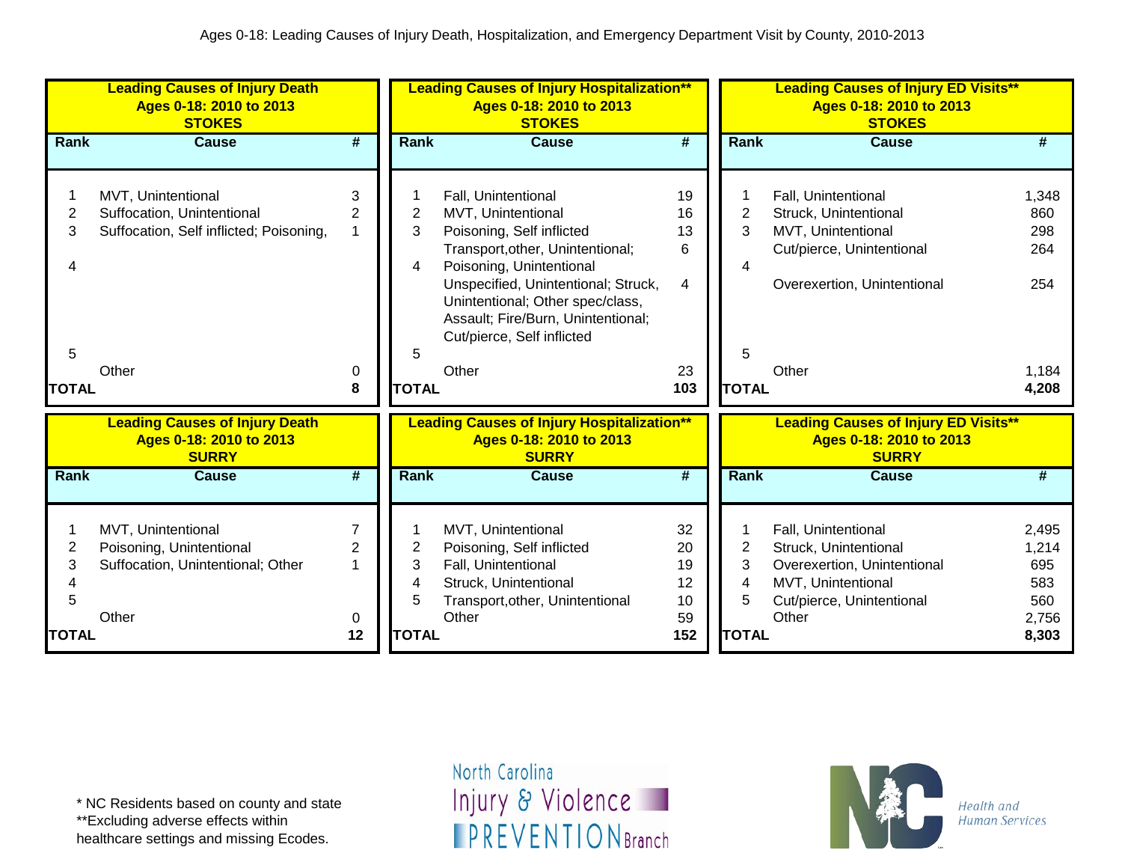|                  | <b>Leading Causes of Injury Death</b><br>Ages 0-18: 2010 to 2013<br><b>STOKES</b>                    |                                            |                  | <b>Leading Causes of Injury Hospitalization**</b><br>Ages 0-18: 2010 to 2013<br><b>STOKES</b>                                                                                                                                                                                                  |                                  |                               | <b>Leading Causes of Injury ED Visits**</b><br>Ages 0-18: 2010 to 2013<br><b>STOKES</b>                                                 |                                              |
|------------------|------------------------------------------------------------------------------------------------------|--------------------------------------------|------------------|------------------------------------------------------------------------------------------------------------------------------------------------------------------------------------------------------------------------------------------------------------------------------------------------|----------------------------------|-------------------------------|-----------------------------------------------------------------------------------------------------------------------------------------|----------------------------------------------|
| <b>Rank</b>      | <b>Cause</b>                                                                                         | #                                          | <b>Rank</b>      | <b>Cause</b>                                                                                                                                                                                                                                                                                   | #                                | Rank                          | <b>Cause</b>                                                                                                                            | #                                            |
| 1<br>2<br>3<br>5 | MVT, Unintentional<br>Suffocation, Unintentional<br>Suffocation, Self inflicted; Poisoning,<br>Other | 3<br>$\overline{2}$<br>0                   | 2<br>3<br>4<br>5 | Fall, Unintentional<br>MVT, Unintentional<br>Poisoning, Self inflicted<br>Transport, other, Unintentional;<br>Poisoning, Unintentional<br>Unspecified, Unintentional; Struck,<br>Unintentional; Other spec/class,<br>Assault; Fire/Burn, Unintentional;<br>Cut/pierce, Self inflicted<br>Other | 19<br>16<br>13<br>6<br>4<br>23   | $\overline{2}$<br>3<br>4<br>5 | Fall, Unintentional<br>Struck, Unintentional<br>MVT, Unintentional<br>Cut/pierce, Unintentional<br>Overexertion, Unintentional<br>Other | 1,348<br>860<br>298<br>264<br>254<br>1,184   |
| <b>TOTAL</b>     |                                                                                                      | 8                                          | <b>TOTAL</b>     |                                                                                                                                                                                                                                                                                                | 103                              | <b>TOTAL</b>                  |                                                                                                                                         | 4,208                                        |
|                  | <b>Leading Causes of Injury Death</b><br>Ages 0-18: 2010 to 2013<br><b>SURRY</b>                     |                                            |                  | <b>Leading Causes of Injury Hospitalization**</b><br>Ages 0-18: 2010 to 2013<br><b>SURRY</b>                                                                                                                                                                                                   |                                  |                               | <b>Leading Causes of Injury ED Visits**</b><br>Ages 0-18: 2010 to 2013<br><b>SURRY</b>                                                  |                                              |
| Rank             | <b>Cause</b>                                                                                         | #                                          | <b>Rank</b>      | <b>Cause</b>                                                                                                                                                                                                                                                                                   | #                                | Rank                          | <b>Cause</b>                                                                                                                            | #                                            |
| 1<br>2<br>3<br>5 | MVT, Unintentional<br>Poisoning, Unintentional<br>Suffocation, Unintentional; Other<br>Other         | $\overline{7}$<br>$\overline{2}$<br>1<br>0 | 2<br>3<br>4<br>5 | MVT, Unintentional<br>Poisoning, Self inflicted<br>Fall, Unintentional<br>Struck, Unintentional<br>Transport, other, Unintentional<br>Other                                                                                                                                                    | 32<br>20<br>19<br>12<br>10<br>59 | $\overline{2}$<br>3<br>4<br>5 | Fall, Unintentional<br>Struck, Unintentional<br>Overexertion, Unintentional<br>MVT, Unintentional<br>Cut/pierce, Unintentional<br>Other | 2,495<br>1,214<br>695<br>583<br>560<br>2,756 |
| <b>TOTAL</b>     |                                                                                                      | 12                                         | <b>TOTAL</b>     |                                                                                                                                                                                                                                                                                                | 152                              | <b>TOTAL</b>                  |                                                                                                                                         | 8,303                                        |

\*\*Excluding adverse effects within

healthcare settings and missing Ecodes.

North Carolina Injury & Violence **IPREVENTIONBranch** 

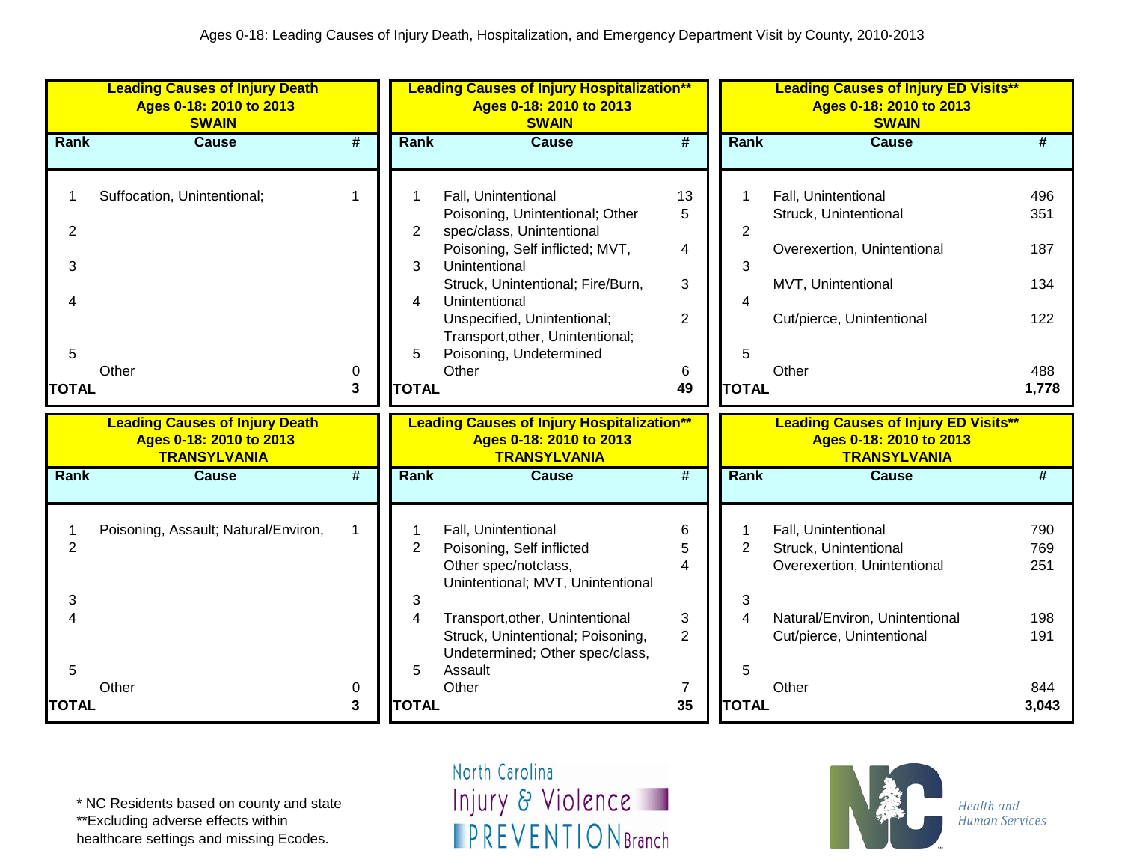|                                          | <b>Leading Causes of Injury Death</b><br>Ages 0-18: 2010 to 2013<br><b>SWAIN</b>        |             |                                  | <b>Leading Causes of Injury Hospitalization**</b><br>Ages 0-18: 2010 to 2013<br><b>SWAIN</b>                                                                                                                                                                                                         |                                                          |                                               | <b>Leading Causes of Injury ED Visits**</b><br>Ages 0-18: 2010 to 2013<br><b>SWAIN</b>                                                     |                                                 |
|------------------------------------------|-----------------------------------------------------------------------------------------|-------------|----------------------------------|------------------------------------------------------------------------------------------------------------------------------------------------------------------------------------------------------------------------------------------------------------------------------------------------------|----------------------------------------------------------|-----------------------------------------------|--------------------------------------------------------------------------------------------------------------------------------------------|-------------------------------------------------|
| <b>Rank</b>                              | <b>Cause</b>                                                                            | #           | <b>Rank</b>                      | <b>Cause</b>                                                                                                                                                                                                                                                                                         | #                                                        | Rank                                          | <b>Cause</b>                                                                                                                               | #                                               |
| $\overline{2}$<br>3<br>5<br><b>TOTAL</b> | Suffocation, Unintentional;<br>Other                                                    | 1<br>0<br>3 | 2<br>3<br>4<br>5<br><b>TOTAL</b> | Fall, Unintentional<br>Poisoning, Unintentional; Other<br>spec/class, Unintentional<br>Poisoning, Self inflicted; MVT,<br>Unintentional<br>Struck, Unintentional; Fire/Burn,<br>Unintentional<br>Unspecified, Unintentional;<br>Transport, other, Unintentional;<br>Poisoning, Undetermined<br>Other | 13<br>5<br>4<br>3<br>$\overline{2}$<br>6<br>49           | $\overline{c}$<br>3<br>4<br>5<br><b>TOTAL</b> | Fall, Unintentional<br>Struck, Unintentional<br>Overexertion, Unintentional<br>MVT, Unintentional<br>Cut/pierce, Unintentional<br>Other    | 496<br>351<br>187<br>134<br>122<br>488<br>1,778 |
|                                          | <b>Leading Causes of Injury Death</b><br>Ages 0-18: 2010 to 2013<br><b>TRANSYLVANIA</b> |             |                                  | <b>Leading Causes of Injury Hospitalization**</b><br>Ages 0-18: 2010 to 2013<br><b>TRANSYLVANIA</b>                                                                                                                                                                                                  |                                                          |                                               | <b>Leading Causes of Injury ED Visits**</b><br>Ages 0-18: 2010 to 2013<br><b>TRANSYLVANIA</b>                                              |                                                 |
| <b>Rank</b>                              | <b>Cause</b>                                                                            | #           | <b>Rank</b>                      | <b>Cause</b>                                                                                                                                                                                                                                                                                         | $\overline{\boldsymbol{t}}$                              | Rank                                          | <b>Cause</b>                                                                                                                               | #                                               |
| $\overline{2}$<br>3                      | Poisoning, Assault; Natural/Environ,                                                    | $\mathbf 1$ | $\overline{2}$<br>3<br>4         | Fall, Unintentional<br>Poisoning, Self inflicted<br>Other spec/notclass,<br>Unintentional; MVT, Unintentional<br>Transport, other, Unintentional<br>Struck, Unintentional; Poisoning,<br>Undetermined; Other spec/class,                                                                             | 6<br>5<br>$\overline{\mathbf{A}}$<br>3<br>$\overline{2}$ | $\overline{2}$<br>3                           | Fall, Unintentional<br>Struck, Unintentional<br>Overexertion, Unintentional<br>Natural/Environ, Unintentional<br>Cut/pierce, Unintentional | 790<br>769<br>251<br>198<br>191                 |
| 5                                        | Other                                                                                   | 0           | 5                                | Assault<br>Other                                                                                                                                                                                                                                                                                     | 7                                                        | 5                                             | Other                                                                                                                                      | 844                                             |

\*\*Excluding adverse effects within

healthcare settings and missing Ecodes.

North Carolina Injury & Violence **IPREVENTIONBranch** 

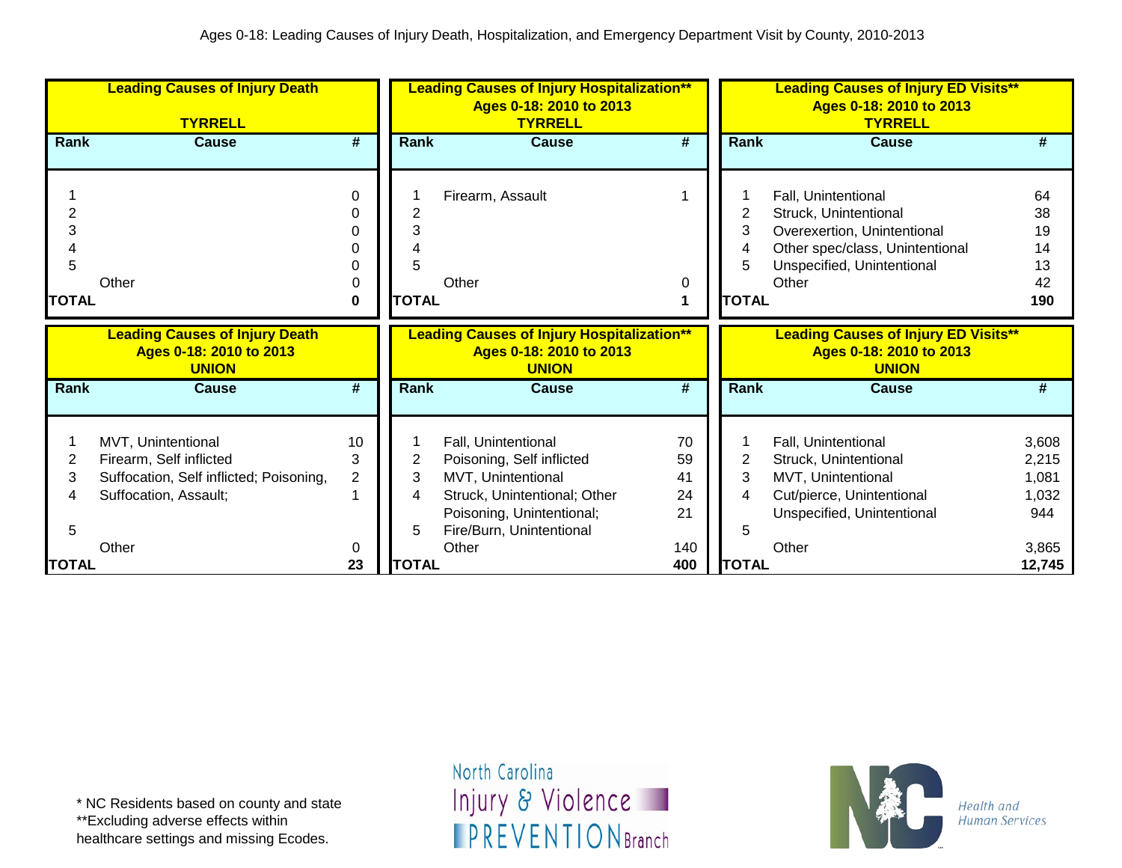|              | <b>Leading Causes of Injury Death</b><br><b>TYRRELL</b>                          |                             |              | <b>Leading Causes of Injury Hospitalization**</b><br>Ages 0-18: 2010 to 2013<br><b>TYRRELL</b> |                 |              | <b>Leading Causes of Injury ED Visits**</b><br>Ages 0-18: 2010 to 2013<br><b>TYRRELL</b> |                 |
|--------------|----------------------------------------------------------------------------------|-----------------------------|--------------|------------------------------------------------------------------------------------------------|-----------------|--------------|------------------------------------------------------------------------------------------|-----------------|
| <b>Rank</b>  | <b>Cause</b>                                                                     | $\overline{\boldsymbol{t}}$ | Rank         | <b>Cause</b>                                                                                   | #               | Rank         | <b>Cause</b>                                                                             | #               |
|              |                                                                                  | 0<br>O                      |              | Firearm, Assault                                                                               |                 | 2            | Fall, Unintentional                                                                      | 64<br>38        |
|              |                                                                                  | n                           | 3            |                                                                                                |                 | 3            | Struck, Unintentional<br>Overexertion, Unintentional                                     | 19              |
|              |                                                                                  |                             |              |                                                                                                |                 | 4            | Other spec/class, Unintentional                                                          | 14              |
| 5            |                                                                                  |                             | 5            |                                                                                                |                 |              | Unspecified, Unintentional                                                               | 13              |
|              | Other                                                                            | 0                           |              | Other                                                                                          | 0               |              | Other                                                                                    | 42              |
| <b>TOTAL</b> |                                                                                  | 0                           | <b>TOTAL</b> |                                                                                                |                 | <b>TOTAL</b> |                                                                                          | 190             |
|              |                                                                                  |                             |              |                                                                                                |                 |              |                                                                                          |                 |
|              | <b>Leading Causes of Injury Death</b><br>Ages 0-18: 2010 to 2013<br><b>UNION</b> |                             |              | <b>Leading Causes of Injury Hospitalization**</b><br>Ages 0-18: 2010 to 2013<br><b>UNION</b>   |                 |              | <b>Leading Causes of Injury ED Visits**</b><br>Ages 0-18: 2010 to 2013<br><b>UNION</b>   |                 |
| Rank         | <b>Cause</b>                                                                     | #                           | Rank         | <b>Cause</b>                                                                                   | $\overline{\#}$ | Rank         | <b>Cause</b>                                                                             | #               |
|              |                                                                                  |                             |              |                                                                                                |                 |              |                                                                                          |                 |
|              |                                                                                  | 10                          |              |                                                                                                | 70              |              |                                                                                          |                 |
| 2            | MVT, Unintentional<br>Firearm, Self inflicted                                    | 3                           | 2            | Fall, Unintentional<br>Poisoning, Self inflicted                                               | 59              | 2            | Fall, Unintentional<br>Struck, Unintentional                                             | 3,608<br>2,215  |
| 3            | Suffocation, Self inflicted; Poisoning,                                          | $\overline{\mathbf{c}}$     | 3            | MVT, Unintentional                                                                             | 41              | 3            | MVT, Unintentional                                                                       | 1,081           |
| 4            | Suffocation, Assault;                                                            | 1                           |              | Struck, Unintentional; Other                                                                   | 24              | 4            | Cut/pierce, Unintentional                                                                | 1,032           |
|              |                                                                                  |                             |              | Poisoning, Unintentional;                                                                      | 21              |              | Unspecified, Unintentional                                                               | 944             |
| 5            |                                                                                  |                             | 5            | Fire/Burn, Unintentional                                                                       |                 | 5            |                                                                                          |                 |
| <b>TOTAL</b> | Other                                                                            | 0<br>23                     | <b>TOTAL</b> | Other                                                                                          | 140<br>400      | <b>TOTAL</b> | Other                                                                                    | 3,865<br>12,745 |

healthcare settings and missing Ecodes.

North Carolina Injury & Violence **IPREVENTIONBranch** 

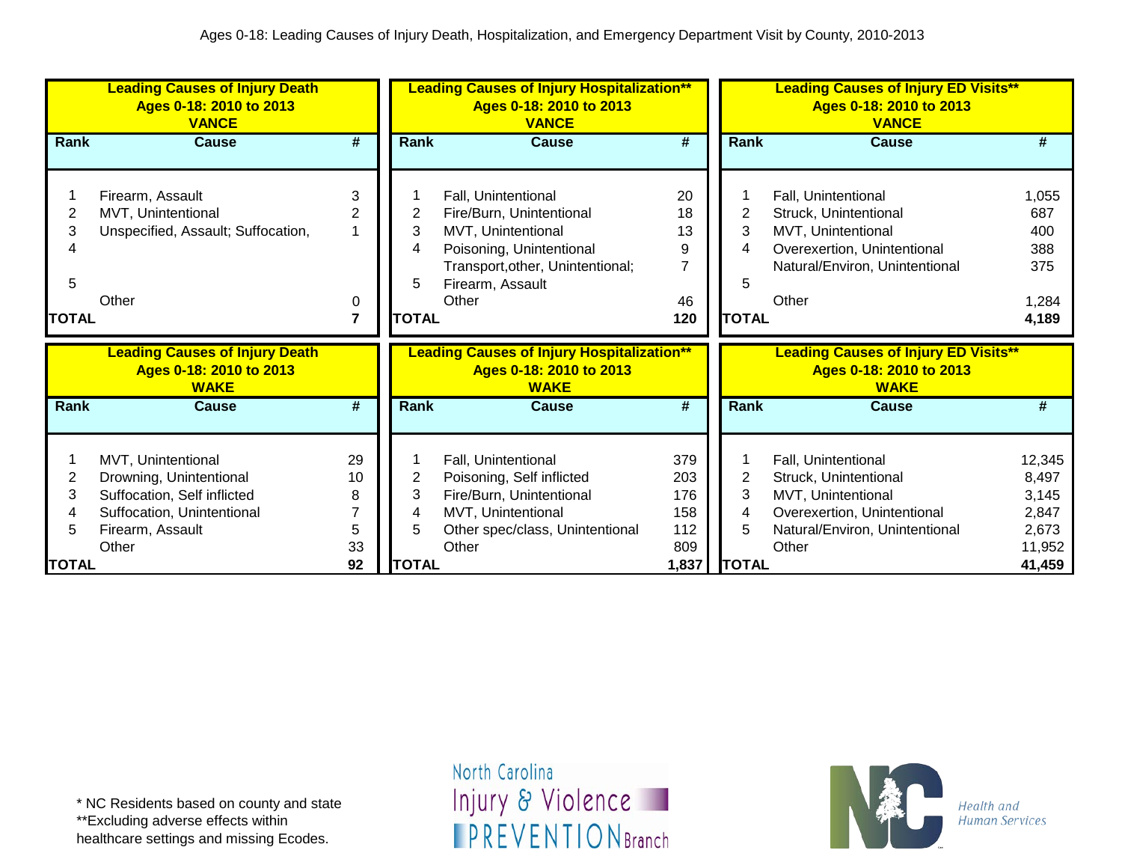|              | <b>Leading Causes of Injury Death</b><br>Ages 0-18: 2010 to 2013<br><b>VANCE</b> |          |              | <b>Leading Causes of Injury Hospitalization**</b><br>Ages 0-18: 2010 to 2013<br><b>VANCE</b> |                             |                | <b>Leading Causes of Injury ED Visits**</b><br>Ages 0-18: 2010 to 2013<br><b>VANCE</b> |                  |
|--------------|----------------------------------------------------------------------------------|----------|--------------|----------------------------------------------------------------------------------------------|-----------------------------|----------------|----------------------------------------------------------------------------------------|------------------|
| Rank         | Cause                                                                            | #        | <b>Rank</b>  | <b>Cause</b>                                                                                 | $\overline{\boldsymbol{H}}$ | Rank           | Cause                                                                                  | #                |
|              |                                                                                  |          |              |                                                                                              |                             |                |                                                                                        |                  |
|              | Firearm, Assault                                                                 | 3        |              | Fall, Unintentional                                                                          | 20                          |                | Fall, Unintentional                                                                    | 1,055            |
| 2            | MVT, Unintentional                                                               | 2        | 2            | Fire/Burn, Unintentional                                                                     | 18                          | $\overline{2}$ | Struck, Unintentional                                                                  | 687              |
| 3            | Unspecified, Assault; Suffocation,                                               |          | 3            | MVT, Unintentional                                                                           | 13                          | 3              | MVT, Unintentional                                                                     | 400              |
|              |                                                                                  |          |              | Poisoning, Unintentional                                                                     | 9                           | 4              | Overexertion, Unintentional                                                            | 388              |
|              |                                                                                  |          |              | Transport, other, Unintentional;                                                             | 7                           |                | Natural/Environ, Unintentional                                                         | 375              |
| 5            |                                                                                  |          |              | Firearm, Assault                                                                             |                             | 5              |                                                                                        |                  |
|              | Other                                                                            | 0        |              | Other                                                                                        | 46                          |                | Other                                                                                  | 1,284            |
| <b>TOTAL</b> |                                                                                  | 7        | <b>TOTAL</b> |                                                                                              | 120                         | <b>TOTAL</b>   |                                                                                        | 4,189            |
|              |                                                                                  |          |              |                                                                                              |                             |                |                                                                                        |                  |
|              | <b>Leading Causes of Injury Death</b><br>Ages 0-18: 2010 to 2013<br><b>WAKE</b>  |          |              | <b>Leading Causes of Injury Hospitalization**</b><br>Ages 0-18: 2010 to 2013<br><b>WAKE</b>  |                             |                | <b>Leading Causes of Injury ED Visits**</b><br>Ages 0-18: 2010 to 2013<br><b>WAKE</b>  |                  |
| Rank         | <b>Cause</b>                                                                     | #        | <b>Rank</b>  | <b>Cause</b>                                                                                 | #                           | <b>Rank</b>    | <b>Cause</b>                                                                           | #                |
|              |                                                                                  |          |              |                                                                                              |                             |                |                                                                                        |                  |
|              | MVT, Unintentional                                                               | 29       |              | Fall, Unintentional                                                                          | 379                         |                | Fall, Unintentional                                                                    | 12,345           |
| 2            | Drowning, Unintentional                                                          | 10       | 2            | Poisoning, Self inflicted                                                                    | 203                         | $\overline{2}$ | Struck, Unintentional                                                                  | 8,497            |
| 3            | Suffocation, Self inflicted                                                      | 8        | 3            | Fire/Burn, Unintentional                                                                     | 176                         | 3              | MVT, Unintentional                                                                     | 3,145            |
|              | Suffocation, Unintentional                                                       |          |              | MVT, Unintentional                                                                           | 158                         | 4              | Overexertion, Unintentional                                                            | 2,847            |
| 5            | Firearm, Assault                                                                 | 5        | 5            | Other spec/class, Unintentional                                                              | 112                         | 5              | Natural/Environ, Unintentional                                                         | 2,673            |
| <b>TOTAL</b> | Other                                                                            | 33<br>92 | <b>TOTAL</b> | Other                                                                                        | 809<br>1,837                | <b>TOTAL</b>   | Other                                                                                  | 11,952<br>41,459 |

healthcare settings and missing Ecodes.

North Carolina Injury & Violence **IPREVENTIONBranch** 

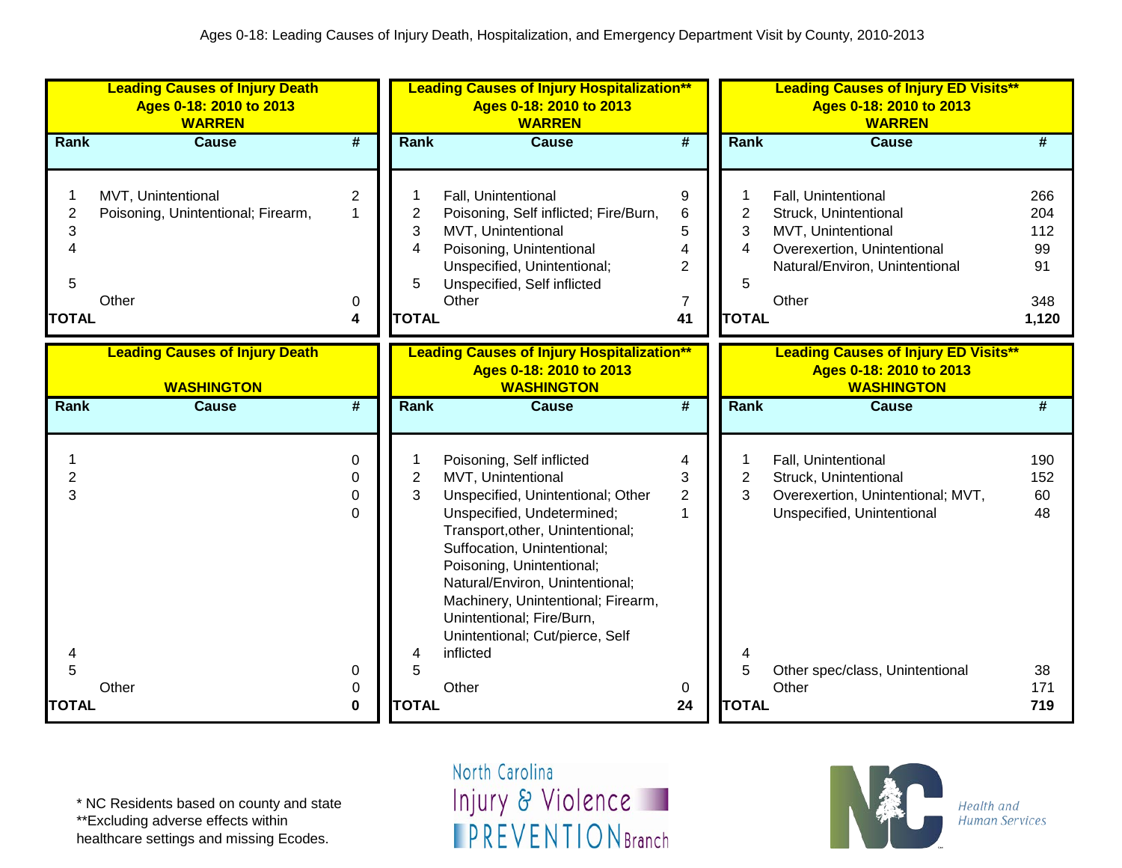| <b>Leading Causes of Injury Death</b><br>Ages 0-18: 2010 to 2013<br><b>WARREN</b> |                                                                   |                                              |                                  | <b>Leading Causes of Injury Hospitalization**</b><br>Ages 0-18: 2010 to 2013<br><b>WARREN</b>                                                                                                                                                                                                                                                                            |                                                                |                                  | <b>Leading Causes of Injury ED Visits**</b><br>Ages 0-18: 2010 to 2013<br><b>WARREN</b>                                                      |                                               |  |  |
|-----------------------------------------------------------------------------------|-------------------------------------------------------------------|----------------------------------------------|----------------------------------|--------------------------------------------------------------------------------------------------------------------------------------------------------------------------------------------------------------------------------------------------------------------------------------------------------------------------------------------------------------------------|----------------------------------------------------------------|----------------------------------|----------------------------------------------------------------------------------------------------------------------------------------------|-----------------------------------------------|--|--|
| Rank                                                                              | <b>Cause</b>                                                      | $\overline{\boldsymbol{t}}$                  | <b>Rank</b>                      | <b>Cause</b>                                                                                                                                                                                                                                                                                                                                                             | $\overline{\boldsymbol{r}}$                                    | Rank                             | <b>Cause</b>                                                                                                                                 | #                                             |  |  |
| $\overline{\mathbf{c}}$<br>3<br>$\overline{\mathcal{A}}$<br>5<br><b>TOTAL</b>     | MVT, Unintentional<br>Poisoning, Unintentional; Firearm,<br>Other | $\overline{2}$<br>$\overline{1}$<br>0<br>4   | 2<br>3<br>4<br>5<br><b>TOTAL</b> | Fall, Unintentional<br>Poisoning, Self inflicted; Fire/Burn,<br>MVT, Unintentional<br>Poisoning, Unintentional<br>Unspecified, Unintentional;<br>Unspecified, Self inflicted<br>Other                                                                                                                                                                                    | 9<br>$\,6$<br>5<br>4<br>$\overline{2}$<br>$\overline{7}$<br>41 | 2<br>3<br>4<br>5<br><b>TOTAL</b> | Fall, Unintentional<br>Struck, Unintentional<br>MVT, Unintentional<br>Overexertion, Unintentional<br>Natural/Environ, Unintentional<br>Other | 266<br>204<br>112<br>99<br>91<br>348<br>1,120 |  |  |
|                                                                                   | <b>Leading Causes of Injury Death</b><br><b>WASHINGTON</b>        |                                              |                                  | <b>Leading Causes of Injury Hospitalization**</b><br>Ages 0-18: 2010 to 2013<br><b>WASHINGTON</b>                                                                                                                                                                                                                                                                        |                                                                |                                  | <b>Leading Causes of Injury ED Visits**</b><br>Ages 0-18: 2010 to 2013<br><b>WASHINGTON</b>                                                  |                                               |  |  |
| Rank                                                                              | <b>Cause</b>                                                      | #                                            | <b>Rank</b>                      | <b>Cause</b>                                                                                                                                                                                                                                                                                                                                                             | #                                                              | Rank                             | <b>Cause</b>                                                                                                                                 | #                                             |  |  |
| $\overline{2}$<br>3<br>4                                                          |                                                                   | $\Omega$<br>$\Omega$<br>$\Omega$<br>$\Omega$ | $\overline{c}$<br>3<br>4         | Poisoning, Self inflicted<br>MVT, Unintentional<br>Unspecified, Unintentional; Other<br>Unspecified, Undetermined;<br>Transport, other, Unintentional;<br>Suffocation, Unintentional;<br>Poisoning, Unintentional;<br>Natural/Environ, Unintentional;<br>Machinery, Unintentional; Firearm,<br>Unintentional; Fire/Burn,<br>Unintentional; Cut/pierce, Self<br>inflicted | 4<br>3<br>$\overline{2}$<br>1                                  | $\overline{c}$<br>3<br>4         | Fall, Unintentional<br>Struck, Unintentional<br>Overexertion, Unintentional; MVT,<br>Unspecified, Unintentional                              | 190<br>152<br>60<br>48                        |  |  |
| 5<br><b>TOTAL</b>                                                                 | Other                                                             | 0<br>0<br>0                                  | 5<br><b>TOTAL</b>                | Other                                                                                                                                                                                                                                                                                                                                                                    | 0<br>24                                                        | 5<br><b>TOTAL</b>                | Other spec/class, Unintentional<br>Other                                                                                                     | 38<br>171<br>719                              |  |  |

\*\*Excluding adverse effects within

healthcare settings and missing Ecodes.

North Carolina Injury & Violence **IPREVENTIONBranch** 

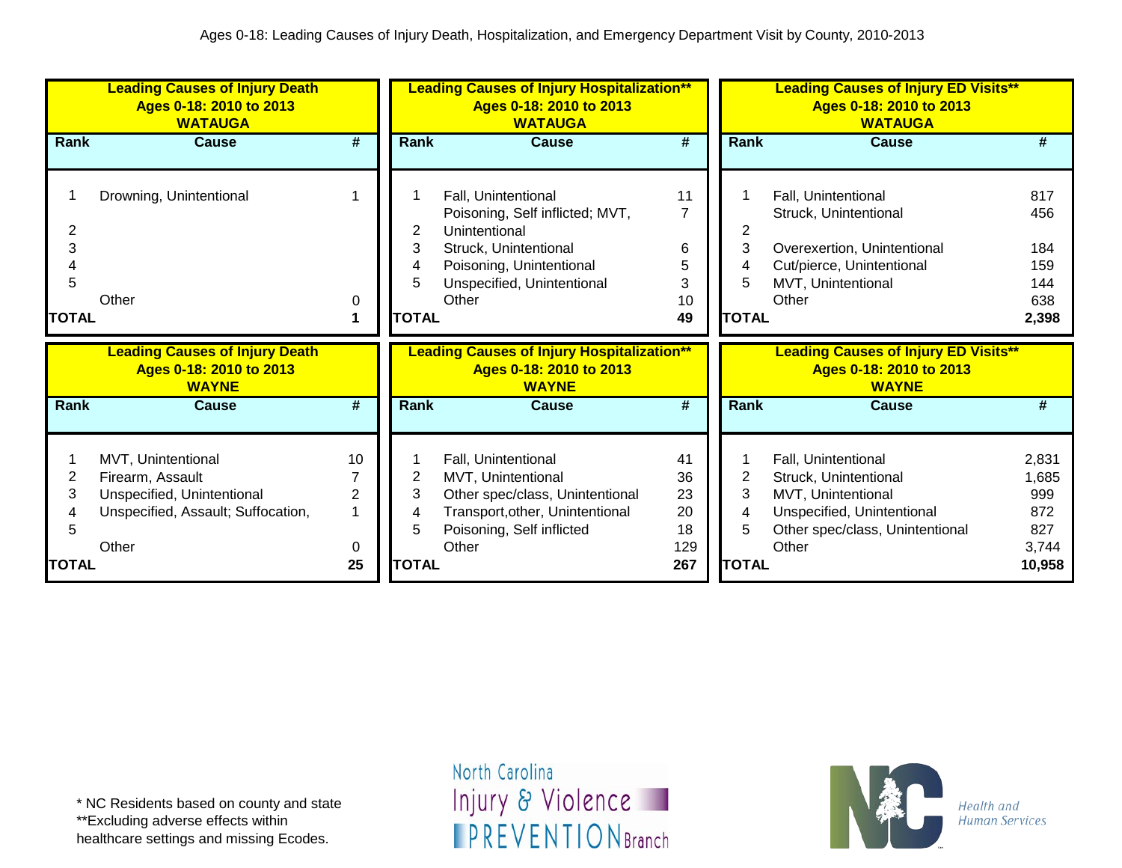|                             | <b>Leading Causes of Injury Death</b><br>Ages 0-18: 2010 to 2013<br><b>WATAUGA</b>                                  |                           |                                  | <b>Leading Causes of Injury Hospitalization**</b><br>Ages 0-18: 2010 to 2013<br><b>WATAUGA</b>                                                                      |                                                 |                                  | <b>Leading Causes of Injury ED Visits**</b><br>Ages 0-18: 2010 to 2013<br><b>WATAUGA</b>                                                     |                                                 |
|-----------------------------|---------------------------------------------------------------------------------------------------------------------|---------------------------|----------------------------------|---------------------------------------------------------------------------------------------------------------------------------------------------------------------|-------------------------------------------------|----------------------------------|----------------------------------------------------------------------------------------------------------------------------------------------|-------------------------------------------------|
| Rank                        | <b>Cause</b>                                                                                                        | #                         | Rank                             | <b>Cause</b>                                                                                                                                                        | $\overline{\boldsymbol{t}}$                     | <b>Rank</b>                      | <b>Cause</b>                                                                                                                                 | #                                               |
| 2<br>3<br>5<br><b>TOTAL</b> | Drowning, Unintentional<br>Other                                                                                    | 0                         | 2<br>3<br>4<br>5<br><b>TOTAL</b> | Fall, Unintentional<br>Poisoning, Self inflicted; MVT,<br>Unintentional<br>Struck, Unintentional<br>Poisoning, Unintentional<br>Unspecified, Unintentional<br>Other | 11<br>$\overline{7}$<br>6<br>5<br>3<br>10<br>49 | 2<br>3<br>4<br>5<br><b>TOTAL</b> | Fall, Unintentional<br>Struck, Unintentional<br>Overexertion, Unintentional<br>Cut/pierce, Unintentional<br>MVT, Unintentional<br>Other      | 817<br>456<br>184<br>159<br>144<br>638<br>2,398 |
|                             | <b>Leading Causes of Injury Death</b><br>Ages 0-18: 2010 to 2013<br><b>WAYNE</b>                                    |                           |                                  | <b>Leading Causes of Injury Hospitalization**</b><br>Ages 0-18: 2010 to 2013<br><b>WAYNE</b>                                                                        |                                                 |                                  | <b>Leading Causes of Injury ED Visits**</b><br>Ages 0-18: 2010 to 2013<br><b>WAYNE</b>                                                       |                                                 |
| <b>Rank</b>                 | <b>Cause</b>                                                                                                        | #                         | <b>Rank</b>                      | <b>Cause</b>                                                                                                                                                        | #                                               | Rank                             | <b>Cause</b>                                                                                                                                 | #                                               |
| 2<br>3<br>5                 | MVT, Unintentional<br>Firearm, Assault<br>Unspecified, Unintentional<br>Unspecified, Assault; Suffocation,<br>Other | 10<br>$\overline{2}$<br>0 | 2<br>3<br>4<br>5                 | Fall, Unintentional<br>MVT, Unintentional<br>Other spec/class, Unintentional<br>Transport, other, Unintentional<br>Poisoning, Self inflicted<br>Other               | 41<br>36<br>23<br>20<br>18<br>129               | 2<br>3<br>4<br>5                 | Fall, Unintentional<br>Struck, Unintentional<br>MVT, Unintentional<br>Unspecified, Unintentional<br>Other spec/class, Unintentional<br>Other | 2,831<br>1,685<br>999<br>872<br>827<br>3,744    |
| <b>TOTAL</b>                |                                                                                                                     | 25                        | <b>TOTAL</b>                     |                                                                                                                                                                     | 267                                             | <b>TOTAL</b>                     |                                                                                                                                              | 10,958                                          |

\*\*Excluding adverse effects within healthcare settings and missing Ecodes.

North Carolina Injury & Violence **IPREVENTIONBranch** 

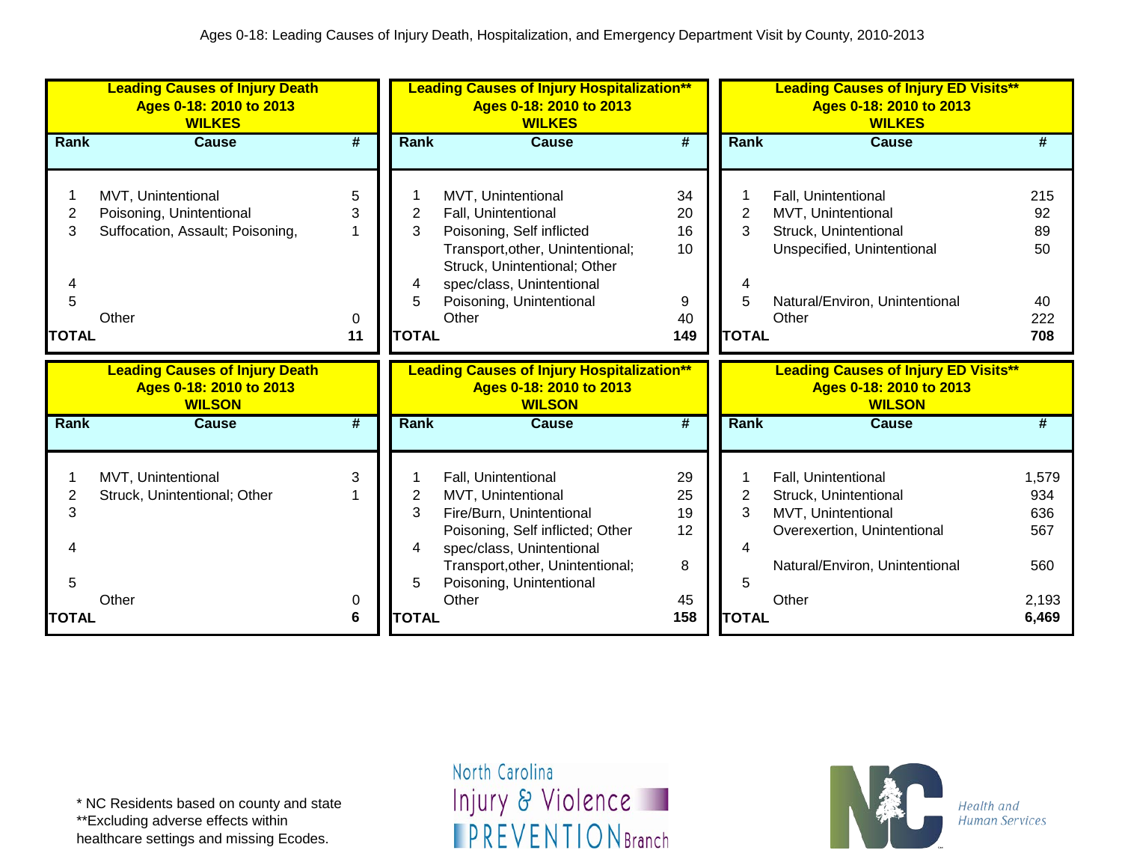|                | <b>Leading Causes of Injury Death</b><br>Ages 0-18: 2010 to 2013<br><b>WILKES</b> |                             |              | <b>Leading Causes of Injury Hospitalization**</b><br>Ages 0-18: 2010 to 2013<br><b>WILKES</b> |                             |                | <b>Leading Causes of Injury ED Visits**</b><br>Ages 0-18: 2010 to 2013<br><b>WILKES</b> |              |
|----------------|-----------------------------------------------------------------------------------|-----------------------------|--------------|-----------------------------------------------------------------------------------------------|-----------------------------|----------------|-----------------------------------------------------------------------------------------|--------------|
| Rank           | <b>Cause</b>                                                                      | $\overline{\boldsymbol{H}}$ | Rank         | <b>Cause</b>                                                                                  | $\overline{\boldsymbol{t}}$ | Rank           | <b>Cause</b>                                                                            | #            |
|                |                                                                                   |                             |              |                                                                                               |                             |                |                                                                                         |              |
|                | MVT, Unintentional                                                                | 5                           |              | MVT, Unintentional                                                                            | 34                          |                | Fall, Unintentional                                                                     | 215          |
| $\overline{2}$ | Poisoning, Unintentional                                                          | 3                           | 2            | Fall, Unintentional                                                                           | 20                          | $\overline{2}$ | MVT, Unintentional                                                                      | 92           |
| 3              | Suffocation, Assault; Poisoning,                                                  |                             | 3            | Poisoning, Self inflicted                                                                     | 16                          | 3              | Struck, Unintentional                                                                   | 89           |
|                |                                                                                   |                             |              | Transport, other, Unintentional;                                                              | 10 <sup>1</sup>             |                | Unspecified, Unintentional                                                              | 50           |
|                |                                                                                   |                             |              | Struck, Unintentional; Other                                                                  |                             |                |                                                                                         |              |
|                |                                                                                   |                             | 4            | spec/class, Unintentional                                                                     |                             |                |                                                                                         |              |
| 5              |                                                                                   |                             | 5            | Poisoning, Unintentional                                                                      | 9                           | 5              | Natural/Environ, Unintentional                                                          | 40           |
|                | Other                                                                             | $\Omega$                    |              | Other                                                                                         | 40                          |                | Other                                                                                   | 222          |
| <b>TOTAL</b>   |                                                                                   | 11                          | <b>TOTAL</b> |                                                                                               | 149                         | <b>TOTAL</b>   |                                                                                         | 708          |
|                |                                                                                   |                             |              |                                                                                               |                             |                |                                                                                         |              |
|                | <b>Leading Causes of Injury Death</b>                                             |                             |              | <b>Leading Causes of Injury Hospitalization**</b>                                             |                             |                | <b>Leading Causes of Injury ED Visits**</b>                                             |              |
|                | Ages 0-18: 2010 to 2013                                                           |                             |              | Ages 0-18: 2010 to 2013                                                                       |                             |                | Ages 0-18: 2010 to 2013                                                                 |              |
|                | <b>WILSON</b>                                                                     |                             |              | <b>WILSON</b>                                                                                 |                             |                | <b>WILSON</b>                                                                           |              |
| Rank           | <b>Cause</b>                                                                      | #                           | Rank         | <b>Cause</b>                                                                                  | #                           | <b>Rank</b>    | <b>Cause</b>                                                                            | #            |
|                |                                                                                   |                             |              |                                                                                               |                             |                |                                                                                         |              |
|                |                                                                                   | 3                           |              |                                                                                               |                             |                |                                                                                         |              |
| $\overline{2}$ | MVT, Unintentional                                                                |                             | 2            | Fall, Unintentional                                                                           | 29<br>25                    | $\overline{2}$ | Fall, Unintentional                                                                     | 1,579<br>934 |
| 3              | Struck, Unintentional; Other                                                      |                             | 3            | MVT, Unintentional                                                                            | 19                          | 3              | Struck, Unintentional                                                                   | 636          |
|                |                                                                                   |                             |              | Fire/Burn, Unintentional<br>Poisoning, Self inflicted; Other                                  | 12                          |                | MVT, Unintentional<br>Overexertion, Unintentional                                       | 567          |
|                |                                                                                   |                             | 4            | spec/class, Unintentional                                                                     |                             |                |                                                                                         |              |
|                |                                                                                   |                             |              | Transport, other, Unintentional;                                                              | 8                           |                | Natural/Environ, Unintentional                                                          | 560          |
| 5              |                                                                                   |                             | 5            | Poisoning, Unintentional                                                                      |                             | 5              |                                                                                         |              |
|                | Other                                                                             | 0                           |              | Other                                                                                         | 45                          |                | Other                                                                                   | 2,193        |

\*\*Excluding adverse effects within

healthcare settings and missing Ecodes.

North Carolina Injury & Violence **IPREVENTIONBranch**